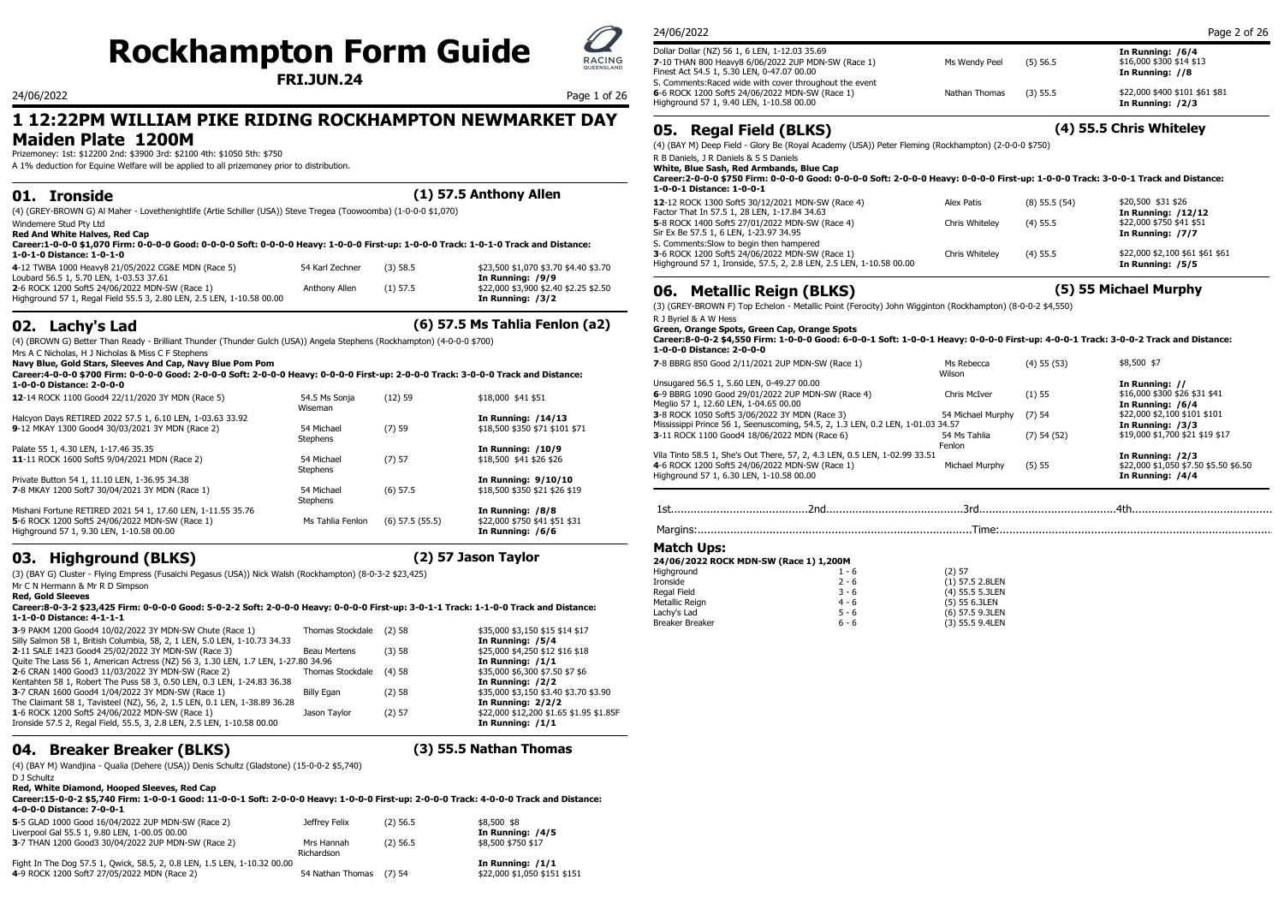# **Rockhampton Form Guide**

## **1 12:22PM WILLIAM PIKE RIDING ROCKHAMPTON NEWMARKET DAY Maiden Plate 1200M**

Prizemoney: 1st: \$12200 2nd: \$3900 3rd: \$2100 4th: \$1050 5th: \$750

A 1% deduction for Equine Welfare will be applied to all prizemoney prior to distribution.

|  | 01. Ironside | $(1)$ 57.5 Anthony Allen |  |
|--|--------------|--------------------------|--|
|--|--------------|--------------------------|--|

(4) (GREY-BROWN G) Al Maher - Lovethenightlife (Artie Schiller (USA)) Steve Tregea (Toowoomba) (1-0-0-0 \$1,070)

Windemere Stud Pty Ltd **Red And White Halves, Red Cap**

| Career:1-0-0-0 \$1,070 Firm: 0-0-0-0 Good: 0-0-0-0 Soft: 0-0-0-0 Heavy: 1-0-0-0 First-up: 1-0-0-0 Track: 1-0-1-0 Track and Distance: |  |
|--------------------------------------------------------------------------------------------------------------------------------------|--|
| 1-0-1-0 Distance: 1-0-1-0                                                                                                            |  |
|                                                                                                                                      |  |

| 4-12 TWBA 1000 Heavy8 21/05/2022 CG&E MDN (Race 5)                    | 54 Karl Zechner (3) 58.5 |            | \$23,500 \$1,070 \$3.70 \$4.40 \$3.70 | - Highground 37 L, Ironside, 37.3, 2, 2.6 LEN, 2.3 LEN, I-10.36 00.00 | IN KUNNING: 1515      |
|-----------------------------------------------------------------------|--------------------------|------------|---------------------------------------|-----------------------------------------------------------------------|-----------------------|
| Loubard 56.5 1, 5.70 LEN, 1-03.53 37.61                               |                          |            | In Running: /9/9                      |                                                                       |                       |
| 2-6 ROCK 1200 Soft5 24/06/2022 MDN-SW (Race 1)                        | Anthony Allen            | $(1)$ 57.5 | \$22,000 \$3,900 \$2.40 \$2.25 \$2.50 | 06. Metallic Reign (BLKS)                                             | (5) 55 Michael Murphy |
| Highground 57 1, Regal Field 55.5 3, 2.80 LEN, 2.5 LEN, 1-10.58 00.00 |                          |            | In Running: /3/2                      |                                                                       |                       |

## **02. Lachy's Lad (6) 57.5 Ms Tahlia Fenlon (a2)**

(4) (BROWN G) Better Than Ready - Brilliant Thunder (Thunder Gulch (USA)) Angela Stephens (Rockhampton) (4-0-0-0 \$700)

Mrs A C Nicholas, H J Nicholas & Miss C F Stephens

**Navy Blue, Gold Stars, Sleeves And Cap, Navy Blue Pom Pom**

**Career:4-0-0-0 \$700 Firm: 0-0-0-0 Good: 2-0-0-0 Soft: 2-0-0-0 Heavy: 0-0-0-0 First-up: 2-0-0-0 Track: 3-0-0-0 Track and Distance: 1-0-0-0 Distance: 2-0-0-0**

| 12-14 ROCK 1100 Good4 22/11/2020 3Y MDN (Race 5)                                                             | 54.5 Ms Sonja<br>Wiseman | $(12)$ 59           | \$18,000 \$41 \$51                                   | 6-9 BBRG 1090 G<br>Meglio 57 1, 12.60                      |
|--------------------------------------------------------------------------------------------------------------|--------------------------|---------------------|------------------------------------------------------|------------------------------------------------------------|
| Halcyon Days RETIRED 2022 57.5 1, 6.10 LEN, 1-03.63 33.92<br>9-12 MKAY 1300 Good4 30/03/2021 3Y MDN (Race 2) | 54 Michael<br>Stephens   | (7)59               | In Running: /14/13<br>\$18,500 \$350 \$71 \$101 \$71 | 3-8 ROCK 1050 So<br>Mississippi Prince<br>3-11 ROCK 1100 0 |
| Palate 55 1, 4.30 LEN, 1-17.46 35.35                                                                         |                          |                     | <b>In Running: /10/9</b>                             |                                                            |
| 11-11 ROCK 1600 Soft5 9/04/2021 MDN (Race 2)                                                                 | 54 Michael<br>Stephens   | (7) 57              | \$18,500 \$41 \$26 \$26                              | Vila Tinto 58.5 1,<br>4-6 ROCK 1200 So                     |
| Private Button 54 1, 11.10 LEN, 1-36.95 34.38                                                                |                          |                     | In Running: 9/10/10                                  | Highground 57 1,                                           |
| 7-8 MKAY 1200 Soft7 30/04/2021 3Y MDN (Race 1)                                                               | 54 Michael<br>Stephens   | $(6)$ 57.5          | \$18,500 \$350 \$21 \$26 \$19                        |                                                            |
| Mishani Fortune RETIRED 2021 54 1, 17.60 LEN, 1-11.55 35.76                                                  |                          |                     | In Running: /8/8                                     | 1st                                                        |
| 5-6 ROCK 1200 Soft5 24/06/2022 MDN-SW (Race 1)<br>Highground 57 1, 9.30 LEN, 1-10.58 00.00                   | Ms Tahlia Fenlon         | $(6)$ 57.5 $(55.5)$ | \$22,000 \$750 \$41 \$51 \$31<br>In Running: /6/6    | Margins:                                                   |

## **03. Highground (BLKS) (2) 57 Jason Taylor**

(3) (BAY G) Cluster - Flying Empress (Fusaichi Pegasus (USA)) Nick Walsh (Rockhampton) (8-0-3-2 \$23,425) Mr C N Hermann & Mr R D Simpson

### **Red, Gold Sleeves**

**Career:8-0-3-2 \$23,425 Firm: 0-0-0-0 Good: 5-0-2-2 Soft: 2-0-0-0 Heavy: 0-0-0-0 First-up: 3-0-1-1 Track: 1-1-0-0 Track and Distance: 1-1-0-0 Distance: 4-1-1-1**

| 3-9 PAKM 1200 Good4 10/02/2022 3Y MDN-SW Chute (Race 1)<br>Silly Salmon 58 1, British Columbia, 58, 2, 1 LEN, 5.0 LEN, 1-10.73 34.33 | Thomas Stockdale  | (2) 58 |
|--------------------------------------------------------------------------------------------------------------------------------------|-------------------|--------|
| 2-11 SALE 1423 Good4 25/02/2022 3Y MDN-SW (Race 3)                                                                                   | Beau Mertens      | (3)58  |
| Quite The Lass 56 1, American Actress (NZ) 56 3, 1.30 LEN, 1.7 LEN, 1-27.80 34.96                                                    |                   |        |
| 2-6 CRAN 1400 Good3 11/03/2022 3Y MDN-SW (Race 2)                                                                                    | Thomas Stockdale  | (4)58  |
| Kentahten 58 1, Robert The Puss 58 3, 0.50 LEN, 0.3 LEN, 1-24.83 36.38                                                               |                   |        |
| 3-7 CRAN 1600 Good4 1/04/2022 3Y MDN-SW (Race 1)                                                                                     | <b>Billy Egan</b> | (2) 58 |
| The Claimant 58 1, Tavisteel (NZ), 56, 2, 1.5 LEN, 0.1 LEN, 1-38.89 36.28                                                            |                   |        |
| 1-6 ROCK 1200 Soft5 24/06/2022 MDN-SW (Race 1)                                                                                       | Jason Tavlor      | (2) 57 |
| Ironside 57.5 2, Regal Field, 55.5, 3, 2.8 LEN, 2.5 LEN, 1-10.58 00.00                                                               |                   |        |

## **04. Breaker Breaker (BLKS) (3) 55.5 Nathan Thomas**

In Running: /1/1

\$35,000 \$3,150 \$15 \$14 \$17 In Running: /5/4 \$25,000 \$4,250 \$12 \$16 \$18 In Running: /1/1  $$35,000 $6,300 $7.50 $7.50$ In Running: /2/2 \$35,000 \$3,150 \$3.40 \$3.70 \$3.90 The Claimant 58 1, Tavisteel (NZ), 56, 2, 1.5 LEN, 0.1 LEN, 1-38.89 36.28 **In Running: 2/2/2** \$22,000 \$12,200 \$1.65 \$1.95 \$1.85F

(4) (BAY M) Wandjina - Qualia (Dehere (USA)) Denis Schultz (Gladstone) (15-0-0-2 \$5,740)

D J Schultz

**Red, White Diamond, Hooped Sleeves, Red Cap**

**Career:15-0-0-2 \$5,740 Firm: 1-0-0-1 Good: 11-0-0-1 Soft: 2-0-0-0 Heavy: 1-0-0-0 First-up: 2-0-0-0 Track: 4-0-0-0 Track and Distance: 4-0-0-0 Distance: 7-0-0-1**

| 5-5 GLAD 1000 Good 16/04/2022 2UP MDN-SW (Race 2)<br>Liverpool Gal 55.5 1, 9.80 LEN, 1-00.05 00.00 | Jeffrey Felix            | $(2)$ 56.5 | \$8,500 \$8<br>In Running: /4/5 |
|----------------------------------------------------------------------------------------------------|--------------------------|------------|---------------------------------|
| 3-7 THAN 1200 Good3 30/04/2022 2UP MDN-SW (Race 2)                                                 | Mrs Hannah<br>Richardson | $(2)$ 56.5 | \$8,500 \$750 \$17              |
| Fight In The Dog 57.5 1, Qwick, 58.5, 2, 0.8 LEN, 1.5 LEN, 1-10.32 00.00                           |                          |            | In Running: /1/1                |
| 4-9 ROCK 1200 Soft7 27/05/2022 MDN (Race 2)                                                        | 54 Nathan Thomas (7) 54  |            | \$22,000 \$1,050 \$151 \$151    |

| <b>ROCKHampton Form Guide</b><br><b>FRI.JUN.24</b> | $\blacktriangleright$<br><b>RACING</b><br>QUEENSLAND | Dollar Dollar (NZ) 56 1, 6 LEN, 1-12.03 35.69<br>7-10 THAN 800 Heavy8 6/06/2022 2UP MDN-SW (Race 1)<br>Finest Act 54.5 1, 5.30 LEN, 0-47.07 00.00<br>S. Comments: Raced wide with cover throughout the event | Ms Wendy Peel | $(5)$ 56.5 | In Running: /6/4<br>\$16,000 \$300 \$14 \$13<br>In Running: //8 |
|----------------------------------------------------|------------------------------------------------------|--------------------------------------------------------------------------------------------------------------------------------------------------------------------------------------------------------------|---------------|------------|-----------------------------------------------------------------|
| 24/06/2022                                         | Page 1 of 26                                         | 6-6 ROCK 1200 Soft5 24/06/2022 MDN-SW (Race 1)<br>Highground 57 1, 9.40 LEN, 1-10.58 00.00                                                                                                                   | Nathan Thomas | (3) 55.5   | \$22,000 \$400 \$101 \$61 \$81<br>In Running: /2/3              |

## **05. Regal Field (BLKS) (4) 55.5 Chris Whiteley**

(4) (BAY M) Deep Field - Glory Be (Royal Academy (USA)) Peter Fleming (Rockhampton) (2-0-0-0 \$750)

R B Daniels, J R Daniels & S S Daniels

**White, Blue Sash, Red Armbands, Blue Cap**

**Career:2-0-0-0 \$750 Firm: 0-0-0-0 Good: 0-0-0-0 Soft: 2-0-0-0 Heavy: 0-0-0-0 First-up: 1-0-0-0 Track: 3-0-0-1 Track and Distance: 1-0-0-1 Distance: 1-0-0-1**

| 12-12 ROCK 1300 Soft5 30/12/2021 MDN-SW (Race 4)                                               | Alex Patis     | $(8)$ 55.5 $(54)$ | \$20,500 \$31 \$26                                    |
|------------------------------------------------------------------------------------------------|----------------|-------------------|-------------------------------------------------------|
| Factor That In 57.5 1, 28 LEN, 1-17.84 34.63<br>5-8 ROCK 1400 Soft5 27/01/2022 MDN-SW (Race 4) | Chris Whitelev | $(4)$ 55.5        | <b>In Running: /12/12</b><br>\$22,000 \$750 \$41 \$51 |
| Sir Ex Be 57.5 1, 6 LEN, 1-23.97 34.95                                                         |                |                   | In Running: /7/7                                      |
| S. Comments: Slow to begin then hampered                                                       |                |                   |                                                       |
| 3-6 ROCK 1200 Soft5 24/06/2022 MDN-SW (Race 1)                                                 | Chris Whitelev | $(4)$ 55.5        | \$22,000 \$2,100 \$61 \$61 \$61                       |
| Highground 57 1, Ironside, 57.5, 2, 2.8 LEN, 2.5 LEN, 1-10.58 00.00                            |                |                   | In Running: /5/5                                      |

(3) (GREY-BROWN F) Top Echelon - Metallic Point (Ferocity) John Wigginton (Rockhampton) (8-0-0-2 \$4,550)

R J Byriel & A W Hess

**Green, Orange Spots, Green Cap, Orange Spots**

**Career:8-0-0-2 \$4,550 Firm: 1-0-0-0 Good: 6-0-0-1 Soft: 1-0-0-1 Heavy: 0-0-0-0 First-up: 4-0-0-1 Track: 3-0-0-2 Track and Distance: 1-0-0-0 Distance: 2-0-0-0**

| 7-8 BBRG 850 Good 2/11/2021 2UP MDN-SW (Race 1)                                 | Ms Rebecca<br>Wilson | $(4)$ 55 $(53)$ | \$8,500 \$7                           |
|---------------------------------------------------------------------------------|----------------------|-----------------|---------------------------------------|
| Unsugared 56.5 1, 5.60 LEN, 0-49.27 00.00                                       |                      |                 | In Running: //                        |
| 6-9 BBRG 1090 Good 29/01/2022 2UP MDN-SW (Race 4)                               | Chris McIver         | (1)55           | \$16,000 \$300 \$26 \$31 \$41         |
| Meglio 57 1, 12.60 LEN, 1-04.65 00.00                                           |                      |                 | In Running: /6/4                      |
| 3-8 ROCK 1050 Soft5 3/06/2022 3Y MDN (Race 3)                                   | 54 Michael Murphy    | $(7)$ 54        | \$22,000 \$2,100 \$101 \$101          |
| Mississippi Prince 56 1, Seenuscoming, 54.5, 2, 1.3 LEN, 0.2 LEN, 1-01.03 34.57 |                      |                 | In Running: /3/3                      |
| 3-11 ROCK 1100 Good4 18/06/2022 MDN (Race 6)                                    | 54 Ms Tahlia         | $(7)$ 54 $(52)$ | \$19,000 \$1,700 \$21 \$19 \$17       |
|                                                                                 | Fenlon               |                 |                                       |
| Vila Tinto 58.5 1, She's Out There, 57, 2, 4.3 LEN, 0.5 LEN, 1-02.99 33.51      |                      |                 | In Running: /2/3                      |
| 4-6 ROCK 1200 Soft5 24/06/2022 MDN-SW (Race 1)                                  | Michael Murphy       | (5) 55          | \$22,000 \$1,050 \$7.50 \$5.50 \$6.50 |
| Highground 57 1, 6.30 LEN, 1-10.58 00.00                                        |                      |                 | In Running: /4/4                      |
|                                                                                 |                      |                 |                                       |

```
1st..........................................2nd..........................................3rd..........................................4th............................................
```
Margins:....................................................................................Time:....................................................................................

### **Match Ups:**

| 24/06/2022 ROCK MDN-SW (Race 1) 1,200M |         |                 |  |
|----------------------------------------|---------|-----------------|--|
| Highground                             | $1 - 6$ | (2) 57          |  |
| Ironside                               | $2 - 6$ | (1) 57.5 2.8LEN |  |
| Regal Field                            | $3 - 6$ | (4) 55.5 5.3LEN |  |
| Metallic Reign                         | $4 - 6$ | $(5)$ 55 6.3LEN |  |
| Lachy's Lad                            | $5 - 6$ | (6) 57.5 9.3LEN |  |
| Breaker Breaker                        | $6 - 6$ | (3) 55.5 9.4LEN |  |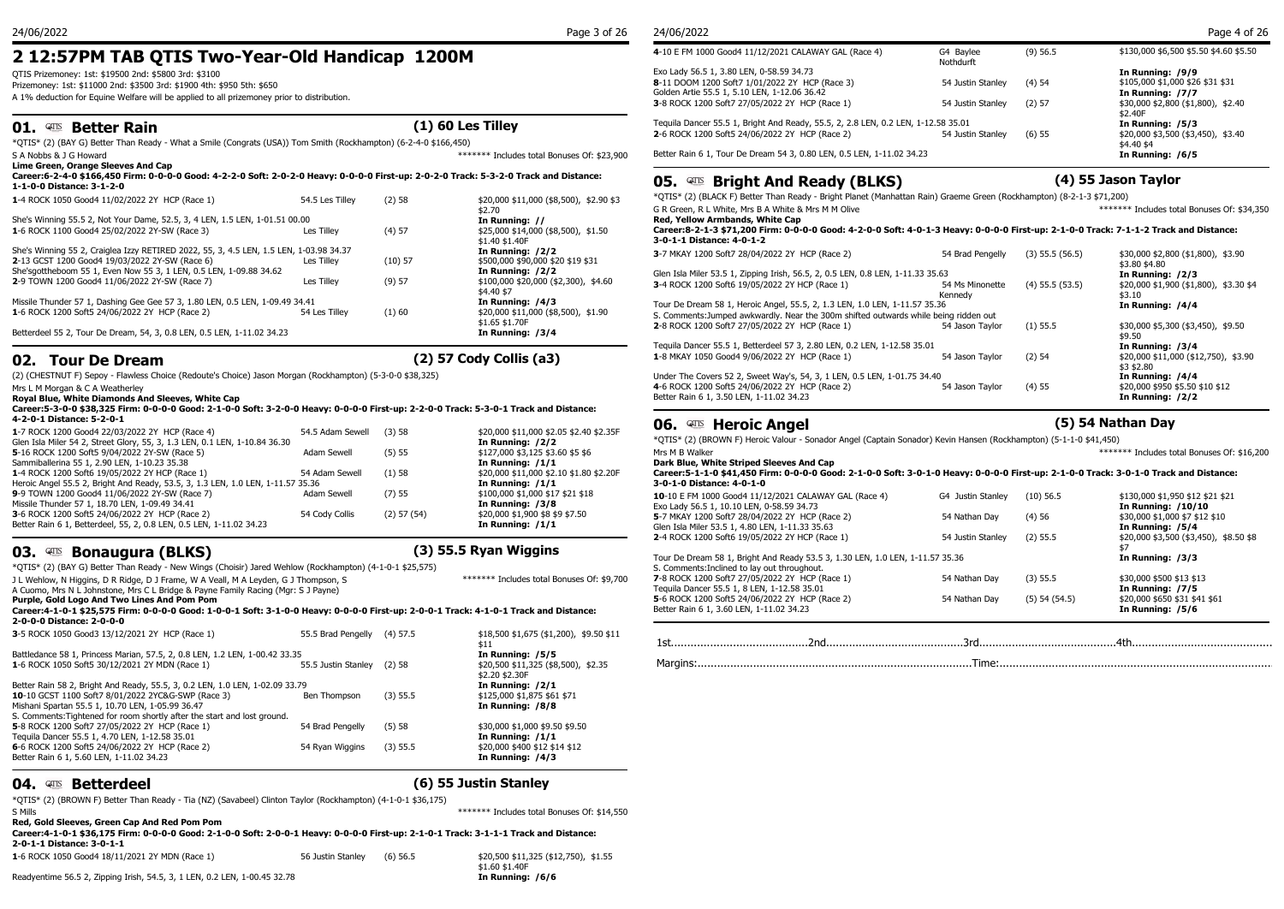## **2 12:57PM TAB QTIS Two-Year-Old Handicap 1200M**

QTIS Prizemoney: 1st: \$19500 2nd: \$5800 3rd: \$3100

Prizemoney: 1st: \$11000 2nd: \$3500 3rd: \$1900 4th: \$950 5th: \$650

A 1% deduction for Equine Welfare will be applied to all prizemoney prior to distribution.

## **01. Better Rain (1) 60 Les Tilley**

\*QTIS\* (2) (BAY G) Better Than Ready - What a Smile (Congrats (USA)) Tom Smith (Rockhampton) (6-2-4-0 \$166,450)

| S A Nobbs & J G Howard<br>Lime Green, Orange Sleeves And Cap                                                                                                        |                 |           | ******* Includes total Bonuses Of: \$23,900           | Better Rain 6 1, Tour De Dream 54 3, 0.80 LEN, 0.5 LEN, 1-11.02 34.23                                                                                              |                            |                     | In Running: /6/5                                 |  |  |
|---------------------------------------------------------------------------------------------------------------------------------------------------------------------|-----------------|-----------|-------------------------------------------------------|--------------------------------------------------------------------------------------------------------------------------------------------------------------------|----------------------------|---------------------|--------------------------------------------------|--|--|
| Career:6-2-4-0 \$166,450 Firm: 0-0-0-0 Good: 4-2-2-0 Soft: 2-0-2-0 Heavy: 0-0-0-0 First-up: 2-0-2-0 Track: 5-3-2-0 Track and Distance:<br>1-1-0-0 Distance: 3-1-2-0 |                 |           | <b>Bright And Ready (BLKS)</b><br>05.<br>QTS          |                                                                                                                                                                    |                            | (4) 55 Jason Taylor |                                                  |  |  |
| 1-4 ROCK 1050 Good4 11/02/2022 2Y HCP (Race 1)                                                                                                                      | 54.5 Les Tillev | (2)58     | \$20,000 \$11,000 (\$8,500), \$2.90 \$3               | *OTIS* (2) (BLACK F) Better Than Ready - Bright Planet (Manhattan Rain) Graeme Green (Rockhampton) (8-2-1-3 \$71,200)                                              |                            |                     |                                                  |  |  |
|                                                                                                                                                                     |                 |           | \$2.70                                                | G R Green, R L White, Mrs B A White & Mrs M M Olive                                                                                                                |                            |                     | ******* Includes total Bonuses Of: \$34,350      |  |  |
| She's Winning 55.5 2, Not Your Dame, 52.5, 3, 4 LEN, 1.5 LEN, 1-01.51 00.00                                                                                         |                 |           | In Running: //                                        | Red, Yellow Armbands, White Cap                                                                                                                                    |                            |                     |                                                  |  |  |
| 1-6 ROCK 1100 Good4 25/02/2022 2Y-SW (Race 3)                                                                                                                       | Les Tillev      | (4) 57    | \$25,000 \$14,000 (\$8,500), \$1.50<br>\$1.40 \$1.40F | Career:8-2-1-3 \$71,200 Firm: 0-0-0-0 Good: 4-2-0-0 Soft: 4-0-1-3 Heavy: 0-0-0-0 First-up: 2-1-0-0 Track: 7-1-1-2 Track and Distance:<br>3-0-1-1 Distance: 4-0-1-2 |                            |                     |                                                  |  |  |
| She's Winning 55 2, Craiglea Izzy RETIRED 2022, 55, 3, 4.5 LEN, 1.5 LEN, 1-03.98 34.37                                                                              |                 |           | In Running: /2/2                                      | 3-7 MKAY 1200 Soft7 28/04/2022 2Y HCP (Race 2)                                                                                                                     | 54 Brad Pengelly           | $(3)$ 55.5 (56.5)   | \$30,000 \$2,800 (\$1,800), \$3.90               |  |  |
| 2-13 GCST 1200 Good4 19/03/2022 2Y-SW (Race 6)                                                                                                                      | Les Tilley      | $(10)$ 57 | \$500,000 \$90,000 \$20 \$19 \$31                     |                                                                                                                                                                    |                            |                     | \$3.80 \$4.80                                    |  |  |
| She'sgottheboom 55 1, Even Now 55 3, 1 LEN, 0.5 LEN, 1-09.88 34.62                                                                                                  |                 |           | In Running: /2/2                                      | Glen Isla Miler 53.5 1, Zipping Irish, 56.5, 2, 0.5 LEN, 0.8 LEN, 1-11.33 35.63                                                                                    |                            |                     | In Running: /2/3                                 |  |  |
| 2-9 TOWN 1200 Good4 11/06/2022 2Y-SW (Race 7)                                                                                                                       | Les Tilley      | (9) 57    | \$100,000 \$20,000 (\$2,300), \$4.60<br>\$4.40 \$7    | 3-4 ROCK 1200 Soft6 19/05/2022 2Y HCP (Race 1)                                                                                                                     | 54 Ms Minonette<br>Kennedv | $(4)$ 55.5 $(53.5)$ | \$20,000 \$1,900 (\$1,800), \$3.30 \$4<br>\$3.10 |  |  |
| Missile Thunder 57 1, Dashing Gee Gee 57 3, 1.80 LEN, 0.5 LEN, 1-09.49 34.41                                                                                        |                 |           | In Running: /4/3                                      | Tour De Dream 58 1, Heroic Angel, 55.5, 2, 1.3 LEN, 1.0 LEN, 1-11.57 35.36                                                                                         |                            |                     | In Running: /4/4                                 |  |  |
| 1-6 ROCK 1200 Soft5 24/06/2022 2Y HCP (Race 2)                                                                                                                      | 54 Les Tillev   | (1)60     | \$20,000 \$11,000 (\$8,500), \$1.90                   | S. Comments: Jumped awkwardly. Near the 300m shifted outwards while being ridden out                                                                               |                            |                     |                                                  |  |  |
| Betterdeel 55 2, Tour De Dream, 54, 3, 0.8 LEN, 0.5 LEN, 1-11.02 34.23                                                                                              |                 |           | \$1.65 \$1.70F<br>In Running: /3/4                    | 2-8 ROCK 1200 Soft7 27/05/2022 2Y HCP (Race 1)                                                                                                                     | 54 Jason Tavlor            | $(1)$ 55.5          | \$30,000 \$5,300 (\$3,450), \$9.50<br>\$9.50     |  |  |
|                                                                                                                                                                     |                 |           |                                                       | Tequila Dancer 55.5 1, Betterdeel 57 3, 2.80 LEN, 0.2 LEN, 1-12.58 35.01                                                                                           |                            |                     | In Running: /3/4                                 |  |  |

## **02. Tour De Dream (2) 57 Cody Collis (a3)**

(2) (CHESTNUT F) Sepoy - Flawless Choice (Redoute's Choice) Jason Morgan (Rockhampton) (5-3-0-0 \$38,325)

Mrs L M Morgan & C A Weatherley

**Royal Blue, White Diamonds And Sleeves, White Cap**

| Career:5-3-0-0 \$38,325 Firm: 0-0-0-0 Good: 2-1-0-0 Soft: 3-2-0-0 Heavy: 0-0-0-0 First-up: 2-2-0-0 Track: 5-3-0-1 Track and Distance: |                         |  |                                         |  |  |  |  |  |
|---------------------------------------------------------------------------------------------------------------------------------------|-------------------------|--|-----------------------------------------|--|--|--|--|--|
| 4-2-0-1 Distance: 5-2-0-1                                                                                                             |                         |  |                                         |  |  |  |  |  |
| 1-7 ROCK 1200 Good4 22/03/2022 2Y HCP (Race 4)                                                                                        | 54.5 Adam Sewell (3) 58 |  | \$20,000 \$11,000 \$2.05 \$2.40 \$2.35F |  |  |  |  |  |

| <b>I</b> TWOCK IZOD GOOD ZZJOSTZOZZ ZT TICI (ROCC T)                            | JT.J AUGHI JUVULI | ,,,,,,          | <b>PLU,000 PLI,000 PL.00 PL.10 PL.00</b> |                            |
|---------------------------------------------------------------------------------|-------------------|-----------------|------------------------------------------|----------------------------|
| Glen Isla Miler 54 2, Street Glory, 55, 3, 1.3 LEN, 0.1 LEN, 1-10.84 36.30      |                   |                 | In Running: /2/2                         | $*$ OTIS $*$ (2) (BROWN F) |
| 5-16 ROCK 1200 Soft5 9/04/2022 2Y-SW (Race 5)                                   | Adam Sewell       | (5) 55          | \$127,000 \$3,125 \$3.60 \$5 \$6         | Mrs M B Walker             |
| Sammiballerina 55 1, 2.90 LEN, 1-10.23 35.38                                    |                   |                 | In Running: /1/1                         | Dark Blue, White Str       |
| 1-4 ROCK 1200 Soft6 19/05/2022 2Y HCP (Race 1)                                  | 54 Adam Sewell    | (1)58           | \$20,000 \$11,000 \$2.10 \$1.80 \$2.20F  | Career: 5-1-1-0 \$41.      |
| Heroic Angel 55.5 2, Bright And Ready, 53.5, 3, 1.3 LEN, 1.0 LEN, 1-11.57 35.36 |                   |                 | In Running: /1/1                         | 3-0-1-0 Distance: 4-       |
| 9-9 TOWN 1200 Good4 11/06/2022 2Y-SW (Race 7)                                   | Adam Sewell       | $(7)$ 55        | \$100,000 \$1,000 \$17 \$21 \$18         | 10-10 E FM 1000 Good       |
| Missile Thunder 57 1, 18.70 LEN, 1-09.49 34.41                                  |                   |                 | In Running: /3/8                         | Exo Lady 56.5 1, 10.10     |
| 3-6 ROCK 1200 Soft5 24/06/2022 2Y HCP (Race 2)                                  | 54 Cody Collis    | $(2)$ 57 $(54)$ | \$20,000 \$1,900 \$8 \$9 \$7.50          | 5-7 MKAY 1200 Soft7 2      |
| Better Rain 6 1, Betterdeel, 55, 2, 0.8 LEN, 0.5 LEN, 1-11.02 34.23             |                   |                 | In Running: $/1/1$                       | Glen Isla Miler 53.5 1.    |
|                                                                                 |                   |                 |                                          |                            |

## **03.**  $\frac{\text{d}}{\text{d}}$  **Bonaugura (BLKS) (3) 55.5 Ryan Wiggins**

\*QTIS\* (2) (BAY G) Better Than Ready - New Wings (Choisir) Jared Wehlow (Rockhampton) (4-1-0-1 \$25,575) J L Wehlow, N Higgins, D R Ridge, D J Frame, W A Veall, M A Leyden, G J Thompson, S A Cuomo, Mrs N L Johnstone, Mrs C L Bridge & Payne Family Racing (Mgr: S J Payne) \*\*\*\*\*\*\* Includes total Bonuses Of: \$9,700

**Purple, Gold Logo And Two Lines And Pom Pom Career:4-1-0-1 \$25,575 Firm: 0-0-0-0 Good: 1-0-0-1 Soft: 3-1-0-0 Heavy: 0-0-0-0 First-up: 2-0-0-1 Track: 4-1-0-1 Track and Distance: 2-0-0-0 Distance: 2-0-0-0**

| 6-6 ROCK 1200 Soft5 24/06/2022 2Y HCP (Race 2)<br>Better Rain 6 1, 5.60 LEN, 1-11.02 34.23                                    | 54 Ryan Wiggins     | (3) 55.5   | \$20,000 \$400 \$12 \$14 \$12<br>In Running: /4/3                          |          |
|-------------------------------------------------------------------------------------------------------------------------------|---------------------|------------|----------------------------------------------------------------------------|----------|
| Tequila Dancer 55.5 1, 4.70 LEN, 1-12.58 35.01                                                                                |                     |            | In Running: $/1/1$                                                         |          |
| S. Comments: Tightened for room shortly after the start and lost ground.<br>5-8 ROCK 1200 Soft7 27/05/2022 2Y HCP (Race 1)    | 54 Brad Pengelly    | (5) 58     | \$30,000 \$1,000 \$9.50 \$9.50                                             |          |
| 10-10 GCST 1100 Soft7 8/01/2022 2YC&G-SWP (Race 3)<br>Mishani Spartan 55.5 1, 10.70 LEN, 1-05.99 36.47                        | Ben Thompson        | (3) 55.5   | \$125,000 \$1,875 \$61 \$71<br>In Running: /8/8                            |          |
| Better Rain 58 2, Bright And Ready, 55.5, 3, 0.2 LEN, 1.0 LEN, 1-02.09 33.79                                                  |                     |            | In Running: /2/1                                                           |          |
| Battledance 58 1, Princess Marian, 57.5, 2, 0.8 LEN, 1.2 LEN, 1-00.42 33.35<br>1-6 ROCK 1050 Soft5 30/12/2021 2Y MDN (Race 1) | 55.5 Justin Stanlev | (2)58      | In Running: /5/5<br>$$20,500$ \$11,325 (\$8,500), \$2.35<br>\$2.20 \$2.30F | Margins: |
| 3-5 ROCK 1050 Good3 13/12/2021 2Y HCP (Race 1)                                                                                | 55.5 Brad Pengelly  | $(4)$ 57.5 | \$18,500 \$1,675 (\$1,200), \$9.50 \$11<br>\$11                            | 1st      |

## **04.**  $\alpha$  **Betterdeel 10. In the standard standard (6) 55 Justin Stanley <b>10.**

\*QTIS\* (2) (BROWN F) Better Than Ready - Tia (NZ) (Savabeel) Clinton Taylor (Rockhampton) (4-1-0-1 \$36,175) S Mills \*\*\*\*\*\*\* Includes total Bonuses Of: \$14,550

**Red, Gold Sleeves, Green Cap And Red Pom Pom**

| Career:4-1-0-1 \$36.175 Firm: 0-0-0-0 Good: 2-1-0-0 Soft: 2-0-0-1 Heavy: 0-0-0-0 First-up: 2-1-0-1 Track: 3-1-1-1 Track and Distance:<br>2-0-1-1 Distance: 3-0-1-1 |                   |            |                                                        |  |
|--------------------------------------------------------------------------------------------------------------------------------------------------------------------|-------------------|------------|--------------------------------------------------------|--|
| 1-6 ROCK 1050 Good4 18/11/2021 2Y MDN (Race 1)                                                                                                                     | 56 Justin Stanlev | $(6)$ 56.5 | \$20,500 \$11,325 (\$12,750), \$1,55<br>\$1.60 \$1.40F |  |
| Readyentime 56.5 2, Zipping Irish, 54.5, 3, 1 LEN, 0.2 LEN, 1-00.45 32.78                                                                                          |                   |            | In Running: /6/6                                       |  |

| 4-10 E FM 1000 Good4 11/12/2021 CALAWAY GAL (Race 4)                              | G4 Bavlee<br>Nothdurft | $(9)$ 56.5 | \$130,000 \$6,500 \$5.50 \$4.60 \$5.50 |
|-----------------------------------------------------------------------------------|------------------------|------------|----------------------------------------|
| Exo Lady 56.5 1, 3.80 LEN, 0-58.59 34.73                                          |                        |            | In Running: /9/9                       |
| 8-11 DOOM 1200 Soft7 1/01/2022 2Y HCP (Race 3)                                    | 54 Justin Stanley      | $(4)$ 54   | \$105,000 \$1,000 \$26 \$31 \$31       |
| Golden Artie 55.5 1, 5.10 LEN, 1-12.06 36.42                                      |                        |            | In Running: /7/7                       |
| 3-8 ROCK 1200 Soft7 27/05/2022 2Y HCP (Race 1)                                    | 54 Justin Stanley      | (2) 57     | \$30,000 \$2,800 (\$1,800), \$2.40     |
|                                                                                   |                        |            | \$2.40F                                |
| Tequila Dancer 55.5 1, Bright And Ready, 55.5, 2, 2.8 LEN, 0.2 LEN, 1-12.58 35.01 |                        |            | In Running: /5/3                       |
| 2-6 ROCK 1200 Soft5 24/06/2022 2Y HCP (Race 2)                                    | 54 Justin Stanley      | (6) 55     | \$20,000 \$3,500 (\$3,450), \$3.40     |
|                                                                                   |                        |            | \$4.40 \$4                             |
| Botton Boin 6.1 Tour Do Droom E4.2, 0.80 LEN 0.5 LEN 1.11.02.24.22                |                        |            | $T = D$ $I = I E$                      |

## **05. Bright And Ready (BLKS) (4) 55 Jason Taylor**

#### **Red, Yellow Armbands, White Cap Career:8-2-1-3 \$71,200 Firm: 0-0-0-0 Good: 4-2-0-0 Soft: 4-0-1-3 Heavy: 0-0-0-0 First-up: 2-1-0-0 Track: 7-1-1-2 Track and Distance: 3-0-1-1 Distance: 4-0-1-2**

| 3-7 MKAY 1200 Soft7 28/04/2022 2Y HCP (Race 2)                                       | 54 Brad Pengelly           | $(3)$ 55.5 $(56.5)$ | \$30,000 \$2,800 (\$1,800), \$3.90<br>\$3.80 \$4.80 |
|--------------------------------------------------------------------------------------|----------------------------|---------------------|-----------------------------------------------------|
| Glen Isla Miler 53.5 1, Zipping Irish, 56.5, 2, 0.5 LEN, 0.8 LEN, 1-11.33 35.63      |                            |                     | In Running: /2/3                                    |
| 3-4 ROCK 1200 Soft6 19/05/2022 2Y HCP (Race 1)                                       | 54 Ms Minonette<br>Kennedy | $(4)$ 55.5 $(53.5)$ | \$20,000 \$1,900 (\$1,800), \$3.30 \$4<br>\$3.10    |
| Tour De Dream 58 1, Heroic Angel, 55.5, 2, 1.3 LEN, 1.0 LEN, 1-11.57 35.36           |                            |                     | In Running: /4/4                                    |
| S. Comments: Jumped awkwardly. Near the 300m shifted outwards while being ridden out |                            |                     |                                                     |
| 2-8 ROCK 1200 Soft7 27/05/2022 2Y HCP (Race 1)                                       | 54 Jason Tavlor            | $(1)$ 55.5          | \$30,000 \$5,300 (\$3,450), \$9.50<br>\$9.50        |
| Tequila Dancer 55.5 1, Betterdeel 57 3, 2.80 LEN, 0.2 LEN, 1-12.58 35.01             |                            |                     | In Running: /3/4                                    |
| 1-8 MKAY 1050 Good4 9/06/2022 2Y HCP (Race 1)                                        | 54 Jason Taylor            | (2) 54              | \$20,000 \$11,000 (\$12,750), \$3.90<br>$$3$ \$2.80 |
| Under The Covers 52 2, Sweet Way's, 54, 3, 1 LEN, 0.5 LEN, 1-01.75 34.40             |                            |                     | In Running: /4/4                                    |
| 4-6 ROCK 1200 Soft5 24/06/2022 2Y HCP (Race 2)                                       | 54 Jason Taylor            | (4) 55              | \$20,000 \$950 \$5.50 \$10 \$12                     |
| Better Rain 6 1, 3.50 LEN, 1-11.02 34.23                                             |                            |                     | In Running: /2/2                                    |

## **06.**  $QIS$  **Heroic Angel 2008 (5) 54 Nathan Day**

\*QTIS\* (2) (BROWN F) Heroic Valour - Sonador Angel (Captain Sonador) Kevin Hansen (Rockhampton) (5-1-1-0 \$41,450)

| Mrs M B Walker<br>Dark Blue, White Striped Sleeves And Cap<br>Career:5-1-1-0 \$41.450 Firm: 0-0-0-0 Good: 2-1-0-0 Soft: 3-0-1-0 Heavy: 0-0-0-0 First-up: 2-1-0-0 Track: 3-0-1-0 Track and Distance: |                   |                   | ******* Includes total Bonuses Of: \$16,200    |
|-----------------------------------------------------------------------------------------------------------------------------------------------------------------------------------------------------|-------------------|-------------------|------------------------------------------------|
| 3-0-1-0 Distance: 4-0-1-0                                                                                                                                                                           |                   |                   |                                                |
| 10-10 E FM 1000 Good4 11/12/2021 CALAWAY GAL (Race 4)                                                                                                                                               | G4 Justin Stanley | $(10)$ 56.5       | \$130,000 \$1,950 \$12 \$21 \$21               |
| Exo Lady 56.5 1, 10.10 LEN, 0-58.59 34.73                                                                                                                                                           |                   |                   | In Running: /10/10                             |
| 5-7 MKAY 1200 Soft7 28/04/2022 2Y HCP (Race 2)                                                                                                                                                      | 54 Nathan Dav     | (4)56             | \$30,000 \$1,000 \$7 \$12 \$10                 |
| Glen Isla Miler 53.5 1, 4.80 LEN, 1-11.33 35.63                                                                                                                                                     |                   |                   | In Running: /5/4                               |
| 2-4 ROCK 1200 Soft6 19/05/2022 2Y HCP (Race 1)                                                                                                                                                      | 54 Justin Stanley | $(2)$ 55.5        | $$20,000$ \$3,500 (\$3,450), \$8.50 \$8<br>\$7 |
| Tour De Dream 58 1, Bright And Ready 53.5 3, 1.30 LEN, 1.0 LEN, 1-11.57 35.36<br>S. Comments: Inclined to lay out throughout.                                                                       |                   |                   | In Running: /3/3                               |
| 7-8 ROCK 1200 Soft7 27/05/2022 2Y HCP (Race 1)                                                                                                                                                      | 54 Nathan Dav     | (3) 55.5          | \$30,000 \$500 \$13 \$13                       |
| Tequila Dancer 55.5 1, 8 LEN, 1-12.58 35.01                                                                                                                                                         |                   |                   | In Running: /7/5                               |
| 5-6 ROCK 1200 Soft5 24/06/2022 2Y HCP (Race 2)                                                                                                                                                      | 54 Nathan Dav     | $(5)$ 54 $(54.5)$ | \$20,000 \$650 \$31 \$41 \$61                  |
| Better Rain 6 1, 3.60 LEN, 1-11.02 34.23                                                                                                                                                            |                   |                   | In Running: /5/6                               |

| ___ |      |  |
|-----|------|--|
|     | l ır |  |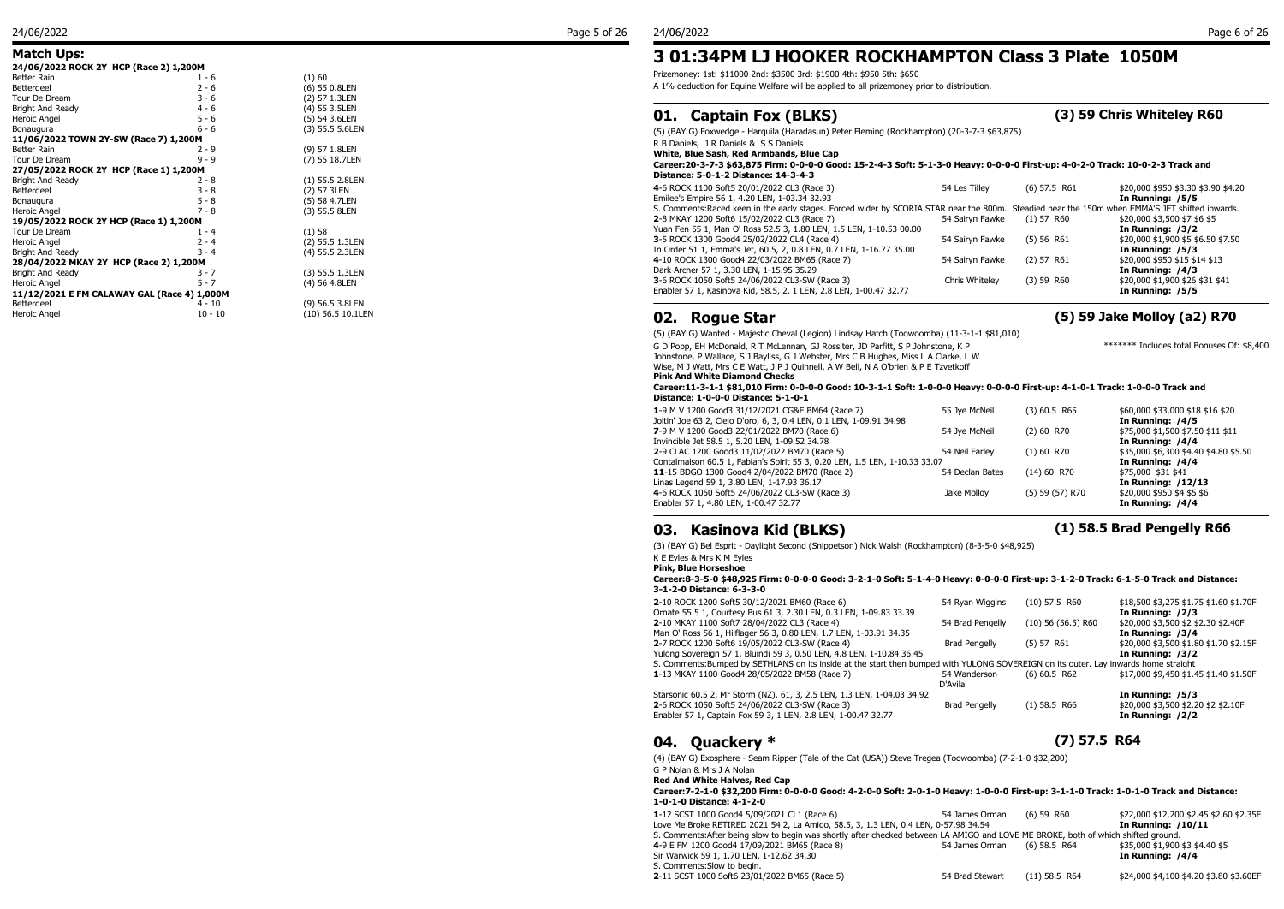### **Match Ups:**

| 24/06/2022 ROCK 2Y HCP (Race 2) 1,200M      |           |                      |  |
|---------------------------------------------|-----------|----------------------|--|
| Better Rain                                 | 1 - 6     | (1)60                |  |
| Betterdeel                                  | $2 - 6$   | $(6)$ 55 0.8LEN      |  |
| Tour De Dream                               | $3 - 6$   | (2) 57 1.3LEN        |  |
| Bright And Ready                            | $4 - 6$   | (4) 55 3.5LEN        |  |
| Heroic Angel                                | $5 - 6$   | (5) 54 3.6LEN        |  |
| Bonaugura                                   | $6 - 6$   | (3) 55.5 5.6LEN      |  |
| 11/06/2022 TOWN 2Y-SW (Race 7) 1,200M       |           |                      |  |
| Better Rain                                 | $2 - 9$   | (9) 57 1.8LEN        |  |
| Tour De Dream                               | $9 - 9$   | (7) 55 18.7LEN       |  |
| 27/05/2022 ROCK 2Y HCP (Race 1) 1,200M      |           |                      |  |
| Bright And Ready                            | $2 - 8$   | (1) 55.5 2.8LEN      |  |
| Betterdeel                                  | $3 - 8$   | (2) 57 3LEN          |  |
| Bonaugura                                   | $5 - 8$   | (5) 58 4.7LEN        |  |
| Heroic Angel                                | $7 - 8$   | (3) 55.5 8LEN        |  |
| 19/05/2022 ROCK 2Y HCP (Race 1) 1,200M      |           |                      |  |
| Tour De Dream                               | $1 - 4$   | (1)58                |  |
| Heroic Angel                                | $2 - 4$   | (2) 55.5 1.3LEN      |  |
| Bright And Ready                            | $3 - 4$   | (4) 55.5 2.3LEN      |  |
| 28/04/2022 MKAY 2Y HCP (Race 2) 1,200M      |           |                      |  |
| Bright And Ready                            | $3 - 7$   | (3) 55.5 1.3LEN      |  |
| Heroic Angel                                | $5 - 7$   | (4) 56 4.8LEN        |  |
| 11/12/2021 E FM CALAWAY GAL (Race 4) 1,000M |           |                      |  |
| Betterdeel                                  | 4 - 10    | (9) 56.5 3.8LEN      |  |
| Heroic Angel                                | $10 - 10$ | $(10)$ 56.5 10.11 FN |  |

(9) 56.5 3.8LEN  $(10)$  56.5 10.1LEN Prizemoney: 1st: \$11000 2nd: \$3500 3rd: \$1900 4th: \$950 5th: \$650

A 1% deduction for Equine Welfare will be applied to all prizemoney prior to distribution.

## **01. Captain Fox (BLKS) (3) 59 Chris Whiteley R60**

(5) (BAY G) Foxwedge - Harquila (Haradasun) Peter Fleming (Rockhampton) (20-3-7-3 \$63,875)

R B Daniels, J R Daniels & S S Daniels

**White, Blue Sash, Red Armbands, Blue Cap**

#### **Career:20-3-7-3 \$63,875 Firm: 0-0-0-0 Good: 15-2-4-3 Soft: 5-1-3-0 Heavy: 0-0-0-0 First-up: 4-0-2-0 Track: 10-0-2-3 Track and Distance: 5-0-1-2 Distance: 14-3-4-3**

| 4-6 ROCK 1100 Soft5 20/01/2022 CL3 (Race 3)                                                                                                     | 54 Les Tillev   | $(6)$ 57.5 R61 | \$20,000 \$950 \$3.30 \$3.90 \$4.20 |
|-------------------------------------------------------------------------------------------------------------------------------------------------|-----------------|----------------|-------------------------------------|
| Emilee's Empire 56 1, 4.20 LEN, 1-03.34 32.93                                                                                                   |                 |                | In Running: /5/5                    |
| S. Comments: Raced keen in the early stages. Forced wider by SCORIA STAR near the 800m. Steadied near the 150m when EMMA'S JET shifted inwards. |                 |                |                                     |
| 2-8 MKAY 1200 Soft6 15/02/2022 CL3 (Race 7)                                                                                                     | 54 Sairvn Fawke | $(1)$ 57 R60   | \$20,000 \$3,500 \$7 \$6 \$5        |
| Yuan Fen 55 1, Man O' Ross 52.5 3, 1.80 LEN, 1.5 LEN, 1-10.53 00.00                                                                             |                 |                | In Running: /3/2                    |
| 3-5 ROCK 1300 Good4 25/02/2022 CL4 (Race 4)                                                                                                     | 54 Sairvn Fawke | (5) 56 R61     | \$20,000 \$1,900 \$5 \$6.50 \$7.50  |
| In Order 51 1, Emma's Jet, 60.5, 2, 0.8 LEN, 0.7 LEN, 1-16.77 35.00                                                                             |                 |                | In Running: /5/3                    |
| 4-10 ROCK 1300 Good4 22/03/2022 BM65 (Race 7)                                                                                                   | 54 Sairyn Fawke | $(2)$ 57 R61   | \$20,000 \$950 \$15 \$14 \$13       |
| Dark Archer 57 1, 3.30 LEN, 1-15.95 35.29                                                                                                       |                 |                | In Running: /4/3                    |
| 3-6 ROCK 1050 Soft5 24/06/2022 CL3-SW (Race 3)                                                                                                  | Chris Whitelev  | $(3)$ 59 R60   | \$20,000 \$1,900 \$26 \$31 \$41     |
| Enabler 57 1, Kasinova Kid, 58.5, 2, 1 LEN, 2.8 LEN, 1-00.47 32.77                                                                              |                 |                | In Running: /5/5                    |
|                                                                                                                                                 |                 |                |                                     |

### **02. Rogue Star (5) 59 Jake Molloy (a2) R70**

(5) (BAY G) Wanted - Majestic Cheval (Legion) Lindsay Hatch (Toowoomba) (11-3-1-1 \$81,010) G D Popp, EH McDonald, R T McLennan, GJ Rossiter, JD Parfitt, S P Johnstone, K P

Johnstone, P Wallace, S J Bayliss, G J Webster, Mrs C B Hughes, Miss L A Clarke, L W Wise, M J Watt, Mrs C E Watt, J P J Quinnell, A W Bell, N A O'brien & P E Tzvetkoff **Pink And White Diamond Checks**

**Career:11-3-1-1 \$81,010 Firm: 0-0-0-0 Good: 10-3-1-1 Soft: 1-0-0-0 Heavy: 0-0-0-0 First-up: 4-1-0-1 Track: 1-0-0-0 Track and Distance: 1-0-0-0 Distance: 5-1-0-1**

| 1-9 M V 1200 Good3 31/12/2021 CG&E BM64 (Race 7)                            | 55 Jve McNeil   | $(3)$ 60.5 R65  | \$60,000 \$33,000 \$18 \$16 \$20      |
|-----------------------------------------------------------------------------|-----------------|-----------------|---------------------------------------|
| Joltin' Joe 63 2, Cielo D'oro, 6, 3, 0.4 LEN, 0.1 LEN, 1-09.91 34.98        |                 |                 | In Running: /4/5                      |
| 7-9 M V 1200 Good3 22/01/2022 BM70 (Race 6)                                 | 54 Jve McNeil   | $(2)$ 60 R70    | \$75,000 \$1,500 \$7.50 \$11 \$11     |
| Invincible Jet 58.5 1, 5.20 LEN, 1-09.52 34.78                              |                 |                 | In Running: /4/4                      |
| 2-9 CLAC 1200 Good3 11/02/2022 BM70 (Race 5)                                | 54 Neil Farlev  | $(1)$ 60 R70    | \$35,000 \$6,300 \$4.40 \$4.80 \$5.50 |
| Contalmaison 60.5 1, Fabian's Spirit 55 3, 0.20 LEN, 1.5 LEN, 1-10.33 33.07 |                 |                 | In Running: /4/4                      |
| 11-15 BDGO 1300 Good4 2/04/2022 BM70 (Race 2)                               | 54 Declan Bates | $(14)$ 60 R70   | \$75,000 \$31 \$41                    |
| Linas Legend 59 1, 3.80 LEN, 1-17.93 36.17                                  |                 |                 | In Running: /12/13                    |
| 4-6 ROCK 1050 Soft5 24/06/2022 CL3-SW (Race 3)                              | Jake Mollov     | (5) 59 (57) R70 | \$20,000 \$950 \$4 \$5 \$6            |
| Enabler 57 1, 4.80 LEN, 1-00.47 32.77                                       |                 |                 | In Running: /4/4                      |
|                                                                             |                 |                 |                                       |

## **03. Kasinova Kid (BLKS) (1) 58.5 Brad Pengelly R66**

(3) (BAY G) Bel Esprit - Daylight Second (Snippetson) Nick Walsh (Rockhampton) (8-3-5-0 \$48,925)

K E Eyles & Mrs K M Eyles

**Pink, Blue Horseshoe**

**Career:8-3-5-0 \$48,925 Firm: 0-0-0-0 Good: 3-2-1-0 Soft: 5-1-4-0 Heavy: 0-0-0-0 First-up: 3-1-2-0 Track: 6-1-5-0 Track and Distance: 3-1-2-0 Distance: 6-3-3-0**

| 2-10 ROCK 1200 Soft5 30/12/2021 BM60 (Race 6)<br>Ornate 55.5 1, Courtesy Bus 61 3, 2.30 LEN, 0.3 LEN, 1-09.83 33.39                  | 54 Ryan Wiggins         | $(10)$ 57.5 R60        | \$18,500 \$3,275 \$1.75 \$1.60 \$1.70F<br>In Running: /2/3 |
|--------------------------------------------------------------------------------------------------------------------------------------|-------------------------|------------------------|------------------------------------------------------------|
| 2-10 MKAY 1100 Soft7 28/04/2022 CL3 (Race 4)                                                                                         | 54 Brad Pengelly        | $(10)$ 56 $(56.5)$ R60 | \$20,000 \$3,500 \$2 \$2.30 \$2.40F                        |
| Man O' Ross 56 1, Hilflager 56 3, 0.80 LEN, 1.7 LEN, 1-03.91 34.35<br>2-7 ROCK 1200 Soft6 19/05/2022 CL3-SW (Race 4)                 | <b>Brad Pengelly</b>    | (5) 57 R61             | In Running: /3/4<br>\$20,000 \$3,500 \$1.80 \$1.70 \$2.15F |
| Yulong Sovereign 57 1, Bluindi 59 3, 0.50 LEN, 4.8 LEN, 1-10.84 36.45                                                                |                         |                        | In Running: /3/2                                           |
| S. Comments: Bumped by SETHLANS on its inside at the start then bumped with YULONG SOVEREIGN on its outer. Lay inwards home straight |                         |                        |                                                            |
| 1-13 MKAY 1100 Good4 28/05/2022 BM58 (Race 7)                                                                                        | 54 Wanderson<br>D'Avila | $(6)$ 60.5 R62         | \$17,000 \$9,450 \$1.45 \$1.40 \$1.50F                     |
| Starsonic 60.5 2, Mr Storm (NZ), 61, 3, 2.5 LEN, 1.3 LEN, 1-04.03 34.92                                                              |                         |                        | In Running: /5/3                                           |
| 2-6 ROCK 1050 Soft5 24/06/2022 CL3-SW (Race 3)<br>Enabler 57 1, Captain Fox 59 3, 1 LEN, 2.8 LEN, 1-00.47 32.77                      | <b>Brad Pengelly</b>    | $(1)$ 58.5 R66         | \$20,000 \$3,500 \$2.20 \$2 \$2.10F<br>In Running: /2/2    |
|                                                                                                                                      |                         |                        |                                                            |

### **04. Quackery \* (7) 57.5 R64**

(4) (BAY G) Exosphere - Seam Ripper (Tale of the Cat (USA)) Steve Tregea (Toowoomba) (7-2-1-0 \$32,200)

G P Nolan & Mrs J A Nolan

#### **Red And White Halves, Red Cap**

**Career:7-2-1-0 \$32,200 Firm: 0-0-0-0 Good: 4-2-0-0 Soft: 2-0-1-0 Heavy: 1-0-0-0 First-up: 3-1-1-0 Track: 1-0-1-0 Track and Distance: 1-0-1-0 Distance: 4-1-2-0**

| 1-12 SCST 1000 Good4 5/09/2021 CL1 (Race 6)                                                                                        | 54 James Orman  | $(6)$ 59 R60    | \$22,000 \$12,200 \$2.45 \$2.60 \$2.35F |
|------------------------------------------------------------------------------------------------------------------------------------|-----------------|-----------------|-----------------------------------------|
| Love Me Broke RETIRED 2021 54 2, La Amigo, 58.5, 3, 1.3 LEN, 0.4 LEN, 0-57.98 34.54                                                |                 |                 | In Running: /10/11                      |
| S. Comments: After being slow to begin was shortly after checked between LA AMIGO and LOVE ME BROKE, both of which shifted ground. |                 |                 |                                         |
| 4-9 E FM 1200 Good4 17/09/2021 BM65 (Race 8)                                                                                       | 54 James Orman  | (6) 58.5 R64    | \$35,000 \$1,900 \$3 \$4.40 \$5         |
| Sir Warwick 59 1, 1.70 LEN, 1-12.62 34.30                                                                                          |                 |                 | In Running: /4/4                        |
| S. Comments: Slow to begin.                                                                                                        |                 |                 |                                         |
| 2-11 SCST 1000 Soft6 23/01/2022 BM65 (Race 5)                                                                                      | 54 Brad Stewart | $(11)$ 58.5 R64 | \$24,000 \$4,100 \$4.20 \$3.80 \$3.60EF |
|                                                                                                                                    |                 |                 |                                         |

\*\*\*\*\*\*\* Includes total Bonuses Of: \$8,400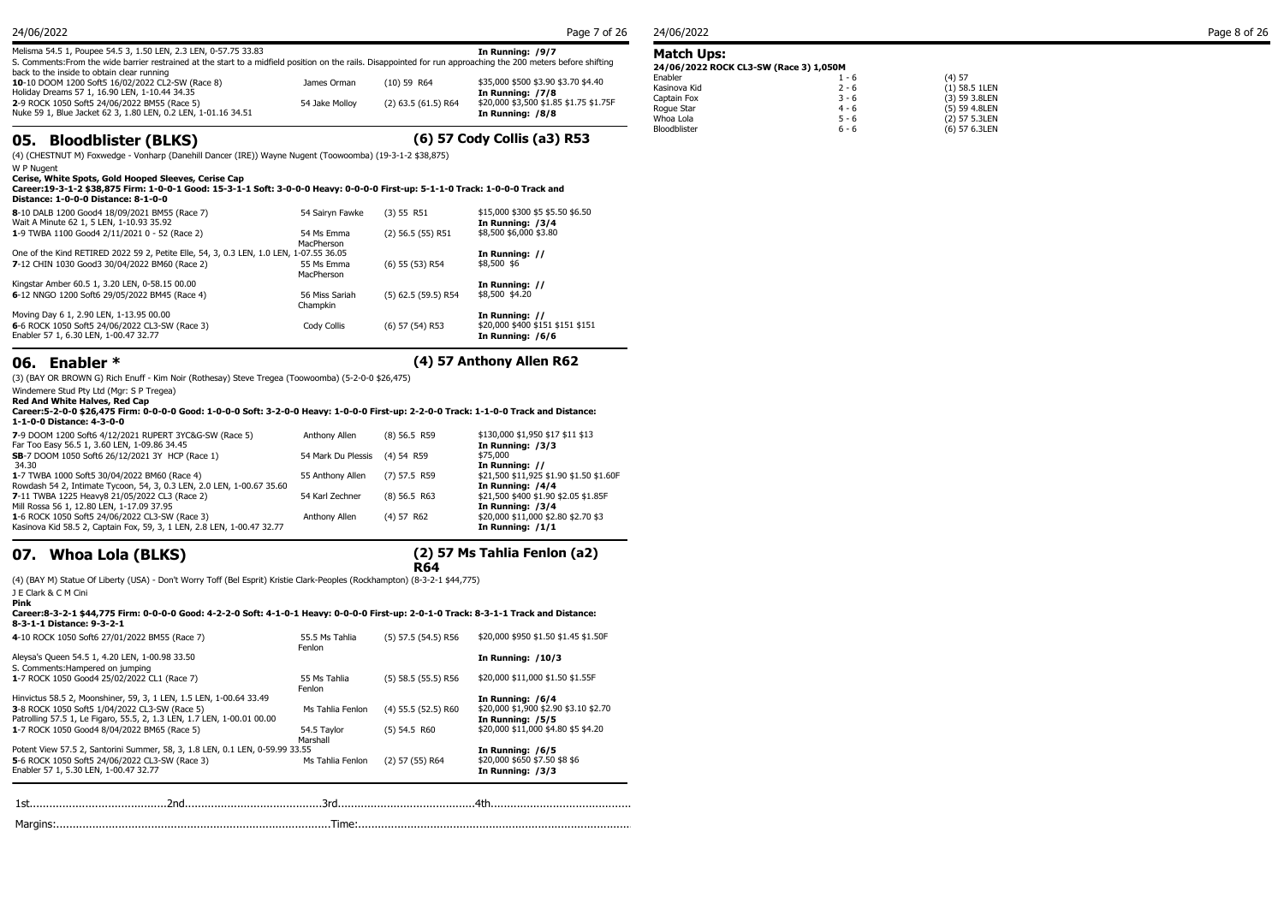| 24/06/2022                                                                                                                                                                                                                         |                |                       | Page 7 of 26                                               | 24/06/2022                               |
|------------------------------------------------------------------------------------------------------------------------------------------------------------------------------------------------------------------------------------|----------------|-----------------------|------------------------------------------------------------|------------------------------------------|
| Melisma 54.5 1, Poupee 54.5 3, 1.50 LEN, 2.3 LEN, 0-57.75 33.83<br>S. Comments: From the wide barrier restrained at the start to a midfield position on the rails. Disappointed for run approaching the 200 meters before shifting |                |                       | In Running: /9/7                                           | Match Ups:<br>24/06/2022 ROCK CL3-SW (Ra |
| back to the inside to obtain clear running<br>10-10 DOOM 1200 Soft5 16/02/2022 CL2-SW (Race 8)<br>Holiday Dreams 57 1, 16.90 LEN, 1-10.44 34.35                                                                                    | James Orman    | $(10)$ 59 R64         | \$35,000 \$500 \$3.90 \$3.70 \$4.40<br>In Running: /7/8    | Enabler<br>Kasinova Kid                  |
| 2-9 ROCK 1050 Soft5 24/06/2022 BM55 (Race 5)<br>Nuke 59 1, Blue Jacket 62 3, 1.80 LEN, 0.2 LEN, 1-01.16 34.51                                                                                                                      | 54 Jake Mollov | $(2)$ 63.5 (61.5) R64 | \$20,000 \$3,500 \$1.85 \$1.75 \$1.75F<br>In Running: /8/8 | Captain Fox<br>Roque Star<br>Whoa Lola   |

## **05. Bloodblister (BLKS) (6) 57 Cody Collis (a3) R53**

(4) (CHESTNUT M) Foxwedge - Vonharp (Danehill Dancer (IRE)) Wayne Nugent (Toowoomba) (19-3-1-2 \$38,875)

W P Nugent

**Cerise, White Spots, Gold Hooped Sleeves, Cerise Cap**

#### **Career:19-3-1-2 \$38,875 Firm: 1-0-0-1 Good: 15-3-1-1 Soft: 3-0-0-0 Heavy: 0-0-0-0 First-up: 5-1-1-0 Track: 1-0-0-0 Track and Distance: 1-0-0-0 Distance: 8-1-0-0**

| 8-10 DALB 1200 Good4 18/09/2021 BM55 (Race 7)<br>Wait A Minute 62 1, 5 LEN, 1-10.93 35.92 | 54 Sairvn Fawke            | $(3)$ 55 R51          | \$15,000 \$300 \$5 \$5.50 \$6.50<br>In Running: /3/4 |
|-------------------------------------------------------------------------------------------|----------------------------|-----------------------|------------------------------------------------------|
| 1-9 TWBA 1100 Good4 2/11/2021 0 - 52 (Race 2)                                             | 54 Ms Emma<br>MacPherson   | $(2)$ 56.5 $(55)$ R51 | \$8,500 \$6,000 \$3.80                               |
| One of the Kind RETIRED 2022 59 2, Petite Elle, 54, 3, 0.3 LEN, 1.0 LEN, 1-07.55 36.05    |                            |                       | In Running: //                                       |
| 7-12 CHIN 1030 Good3 30/04/2022 BM60 (Race 2)                                             | 55 Ms Emma<br>MacPherson   | (6) 55 (53) R54       | \$8,500 \$6                                          |
| Kingstar Amber 60.5 1, 3.20 LEN, 0-58.15 00.00                                            |                            |                       | In Running: //                                       |
| 6-12 NNGO 1200 Soft6 29/05/2022 BM45 (Race 4)                                             | 56 Miss Sariah<br>Champkin | $(5)$ 62.5 (59.5) R54 | \$8,500 \$4.20                                       |
| Moving Day 6 1, 2.90 LEN, 1-13.95 00.00                                                   |                            |                       | In Running: //                                       |
| 6-6 ROCK 1050 Soft5 24/06/2022 CL3-SW (Race 3)<br>Enabler 57 1, 6.30 LEN, 1-00.47 32.77   | Cody Collis                | (6) 57 (54) R53       | \$20,000 \$400 \$151 \$151 \$151<br>In Running: /6/6 |

## **06. Enabler \* (4) 57 Anthony Allen R62**

(3) (BAY OR BROWN G) Rich Enuff - Kim Noir (Rothesay) Steve Tregea (Toowoomba) (5-2-0-0 \$26,475)

Windemere Stud Pty Ltd (Mgr: S P Tregea) **Red And White Halves, Red Cap**

**Career:5-2-0-0 \$26,475 Firm: 0-0-0-0 Good: 1-0-0-0 Soft: 3-2-0-0 Heavy: 1-0-0-0 First-up: 2-2-0-0 Track: 1-1-0-0 Track and Distance: 1-1-0-0 Distance: 4-3-0-0**

| 7-9 DOOM 1200 Soft6 4/12/2021 RUPERT 3YC&G-SW (Race 5)                 | Anthony Allen                 | $(8)$ 56.5 R59 | \$130,000 \$1,950 \$17 \$11 \$13        |
|------------------------------------------------------------------------|-------------------------------|----------------|-----------------------------------------|
| Far Too Easy 56.5 1, 3.60 LEN, 1-09.86 34.45                           |                               |                | In Running: /3/3                        |
| SB-7 DOOM 1050 Soft6 26/12/2021 3Y HCP (Race 1)                        | 54 Mark Du Plessis (4) 54 R59 |                | \$75,000                                |
| 34.30                                                                  |                               |                | In Running: //                          |
| 1-7 TWBA 1000 Soft5 30/04/2022 BM60 (Race 4)                           | 55 Anthony Allen              | (7) 57.5 R59   | \$21,500 \$11,925 \$1.90 \$1.50 \$1.60F |
| Rowdash 54 2, Intimate Tycoon, 54, 3, 0.3 LEN, 2.0 LEN, 1-00.67 35.60  |                               |                | In Running: /4/4                        |
| 7-11 TWBA 1225 Heavy8 21/05/2022 CL3 (Race 2)                          | 54 Karl Zechner               | $(8)$ 56.5 R63 | \$21,500 \$400 \$1.90 \$2.05 \$1.85F    |
| Mill Rossa 56 1, 12.80 LEN, 1-17.09 37.95                              |                               |                | In Running: /3/4                        |
| 1-6 ROCK 1050 Soft5 24/06/2022 CL3-SW (Race 3)                         | Anthony Allen                 | $(4)$ 57 R62   | \$20,000 \$11,000 \$2.80 \$2.70 \$3     |
| Kasinova Kid 58.5 2, Captain Fox, 59, 3, 1 LEN, 2.8 LEN, 1-00.47 32.77 |                               |                | In Running: /1/1                        |
|                                                                        |                               |                |                                         |

## **07. Whoa Lola (BLKS)**

## **(2) 57 Ms Tahlia Fenlon (a2)**

**R64** (4) (BAY M) Statue Of Liberty (USA) - Don't Worry Toff (Bel Esprit) Kristie Clark-Peoples (Rockhampton) (8-3-2-1 \$44,775) J E Clark & C M Cini<br>Pink

### **Pink Career:8-3-2-1 \$44,775 Firm: 0-0-0-0 Good: 4-2-2-0 Soft: 4-1-0-1 Heavy: 0-0-0-0 First-up: 2-0-1-0 Track: 8-3-1-1 Track and Distance: 8-3-1-1 Distance: 9-3-2-1**

| 4-10 ROCK 1050 Soft6 27/01/2022 BM55 (Race 7)                                | 55.5 Ms Tahlia<br>Fenlon | $(5)$ 57.5 (54.5) R56 | \$20,000 \$950 \$1.50 \$1.45 \$1.50F  |
|------------------------------------------------------------------------------|--------------------------|-----------------------|---------------------------------------|
| Aleysa's Queen 54.5 1, 4.20 LEN, 1-00.98 33.50                               |                          |                       | <b>In Running: /10/3</b>              |
| S. Comments: Hampered on jumping                                             |                          |                       |                                       |
| 1-7 ROCK 1050 Good4 25/02/2022 CL1 (Race 7)                                  | 55 Ms Tahlia<br>Fenlon   | $(5)$ 58.5 (55.5) R56 | \$20,000 \$11,000 \$1.50 \$1.55F      |
| Hinvictus 58.5 2, Moonshiner, 59, 3, 1 LEN, 1.5 LEN, 1-00.64 33.49           |                          |                       | In Running: /6/4                      |
| 3-8 ROCK 1050 Soft5 1/04/2022 CL3-SW (Race 5)                                | Ms Tahlia Fenlon         | $(4)$ 55.5 (52.5) R60 | \$20,000 \$1,900 \$2.90 \$3.10 \$2.70 |
| Patrolling 57.5 1, Le Figaro, 55.5, 2, 1.3 LEN, 1.7 LEN, 1-00.01 00.00       |                          |                       | In Running: /5/5                      |
| 1-7 ROCK 1050 Good4 8/04/2022 BM65 (Race 5)                                  | 54.5 Tavlor<br>Marshall  | $(5)$ 54.5 R60        | \$20,000 \$11,000 \$4.80 \$5 \$4.20   |
| Potent View 57.5 2, Santorini Summer, 58, 3, 1.8 LEN, 0.1 LEN, 0-59.99 33.55 |                          |                       | In Running: /6/5                      |
| 5-6 ROCK 1050 Soft5 24/06/2022 CL3-SW (Race 3)                               | Ms Tahlia Fenlon         | $(2)$ 57 (55) R64     | \$20,000 \$650 \$7.50 \$8 \$6         |
| Enabler 57 1, 5.30 LEN, 1-00.47 32.77                                        |                          |                       | In Running: /3/3                      |
|                                                                              |                          |                       |                                       |
|                                                                              |                          |                       |                                       |
|                                                                              |                          |                       |                                       |

#### **Match Ups: 24/06/2022 ROCK CL3-SW (Race 3) 1,050M**

| 24/00/2022 NOCK CL3-3W (Nace 3) 1,030M |         |                 |  |
|----------------------------------------|---------|-----------------|--|
| Enabler                                | $1 - 6$ | (4) 57          |  |
| Kasinova Kid                           | $2 - 6$ | $(1)$ 58.5 1LEN |  |
| Captain Fox                            | $3 - 6$ | (3) 59 3.8LEN   |  |
| Roque Star                             | $4 - 6$ | (5) 59 4.8LEN   |  |
| Whoa Lola                              | $5 - 6$ | (2) 57 5.3LEN   |  |
| Bloodblister                           | $6 - 6$ | (6) 57 6.3LEN   |  |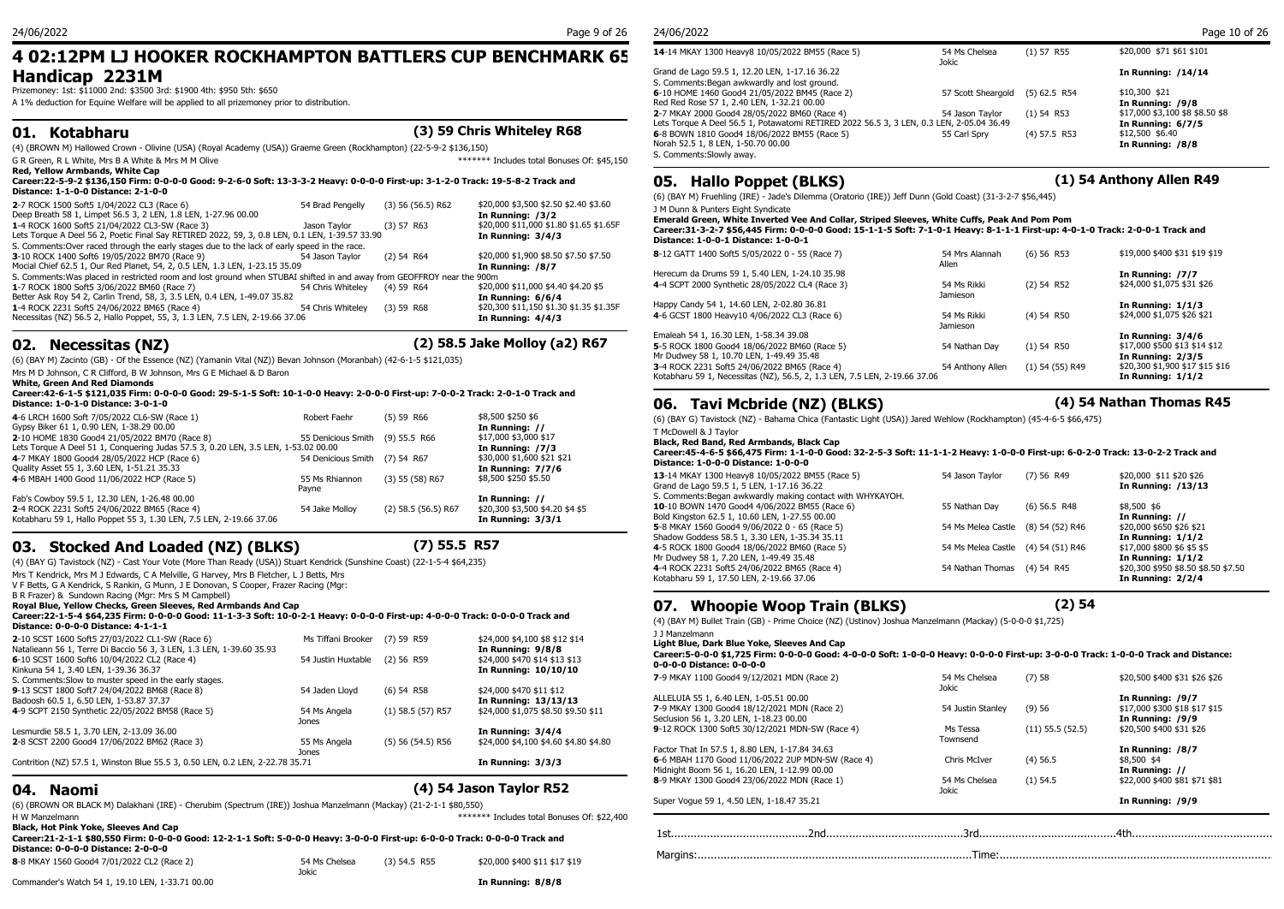## **4 02:12PM LJ HOOKER ROCKHAMPTON BATTLERS CUP BENCHMARK 65 Handicap 2231M**

Prizemoney: 1st: \$11000 2nd: \$3500 3rd: \$1900 4th: \$950 5th: \$650

A 1% deduction for Equine Welfare will be applied to all prizemoney prior to distribution.

### **01. Kotabharu (3) 59 Chris Whiteley R68**

(4) (BROWN M) Hallowed Crown - Olivine (USA) (Royal Academy (USA)) Graeme Green (Rockhampton) (22-5-9-2 \$136,150) G R Green, R L White, Mrs B A White & Mrs M M Olive  $\overline{S}$  M M  $\overline{S}$  and  $\overline{S}$  and  $\overline{S}$  and  $\overline{S}$  and  $\overline{S}$  and  $\overline{S}$  and  $\overline{S}$  and  $\overline{S}$  and  $\overline{S}$  and  $\overline{S}$  and  $\overline{S}$  and  $\overline{S}$  and

#### **Red, Yellow Armbands, White Cap Career:22-5-9-2 \$136,150 Firm: 0-0-0-0 Good: 9-2-6-0 Soft: 13-3-3-2 Heavy: 0-0-0-0 First-up: 3-1-2-0 Track: 19-5-8-2 Track and Distance: 1-1-0-0 Distance: 2-1-0-0**

| 2-7 ROCK 1500 Soft5 1/04/2022 CL3 (Race 6)<br>Deep Breath 58 1, Limpet 56.5 3, 2 LEN, 1.8 LEN, 1-27.96 00.00           | 54 Brad Pengelly  | $(3)$ 56 (56.5) R62 | \$20,000 \$3,500 \$2.50 \$2.40 \$3.60<br>In Running: /3/2 | (0) (DAT M) FILEHING (<br>J M Dunn & Punters Eio<br><b>Emerald Green, Whit</b> |
|------------------------------------------------------------------------------------------------------------------------|-------------------|---------------------|-----------------------------------------------------------|--------------------------------------------------------------------------------|
| 1-4 ROCK 1600 Soft5 21/04/2022 CL3-SW (Race 3)                                                                         | Jason Tavlor      | (3) 57 R63          | \$20,000 \$11,000 \$1.80 \$1.65 \$1.65F                   | Career: 31-3-2-7 \$56                                                          |
| Lets Torque A Deel 56 2, Poetic Final Say RETIRED 2022, 59, 3, 0.8 LEN, 0.1 LEN, 1-39.57 33.90                         |                   |                     | In Running: $3/4/3$                                       | Distance: 1-0-0-1 Di                                                           |
| S. Comments: Over raced through the early stages due to the lack of early speed in the race.                           |                   |                     |                                                           |                                                                                |
| 3-10 ROCK 1400 Soft6 19/05/2022 BM70 (Race 9)                                                                          | 54 Jason Tavlor   | $(2)$ 54 R64        | \$20,000 \$1,900 \$8.50 \$7.50 \$7.50                     | 8-12 GATT 1400 Soft5                                                           |
| Mocial Chief 62.5 1, Our Red Planet, 54, 2, 0.5 LEN, 1.3 LEN, 1-23.15 35.09                                            |                   |                     | In Running: /8/7                                          |                                                                                |
| S. Comments: Was placed in restricted room and lost ground when STUBAI shifted in and away from GEOFFROY near the 900m |                   |                     |                                                           | Herecum da Drums 59                                                            |
| 1-7 ROCK 1800 Soft5 3/06/2022 BM60 (Race 7)                                                                            | 54 Chris Whitelev | (4) 59 R64          | \$20,000 \$11,000 \$4.40 \$4.20 \$5                       | 4-4 SCPT 2000 Svnthet                                                          |
| Better Ask Roy 54 2, Carlin Trend, 58, 3, 3.5 LEN, 0.4 LEN, 1-49.07 35.82                                              |                   |                     | In Running: 6/6/4                                         |                                                                                |
| 1-4 ROCK 2231 Soft5 24/06/2022 BM65 (Race 4)                                                                           | 54 Chris Whitelev | $(3)$ 59 R68        | \$20,300 \$11,150 \$1.30 \$1.35 \$1.35F                   | Happy Candy 54 1, 14.                                                          |
| Necessitas (NZ) 56.5 2, Hallo Poppet, 55, 3, 1.3 LEN, 7.5 LEN, 2-19.66 37.06                                           |                   |                     | In Running: 4/4/3                                         | 4-6 GCST 1800 Heavy1                                                           |
|                                                                                                                        |                   |                     |                                                           |                                                                                |

## **02. Necessitas (NZ) (2) 58.5 Jake Molloy (a2) R67**

(6) (BAY M) Zacinto (GB) - Of the Essence (NZ) (Yamanin Vital (NZ)) Bevan Johnson (Moranbah) (42-6-1-5 \$121,035)

#### Mrs M D Johnson, C R Clifford, B W Johnson, Mrs G E Michael & D Baron

**White, Green And Red Diamonds**

#### **Career:42-6-1-5 \$121,035 Firm: 0-0-0-0 Good: 29-5-1-5 Soft: 10-1-0-0 Heavy: 2-0-0-0 First-up: 7-0-0-2 Track: 2-0-1-0 Track and Distance: 1-0-1-0 Distance: 3-0-1-0**

| 4-6 LRCH 1600 Soft 7/05/2022 CL6-SW (Race 1)<br>Gypsy Biker 61 1, 0.90 LEN, 1-38.29 00.00                                           | Robert Faehr       | $(5)$ 59 R66          | \$8,500 \$250 \$6<br>In Running: //                  | $(6)$ (BAY G) Tav                                      |
|-------------------------------------------------------------------------------------------------------------------------------------|--------------------|-----------------------|------------------------------------------------------|--------------------------------------------------------|
| 2-10 HOME 1830 Good4 21/05/2022 BM70 (Race 8)<br>Lets Torque A Deel 51 1, Conquering Judas 57.5 3, 0.20 LEN, 3.5 LEN, 1-53.02 00.00 | 55 Denicious Smith | $(9)$ 55.5 R66        | \$17,000 \$3,000 \$17<br>In Running: /7/3            | T McDowell & J<br><b>Black, Red Bar</b>                |
| 4-7 MKAY 1800 Good4 28/05/2022 HCP (Race 6)                                                                                         | 54 Denicious Smith | (7) 54 R67            | \$30,000 \$1,600 \$21 \$21                           | Career: 45-4-6<br>Distance: 1-0-                       |
| Quality Asset 55 1, 3.60 LEN, 1-51.21 35.33<br>4-6 MBAH 1400 Good 11/06/2022 HCP (Race 5)                                           | 55 Ms Rhiannon     | $(3)$ 55 (58) R67     | In Running: 7/7/6<br>\$8,500 \$250 \$5.50            | 13-14 MKAY 13<br>Grand de Lago 5                       |
| Fab's Cowboy 59.5 1, 12.30 LEN, 1-26.48 00.00                                                                                       | Pavne              |                       | In Running: //                                       | S. Comments:Be                                         |
| 2-4 ROCK 2231 Soft5 24/06/2022 BM65 (Race 4)<br>Kotabharu 59 1, Hallo Poppet 55 3, 1.30 LEN, 7.5 LEN, 2-19.66 37.06                 | 54 Jake Mollov     | $(2)$ 58.5 (56.5) R67 | \$20,300 \$3,500 \$4.20 \$4 \$5<br>In Running: 3/3/1 | 10-10 BOWN 14<br>Bold Kingston 6.<br>$-$ 0.111111.1-00 |

## **03. Stocked And Loaded (NZ) (BLKS) (7) 55.5 R57**

(4) (BAY G) Tavistock (NZ) - Cast Your Vote (More Than Ready (USA)) Stuart Kendrick (Sunshine Coast) (22-1-5-4 \$64,235)

Mrs T Kendrick, Mrs M J Edwards, C A Melville, G Harvey, Mrs B Fletcher, L J Betts, Mrs

V F Betts, G A Kendrick, S Rankin, G Munn, J E Donovan, S Cooper, Frazer Racing (Mgr:

B R Frazer) & Sundown Racing (Mgr: Mrs S M Campbell)

**Royal Blue, Yellow Checks, Green Sleeves, Red Armbands And Cap**

**Career:22-1-5-4 \$64,235 Firm: 0-0-0-0 Good: 11-1-3-3 Soft: 10-0-2-1 Heavy: 0-0-0-0 First-up: 4-0-0-0 Track: 0-0-0-0 Track and Distance: 0-0-0-0 Distance: 4-1-1-1**

| 2-10 SCST 1600 Soft5 27/03/2022 CL1-SW (Race 6)<br>Natalieann 56 1, Terre Di Baccio 56 3, 3 LEN, 1.3 LEN, 1-39.60 35.93<br>6-10 SCST 1600 Soft6 10/04/2022 CL2 (Race 4)<br>Kinkuna 54 1, 3.40 LEN, 1-39.36 36.37<br>S. Comments: Slow to muster speed in the early stages. | Ms Tiffani Brooker<br>54 Justin Huxtable | $(7)$ 59 R59<br>$(2)$ 56 R59 | \$24,000 \$4,100 \$8 \$12 \$14<br>In Running: 9/8/8<br>\$24,000 \$470 \$14 \$13 \$13<br>In Running: 10/10/10 | Light Blue, Dark Blu<br>Career: 5-0-0-0 \$1,7<br>0-0-0-0 Distance: 0<br>7-9 MKAY 1100 Good4 |
|----------------------------------------------------------------------------------------------------------------------------------------------------------------------------------------------------------------------------------------------------------------------------|------------------------------------------|------------------------------|--------------------------------------------------------------------------------------------------------------|---------------------------------------------------------------------------------------------|
| 9-13 SCST 1800 Soft7 24/04/2022 BM68 (Race 8)<br>Badoosh 60.5 1, 6.50 LEN, 1-53.87 37.37                                                                                                                                                                                   | 54 Jaden Lloyd                           | $(6)$ 54 R58                 | \$24,000 \$470 \$11 \$12<br>In Running: 13/13/13                                                             | ALLELUIA 55 1, 6.40 L                                                                       |
| 4-9 SCPT 2150 Synthetic 22/05/2022 BM58 (Race 5)                                                                                                                                                                                                                           | 54 Ms Angela<br>Jones                    | $(1)$ 58.5 $(57)$ R57        | \$24,000 \$1,075 \$8.50 \$9.50 \$11                                                                          | <b>7-9 MKAY 1300 Good4</b><br>Seclusion 56 1, 3.20 L                                        |
| Lesmurdie 58.5 1, 3.70 LEN, 2-13.09 36.00                                                                                                                                                                                                                                  |                                          |                              | In Running: 3/4/4                                                                                            | 9-12 ROCK 1300 Soft5                                                                        |
| 2-8 SCST 2200 Good4 17/06/2022 BM62 (Race 3)                                                                                                                                                                                                                               | 55 Ms Angela<br>Jones                    | $(5)$ 56 (54.5) R56          | \$24,000 \$4,100 \$4.60 \$4.80 \$4.80                                                                        | Factor That In 57.5 1,                                                                      |
| Contrition (NZ) 57.5 1, Winston Blue 55.5 3, 0.50 LEN, 0.2 LEN, 2-22.78 35.71                                                                                                                                                                                              |                                          |                              | In Running: 3/3/3                                                                                            | 6-6 MBAH 1170 Good<br>Midnight Boom 56 1, 1                                                 |

**04. Naomi (4) 54 Jason Taylor R52**

(6) (BROWN OR BLACK M) Dalakhani (IRE) - Cherubim (Spectrum (IRE)) Joshua Manzelmann (Mackay) (21-2-1-1 \$80,550) H W Manzelmann **Example 2018** and the set of the set of the set of the set of the set of the set of the set of the set of the set of the set of the set of the set of the set of the set of the set of the set of the set of t

| <b>Black, Hot Pink Yoke, Sleeves And Cap</b>                                                                                                                         |               |                | <b>INCREDIO CORRENTE</b> |
|----------------------------------------------------------------------------------------------------------------------------------------------------------------------|---------------|----------------|--------------------------|
| Career:21-2-1-1 \$80,550 Firm: 0-0-0-0 Good: 12-2-1-1 Soft: 5-0-0-0 Heavy: 3-0-0-0 First-up: 6-0-0-0 Track: 0-0-0-0 Track and<br>Distance: 0-0-0-0 Distance: 2-0-0-0 |               |                |                          |
| 8-8 MKAY 1560 Good4 7/01/2022 CL2 (Race 2)                                                                                                                           | 54 Ms Chelsea | $(3)$ 54.5 R55 | \$20,000 \$400 \$11 \$17 |

Commander's Watch 54 1, 19.10 LEN, 1-33.71 00.00 **In Running: 8/8/8**

Jokic

| 54 Ms Chelsea                                                                            | $(1)$ 57 R55   | \$20,000 \$71 \$61 \$101        |
|------------------------------------------------------------------------------------------|----------------|---------------------------------|
|                                                                                          |                | In Running: /14/14              |
|                                                                                          |                |                                 |
|                                                                                          |                | \$10,300 \$21                   |
|                                                                                          |                | In Running: /9/8                |
| 54 Jason Tavlor                                                                          | $(1)$ 54 R53   | \$17,000 \$3,100 \$8 \$8.50 \$8 |
| Lets Torque A Deel 56.5 1, Potawatomi RETIRED 2022 56.5 3, 3 LEN, 0.3 LEN, 2-05.04 36.49 |                | In Running: 6/7/5               |
| 55 Carl Sprv                                                                             | $(4)$ 57.5 R53 | \$12,500 \$6.40                 |
|                                                                                          |                | In Running: /8/8                |
|                                                                                          |                |                                 |
|                                                                                          | <b>Jokic</b>   | 57 Scott Sheargold (5) 62.5 R54 |

## **05. Hallo Poppet (BLKS) (1) 54 Anthony Allen R49**

(6) (BAY M) Fruehling (IRE) - Jade's Dilemma (Oratorio (IRE)) Jeff Dunn (Gold Coast) (31-3-2-7 \$56,445)

J M Dunn & Punters Eight Syndicate

#### **Emerald Green, White Inverted Vee And Collar, Striped Sleeves, White Cuffs, Peak And Pom Pom Career:31-3-2-7 \$56,445 Firm: 0-0-0-0 Good: 15-1-1-5 Soft: 7-1-0-1 Heavy: 8-1-1-1 First-up: 4-0-1-0 Track: 2-0-0-1 Track and Distance: 1-0-0-1 Distance: 1-0-0-1**

| 8-12 GATT 1400 Soft5 5/05/2022 0 - 55 (Race 7)                            | 54 Mrs Alannah<br>Allen | $(6)$ 56 R53      | \$19,000 \$400 \$31 \$19 \$19   |
|---------------------------------------------------------------------------|-------------------------|-------------------|---------------------------------|
| Herecum da Drums 59 1, 5.40 LEN, 1-24.10 35.98                            |                         |                   | In Running: /7/7                |
| 4-4 SCPT 2000 Synthetic 28/05/2022 CL4 (Race 3)                           | 54 Ms Rikki<br>Jamieson | $(2)$ 54 R52      | \$24,000 \$1,075 \$31 \$26      |
| Happy Candy 54 1, 14.60 LEN, 2-02.80 36.81                                |                         |                   | In Running: $1/1/3$             |
| 4-6 GCST 1800 Heavy10 4/06/2022 CL3 (Race 6)                              | 54 Ms Rikki<br>Jamieson | $(4)$ 54 R50      | \$24,000 \$1,075 \$26 \$21      |
| Emaleah 54 1, 16.30 LEN, 1-58.34 39.08                                    |                         |                   | In Running: $3/4/6$             |
| 5-5 ROCK 1800 Good4 18/06/2022 BM60 (Race 5)                              | 54 Nathan Dav           | $(1)$ 54 R50      | \$17,000 \$500 \$13 \$14 \$12   |
| Mr Dudwey 58 1, 10.70 LEN, 1-49.49 35.48                                  |                         |                   | In Running: 2/3/5               |
| 3-4 ROCK 2231 Soft5 24/06/2022 BM65 (Race 4)                              | 54 Anthony Allen        | $(1)$ 54 (55) R49 | \$20,300 \$1,900 \$17 \$15 \$16 |
| Kotabharu 59 1, Necessitas (NZ), 56.5, 2, 1.3 LEN, 7.5 LEN, 2-19.66 37.06 |                         |                   | In Running: $1/1/2$             |
|                                                                           |                         |                   |                                 |

## **06. Tavi Mcbride (NZ) (BLKS) (4) 54 Nathan Thomas R45**

(6) (BAY G) Tavistock (NZ) - Bahama Chica (Fantastic Light (USA)) Jared Wehlow (Rockhampton) (45-4-6-5 \$66,475)

### T McDowell & J Taylor

#### **Black, Red Band, Red Armbands, Black Cap Career:45-4-6-5 \$66,475 Firm: 1-1-0-0 Good: 32-2-5-3 Soft: 11-1-1-2 Heavy: 1-0-0-0 First-up: 6-0-2-0 Track: 13-0-2-2 Track and Distance: 1-0-0-0 Distance: 1-0-0-0**

| 13-14 MKAY 1300 Heavy8 10/05/2022 BM55 (Race 5)            | 54 Jason Tavlor    | (7) 56 R49      | \$20,000 \$11 \$20 \$26             |
|------------------------------------------------------------|--------------------|-----------------|-------------------------------------|
| Grand de Lago 59.5 1, 5 LEN, 1-17.16 36.22                 |                    |                 | In Running: /13/13                  |
| S. Comments: Began awkwardly making contact with WHYKAYOH. |                    |                 |                                     |
| 10-10 BOWN 1470 Good4 4/06/2022 BM55 (Race 6)              | 55 Nathan Dav      | $(6)$ 56.5 R48  | \$8,500 \$6                         |
| Bold Kingston 62.5 1, 10.60 LEN, 1-27.55 00.00             |                    |                 | In Running: //                      |
| 5-8 MKAY 1560 Good4 9/06/2022 0 - 65 (Race 5)              | 54 Ms Melea Castle | (8) 54 (52) R46 | \$20,000 \$650 \$26 \$21            |
| Shadow Goddess 58.5 1, 3.30 LEN, 1-35.34 35.11             |                    |                 | In Running: $1/1/2$                 |
| 4-5 ROCK 1800 Good4 18/06/2022 BM60 (Race 5)               | 54 Ms Melea Castle | (4) 54 (51) R46 | \$17,000 \$800 \$6 \$5 \$5          |
| Mr Dudwey 58 1, 7.20 LEN, 1-49.49 35.48                    |                    |                 | In Running: $1/1/2$                 |
| 4-4 ROCK 2231 Soft5 24/06/2022 BM65 (Race 4)               | 54 Nathan Thomas   | $(4)$ 54 R45    | \$20,300 \$950 \$8.50 \$8.50 \$7.50 |
| Kotabharu 59 1, 17.50 LEN, 2-19.66 37.06                   |                    |                 | In Running: 2/2/4                   |
|                                                            |                    |                 |                                     |

## **07. Whoopie Woop Train (BLKS) (2) 54**

(4) (BAY M) Bullet Train (GB) - Prime Choice (NZ) (Ustinov) Joshua Manzelmann (Mackay) (5-0-0-0 \$1,725)

J J Manzelmann

**Light Blue, Dark Blue Yoke, Sleeves And Cap**

#### **Career:5-0-0-0 \$1,725 Firm: 0-0-0-0 Good: 4-0-0-0 Soft: 1-0-0-0 Heavy: 0-0-0-0 First-up: 3-0-0-0 Track: 1-0-0-0 Track and Distance: 0-0-0-0 Distance: 0-0-0-0**

| 7-9 MKAY 1100 Good4 9/12/2021 MDN (Race 2)     |                                                   | 54 Ms Chelsea<br>Jokic | (7)58                | \$20,500 \$400 \$31 \$26 \$26 |  |
|------------------------------------------------|---------------------------------------------------|------------------------|----------------------|-------------------------------|--|
| ALLELUIA 55 1, 6.40 LEN, 1-05.51 00.00         |                                                   |                        |                      | In Running: /9/7              |  |
|                                                | 7-9 MKAY 1300 Good4 18/12/2021 MDN (Race 2)       | 54 Justin Stanley      | (9)56                | \$17,000 \$300 \$18 \$17 \$15 |  |
| Seclusion 56 1, 3.20 LEN, 1-18.23 00.00        |                                                   |                        |                      | In Running: /9/9              |  |
|                                                | 9-12 ROCK 1300 Soft5 30/12/2021 MDN-SW (Race 4)   | Ms Tessa               | $(11)$ 55.5 $(52.5)$ | \$20,500 \$400 \$31 \$26      |  |
|                                                |                                                   | Townsend               |                      |                               |  |
| Factor That In 57.5 1, 8.80 LEN, 1-17.84 34.63 |                                                   |                        |                      | In Running: /8/7              |  |
|                                                | 6-6 MBAH 1170 Good 11/06/2022 2UP MDN-SW (Race 4) | Chris McIver           | $(4)$ 56.5           | \$8,500 \$4                   |  |
| Midnight Boom 56 1, 16.20 LEN, 1-12.99 00.00   |                                                   |                        |                      | In Running: //                |  |
|                                                | 8-9 MKAY 1300 Good4 23/06/2022 MDN (Race 1)       | 54 Ms Chelsea          | $(1)$ 54.5           | \$22,000 \$400 \$81 \$71 \$81 |  |
|                                                |                                                   | Jokic.                 |                      |                               |  |
| Super Voque 59 1, 4.50 LEN, 1-18.47 35.21      |                                                   |                        |                      | In Running: /9/9              |  |
|                                                |                                                   |                        |                      |                               |  |
| 1st                                            |                                                   |                        |                      |                               |  |
|                                                |                                                   |                        |                      |                               |  |

 $$20.000$$  \$400 \$11 \$17 \$19 Margins:............. Margins:....................................................................................Time:....................................................................................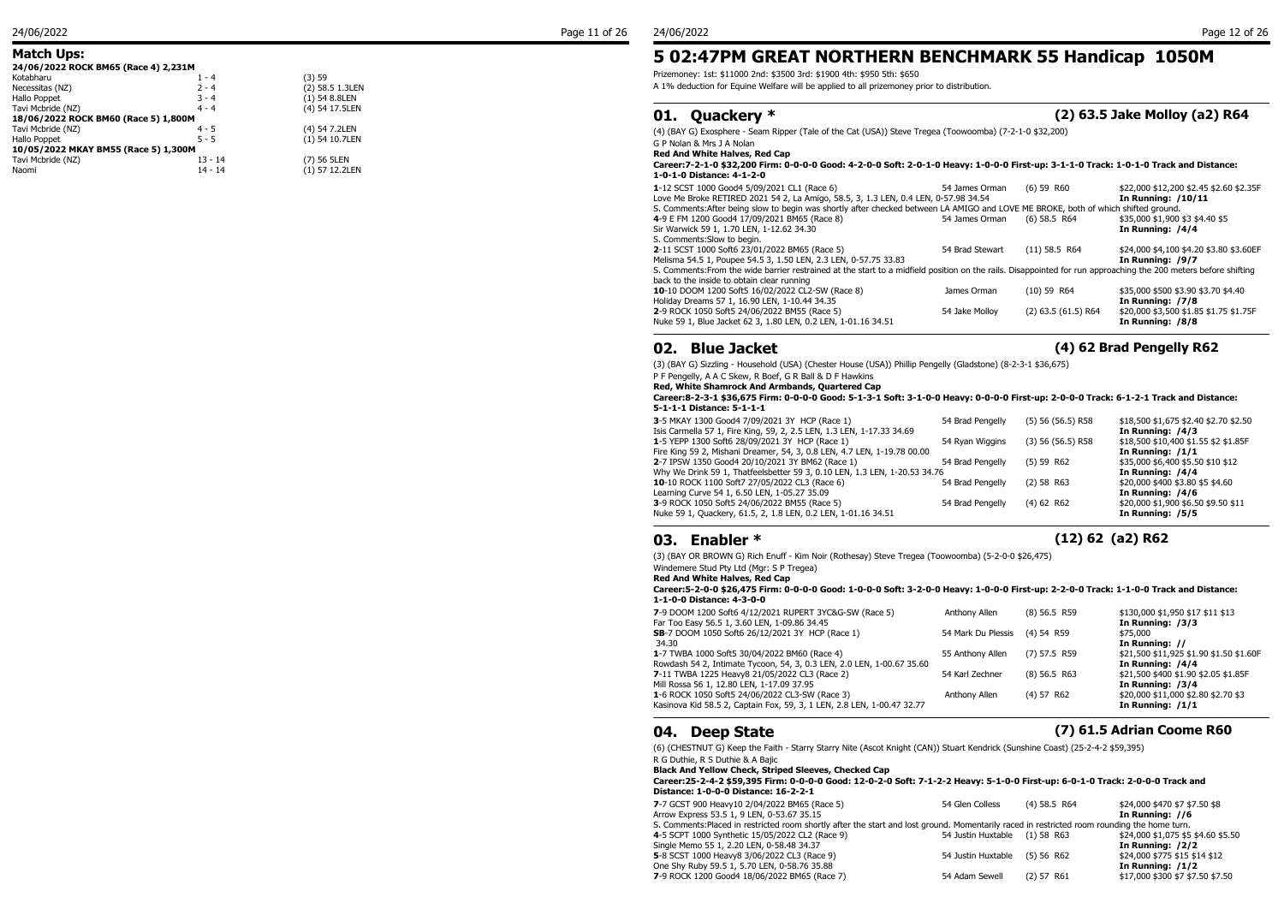### **Match Ups:**

### **24/06/2022 ROCK BM65 (Race 4) 2,231M**<br>
Kotabharu 1 - 4 (3) 59 Kotabharu  $1 - 4$  (3) 59 (3) 59 (3) 1  $-4$  (3) 59 (3) 59 (3) 59 (3) 59 (3) 59 (3) 59 (3) 59 (3) 59 (3) 59 (3) 59 (3) 59 (3) 59 (3) 59 (3) 59 (3) 59 (3) 59 (3) 59 (3) 59 (3) 59 (3) 59 (3) 59 (3) 59 (3) 59 (3) 59 (3) 59 (3) Necessitas (NZ) 2 - 4 (2) 58.5 1.3LEN<br>Hallo Poppet 3 - 4 (1) 54 8.8LEN  $3 - 4$ <br>  $4 - 4$ <br>  $(1) 54 8.8$ LEN<br>  $(4) 54 17.5$ LEN Tavi Mcbride (NZ) **18/06/2022 ROCK BM60 (Race 5) 1,800M**<br>Tavi Mcbride (NZ) 4 - 5 (4) 54 7.2LEN Tavi Mcbride (NZ) 4 - 5<br>Hallo Poppet 5 - 5 **10/05/2022 MKAY BM55 (Race 5) 1,300M**<br>Tavi Mcbride (NZ) 13 - 14 (7) 56 5LEN Tavi Mcbride (NZ) 13 - 14<br>Naomi 14 - 14

 $(1)$  54 10.7LEN

## **5 02:47PM GREAT NORTHERN BENCHMARK 55 Handicap 1050M**

Prizemoney: 1st: \$11000 2nd: \$3500 3rd: \$1900 4th: \$950 5th: \$650

A 1% deduction for Equine Welfare will be applied to all prizemoney prior to distribution.

## **01. Quackery \* (2) 63.5 Jake Molloy (a2) R64** (4) (BAY G) Exosphere - Seam Ripper (Tale of the Cat (USA)) Steve Tregea (Toowoomba) (7-2-1-0 \$32,200)

G P Nolan & Mrs J A Nolan **Red And White Halves, Red Cap**

#### **Career:7-2-1-0 \$32,200 Firm: 0-0-0-0 Good: 4-2-0-0 Soft: 2-0-1-0 Heavy: 1-0-0-0 First-up: 3-1-1-0 Track: 1-0-1-0 Track and Distance: 1-0-1-0 Distance: 4-1-2-0**

| 1-12 SCST 1000 Good4 5/09/2021 CL1 (Race 6)<br>Love Me Broke RETIRED 2021 54 2, La Amigo, 58.5, 3, 1.3 LEN, 0.4 LEN, 0-57.98 34.54                                                                            | 54 James Orman  | $(6)$ 59 R60            | \$22,000 \$12,200 \$2.45 \$2.60 \$2.35F<br>In Running: /10/11 |
|---------------------------------------------------------------------------------------------------------------------------------------------------------------------------------------------------------------|-----------------|-------------------------|---------------------------------------------------------------|
| S. Comments: After being slow to begin was shortly after checked between LA AMIGO and LOVE ME BROKE, both of which shifted ground.<br>4-9 E FM 1200 Good4 17/09/2021 BM65 (Race 8)                            | 54 James Orman  | $(6)$ 58.5 R64          | \$35,000 \$1,900 \$3 \$4.40 \$5                               |
| Sir Warwick 59 1, 1.70 LEN, 1-12.62 34.30<br>S. Comments: Slow to begin.                                                                                                                                      |                 |                         | In Running: /4/4                                              |
| 2-11 SCST 1000 Soft6 23/01/2022 BM65 (Race 5)<br>Melisma 54.5 1, Poupee 54.5 3, 1.50 LEN, 2.3 LEN, 0-57.75 33.83                                                                                              | 54 Brad Stewart | $(11)$ 58.5 R64         | \$24,000 \$4,100 \$4.20 \$3.80 \$3.60EF<br>In Running: /9/7   |
| S. Comments: From the wide barrier restrained at the start to a midfield position on the rails. Disappointed for run approaching the 200 meters before shifting<br>back to the inside to obtain clear running |                 |                         |                                                               |
| 10-10 DOOM 1200 Soft5 16/02/2022 CL2-SW (Race 8)<br>Holiday Dreams 57 1, 16.90 LEN, 1-10.44 34.35                                                                                                             | James Orman     | $(10)$ 59 R64           | \$35,000 \$500 \$3.90 \$3.70 \$4.40<br>In Running: /7/8       |
| 2-9 ROCK 1050 Soft5 24/06/2022 BM55 (Race 5)<br>Nuke 59 1, Blue Jacket 62 3, 1.80 LEN, 0.2 LEN, 1-01.16 34.51                                                                                                 | 54 Jake Molloy  | $(2)$ 63.5 $(61.5)$ R64 | \$20,000 \$3,500 \$1.85 \$1.75 \$1.75F<br>In Running: /8/8    |
|                                                                                                                                                                                                               |                 |                         |                                                               |

### **02. Blue Jacket (4) 62 Brad Pengelly R62**

(3) (BAY G) Sizzling - Household (USA) (Chester House (USA)) Phillip Pengelly (Gladstone) (8-2-3-1 \$36,675)

### P F Pengelly, A A C Skew, R Boef, G R Ball & D F Hawkins

**Red, White Shamrock And Armbands, Quartered Cap**

#### **Career:8-2-3-1 \$36,675 Firm: 0-0-0-0 Good: 5-1-3-1 Soft: 3-1-0-0 Heavy: 0-0-0-0 First-up: 2-0-0-0 Track: 6-1-2-1 Track and Distance: 5-1-1-1 Distance: 5-1-1-1**

| 3-5 MKAY 1300 Good4 7/09/2021 3Y HCP (Race 1)                             | 54 Brad Pengelly | $(5)$ 56 (56.5) R58 | \$18,500 \$1,675 \$2.40 \$2.70 \$2.50 |
|---------------------------------------------------------------------------|------------------|---------------------|---------------------------------------|
| Isis Carmella 57 1, Fire King, 59, 2, 2.5 LEN, 1.3 LEN, 1-17.33 34.69     |                  |                     | In Running: /4/3                      |
| 1-5 YEPP 1300 Soft6 28/09/2021 3Y HCP (Race 1)                            | 54 Ryan Wiggins  | $(3)$ 56 (56.5) R58 | \$18,500 \$10,400 \$1.55 \$2 \$1.85F  |
| Fire King 59 2, Mishani Dreamer, 54, 3, 0.8 LEN, 4.7 LEN, 1-19.78 00.00   |                  |                     | In Running: $/1/1$                    |
| 2-7 IPSW 1350 Good4 20/10/2021 3Y BM62 (Race 1)                           | 54 Brad Pengelly | (5) 59 R62          | \$35,000 \$6,400 \$5.50 \$10 \$12     |
| Why We Drink 59 1, Thatfeelsbetter 59 3, 0.10 LEN, 1.3 LEN, 1-20.53 34.76 |                  |                     | In Running: /4/4                      |
| 10-10 ROCK 1100 Soft7 27/05/2022 CL3 (Race 6)                             | 54 Brad Pengelly | $(2)$ 58 R63        | \$20,000 \$400 \$3.80 \$5 \$4.60      |
| Learning Curve 54 1, 6.50 LEN, 1-05.27 35.09                              |                  |                     | In Running: /4/6                      |
| 3-9 ROCK 1050 Soft5 24/06/2022 BM55 (Race 5)                              | 54 Brad Pengelly | (4) 62 R62          | \$20,000 \$1,900 \$6.50 \$9.50 \$11   |
| Nuke 59 1, Quackery, 61.5, 2, 1.8 LEN, 0.2 LEN, 1-01.16 34.51             |                  |                     | In Running: /5/5                      |
|                                                                           |                  |                     |                                       |

## **03. Enabler \* (12) 62 (a2) R62**

(3) (BAY OR BROWN G) Rich Enuff - Kim Noir (Rothesay) Steve Tregea (Toowoomba) (5-2-0-0 \$26,475)

Windemere Stud Pty Ltd (Mgr: S P Tregea)

**Red And White Halves, Red Cap**

**Career:5-2-0-0 \$26,475 Firm: 0-0-0-0 Good: 1-0-0-0 Soft: 3-2-0-0 Heavy: 1-0-0-0 First-up: 2-2-0-0 Track: 1-1-0-0 Track and Distance: 1-1-0-0 Distance: 4-3-0-0**

| 7-9 DOOM 1200 Soft6 4/12/2021 RUPERT 3YC&G-SW (Race 5)<br>Far Too Easy 56.5 1, 3.60 LEN, 1-09.86 34.45                   | Anthony Allen                 | $(8)$ 56.5 R59 | \$130,000 \$1,950 \$17 \$11 \$13<br>In Running: /3/3        |
|--------------------------------------------------------------------------------------------------------------------------|-------------------------------|----------------|-------------------------------------------------------------|
| SB-7 DOOM 1050 Soft6 26/12/2021 3Y HCP (Race 1)<br>34.30                                                                 | 54 Mark Du Plessis (4) 54 R59 |                | \$75,000<br>In Running: //                                  |
| 1-7 TWBA 1000 Soft5 30/04/2022 BM60 (Race 4)<br>Rowdash 54 2, Intimate Tycoon, 54, 3, 0.3 LEN, 2.0 LEN, 1-00.67 35.60    | 55 Anthony Allen              | $(7)$ 57.5 R59 | \$21,500 \$11,925 \$1.90 \$1.50 \$1.60F<br>In Running: /4/4 |
| 7-11 TWBA 1225 Heavy8 21/05/2022 CL3 (Race 2)<br>Mill Rossa 56 1, 12.80 LEN, 1-17.09 37.95                               | 54 Karl Zechner               | $(8)$ 56.5 R63 | \$21,500 \$400 \$1.90 \$2.05 \$1.85F<br>In Running: /3/4    |
| 1-6 ROCK 1050 Soft5 24/06/2022 CL3-SW (Race 3)<br>Kasinova Kid 58.5 2, Captain Fox, 59, 3, 1 LEN, 2.8 LEN, 1-00.47 32.77 | Anthony Allen                 | $(4)$ 57 R62   | \$20,000 \$11,000 \$2.80 \$2.70 \$3<br>In Running: /1/1     |

## **04. Deep State (7) 61.5 Adrian Coome R60**

(6) (CHESTNUT G) Keep the Faith - Starry Starry Nite (Ascot Knight (CAN)) Stuart Kendrick (Sunshine Coast) (25-2-4-2 \$59,395) R G Duthie, R S Duthie & A Bajic

**Black And Yellow Check, Striped Sleeves, Checked Cap**

**Career:25-2-4-2 \$59,395 Firm: 0-0-0-0 Good: 12-0-2-0 Soft: 7-1-2-2 Heavy: 5-1-0-0 First-up: 6-0-1-0 Track: 2-0-0-0 Track and Distance: 1-0-0-0 Distance: 16-2-2-1**

| 7-7 GCST 900 Heavy10 2/04/2022 BM65 (Race 5)                                                                                                 | 54 Glen Colless               | $(4)$ 58.5 R64 | \$24,000 \$470 \$7 \$7.50 \$8      |
|----------------------------------------------------------------------------------------------------------------------------------------------|-------------------------------|----------------|------------------------------------|
| Arrow Express 53.5 1, 9 LEN, 0-53.67 35.15                                                                                                   |                               |                | In Running: //6                    |
| S. Comments: Placed in restricted room shortly after the start and lost ground. Momentarily raced in restricted room rounding the home turn. |                               |                |                                    |
| 4-5 SCPT 1000 Synthetic 15/05/2022 CL2 (Race 9)                                                                                              | 54 Justin Huxtable (1) 58 R63 |                | \$24,000 \$1,075 \$5 \$4.60 \$5.50 |
| Single Memo 55 1, 2.20 LEN, 0-58.48 34.37                                                                                                    |                               |                | In Running: /2/2                   |
| 5-8 SCST 1000 Heavy8 3/06/2022 CL3 (Race 9)                                                                                                  | 54 Justin Huxtable (5) 56 R62 |                | \$24,000 \$775 \$15 \$14 \$12      |
| One Shy Ruby 59.5 1, 5.70 LEN, 0-58.76 35.88                                                                                                 |                               |                | In Running: /1/2                   |
| 7-9 ROCK 1200 Good4 18/06/2022 BM65 (Race 7)                                                                                                 | 54 Adam Sewell                | $(2)$ 57 R61   | \$17,000 \$300 \$7 \$7.50 \$7.50   |
|                                                                                                                                              |                               |                |                                    |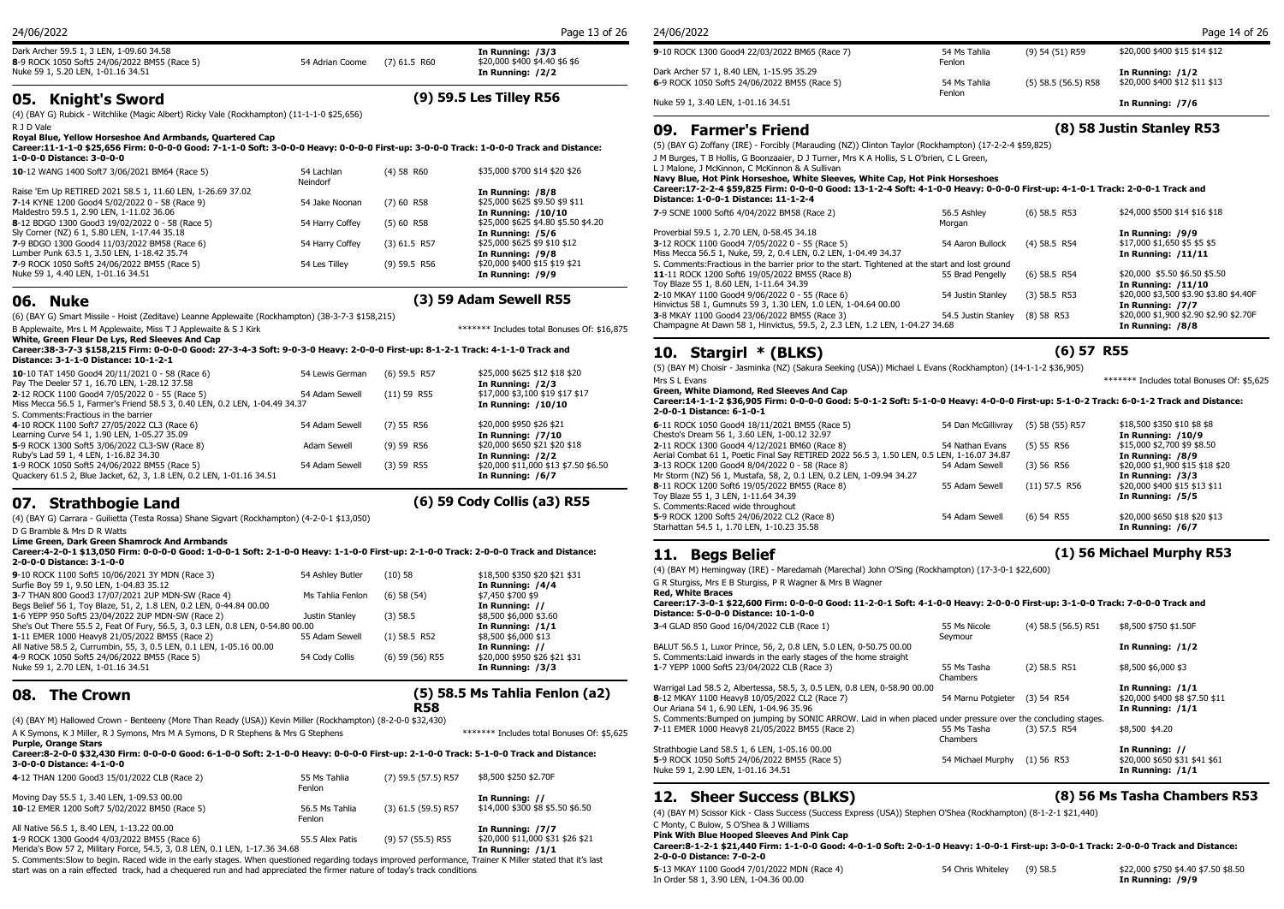Dark Archer 59.5 1, 3 LEN, 1-09.60 34.58 **In Running: /3/3 8**-9 ROCK 1050 Soft5 24/06/2022 BM55 (Race 5) 54 Adrian Coome (7) 61.5 R60 \$20,000 \$400 \$4.40 \$4.40 \, Nuke 59 1, 5.20 LEN, 1-01.16 34.51 Nuke 59 1, 5.20 LEN, 1-01.16 34.51

## **05. Knight's Sword (9) 59.5 Les Tilley R56**

(4) (BAY G) Rubick - Witchlike (Magic Albert) Ricky Vale (Rockhampton) (11-1-1-0 \$25,656) R J D Vale

**Royal Blue, Yellow Horseshoe And Armbands, Quartered Cap**

**Career:11-1-1-0 \$25,656 Firm: 0-0-0-0 Good: 7-1-1-0 Soft: 3-0-0-0 Heavy: 0-0-0-0 First-up: 3-0-0-0 Track: 1-0-0-0 Track and Distance: 1-0-0-0 Distance: 3-0-0-0**

| 10-12 WANG 1400 Soft7 3/06/2021 BM64 (Race 5)                                                                | 54 Lachlan<br>Neindorf | $(4)$ 58 R60   | \$35,000 \$700 \$14 \$20 \$26                             | L J Malone, J McKinr<br>Navy Blue, Hot Pir      |
|--------------------------------------------------------------------------------------------------------------|------------------------|----------------|-----------------------------------------------------------|-------------------------------------------------|
| Raise 'Em Up RETIRED 2021 58.5 1, 11.60 LEN, 1-26.69 37.02<br>7-14 KYNE 1200 Good4 5/02/2022 0 - 58 (Race 9) | 54 Jake Noonan         | $(7)$ 60 R58   | In Running: /8/8<br>\$25,000 \$625 \$9.50 \$9 \$11        | Career: 17-2-2-4 \$<br><b>Distance: 1-0-0-1</b> |
| Maldestro 59.5 1, 2.90 LEN, 1-11.02 36.06<br>8-12 BDGO 1300 Good3 19/02/2022 0 - 58 (Race 5)                 | 54 Harry Coffey        | $(5)$ 60 R58   | In Running: /10/10<br>\$25,000 \$625 \$4.80 \$5.50 \$4.20 | 7-9 SCNE 1000 Soft                              |
| Sly Corner (NZ) 6 1, 5.80 LEN, 1-17.44 35.18                                                                 |                        |                | In Running: /5/6                                          | Proverbial 59.5 1, 2.                           |
| 7-9 BDGO 1300 Good4 11/03/2022 BM58 (Race 6)                                                                 | 54 Harry Coffey        | $(3)$ 61.5 R57 | \$25,000 \$625 \$9 \$10 \$12                              | 3-12 ROCK 1100 Go                               |
| Lumber Punk 63.5 1, 3.50 LEN, 1-18.42 35.74                                                                  |                        |                | In Running: /9/8                                          | Miss Mecca 56.5 1, N                            |
| 7-9 ROCK 1050 Soft5 24/06/2022 BM55 (Race 5)                                                                 | 54 Les Tillev          | $(9)$ 59.5 R56 | \$20,000 \$400 \$15 \$19 \$21                             | S. Comments: Fractic                            |
| Nuke 59 1, 4.40 LEN, 1-01.16 34.51                                                                           |                        |                | In Running: /9/9                                          | <b>11-11 ROCK 1200 S</b>                        |

### **06. Nuke (3) 59 Adam Sewell R55**

(6) (BAY G) Smart Missile - Hoist (Zeditave) Leanne Applewaite (Rockhampton) (38-3-7-3 \$158,215) B Applewaite, Mrs L M Applewaite, Miss T J Applewaite & S J Kirk \*\*\*\*\*\*\* The The \*\*\*\*\*\*\*\*\*\*\* Includes total Bonuses Of: \$16,875

**White, Green Fleur De Lys, Red Sleeves And Cap**

#### **Career:38-3-7-3 \$158,215 Firm: 0-0-0-0 Good: 27-3-4-3 Soft: 9-0-3-0 Heavy: 2-0-0-0 First-up: 8-1-2-1 Track: 4-1-1-0 Track and Distance: 3-1-1-0 Distance: 10-1-2-1**

| 10-10 TAT 1450 Good4 20/11/2021 0 - 58 (Race 6)<br>Pay The Deeler 57 1, 16.70 LEN, 1-28.12 37.58<br>2-12 ROCK 1100 Good4 7/05/2022 0 - 55 (Race 5)<br>Miss Mecca 56.5 1, Farmer's Friend 58.5 3, 0.40 LEN, 0.2 LEN, 1-04.49 34.37<br>S. Comments: Fractious in the barrier | 54 Lewis German<br>54 Adam Sewell | $(6)$ 59.5 R57<br>$(11)$ 59 R55 | \$25,000 \$625 \$12 \$18 \$20<br>In Running: /2/3<br>\$17,000 \$3,100 \$19 \$17 \$17<br>In Running: /10/10 | $(5)$ (BAY M) Choisir -<br>Mrs S L Evans<br>Green, White Diam<br>Career: 14-1-1-2 \$3<br>2-0-0-1 Distance: 6 |
|----------------------------------------------------------------------------------------------------------------------------------------------------------------------------------------------------------------------------------------------------------------------------|-----------------------------------|---------------------------------|------------------------------------------------------------------------------------------------------------|--------------------------------------------------------------------------------------------------------------|
| 4-10 ROCK 1100 Soft7 27/05/2022 CL3 (Race 6)<br>Learning Curve 54 1, 1.90 LEN, 1-05.27 35.09                                                                                                                                                                               | 54 Adam Sewell                    | $(7)$ 55 R56                    | \$20,000 \$950 \$26 \$21<br><b>In Running: /7/10</b>                                                       | 6-11 ROCK 1050 Goo<br>Chesto's Dream 56 1,                                                                   |
| 5-9 ROCK 1300 Soft5 3/06/2022 CL3-SW (Race 8)<br>Ruby's Lad 59 1, 4 LEN, 1-16.82 34.30                                                                                                                                                                                     | Adam Sewell                       | $(9)$ 59 R56                    | \$20,000 \$650 \$21 \$20 \$18<br>In Running: /2/2                                                          | 2-11 ROCK 1300 Goo<br>Aerial Combat 61 1, P                                                                  |
| 1-9 ROCK 1050 Soft5 24/06/2022 BM55 (Race 5)<br>Quackery 61.5 2, Blue Jacket, 62, 3, 1.8 LEN, 0.2 LEN, 1-01.16 34.51                                                                                                                                                       | 54 Adam Sewell                    | $(3)$ 59 R55                    | \$20,000 \$11,000 \$13 \$7.50 \$6.50<br>In Running: /6/7                                                   | 3-13 ROCK 1200 Goo<br>Mr Storm (NZ) 56 1, I<br>$0.11$ DOCK 1200 Coft                                         |

## **07. Strathbogie Land (6) 59 Cody Collis (a3) R55**

(4) (BAY G) Carrara - Guilietta (Testa Rossa) Shane Sigvart (Rockhampton) (4-2-0-1 \$13,050)

D G Bramble & Mrs D R Watts

**Lime Green, Dark Green Shamrock And Armbands**

**Career:4-2-0-1 \$13,050 Firm: 0-0-0-0 Good: 1-0-0-1 Soft: 2-1-0-0 Heavy: 1-1-0-0 First-up: 2-1-0-0 Track: 2-0-0-0 Track and Distance: 2-0-0-0 Distance: 3-1-0-0**

| 9-10 ROCK 1100 Soft5 10/06/2021 3Y MDN (Race 3)<br>Surfie Boy 59 1, 9.50 LEN, 1-04.83 35.12<br>3-7 THAN 800 Good3 17/07/2021 2UP MDN-SW (Race 4)                                                             | 54 Ashley Butler<br>Ms Tahlia Fenlon | $(10)$ 58<br>$(6)$ 58 $(54)$          | \$18,500 \$350 \$20 \$21 \$31<br>In Running: /4/4<br>\$7,450 \$700 \$9                      | (4) (BAY M) H<br>G R Sturgiss, N<br><b>Red, White B</b><br><b>Career: 17-3-</b> |
|--------------------------------------------------------------------------------------------------------------------------------------------------------------------------------------------------------------|--------------------------------------|---------------------------------------|---------------------------------------------------------------------------------------------|---------------------------------------------------------------------------------|
| Begs Belief 56 1, Toy Blaze, 51, 2, 1.8 LEN, 0.2 LEN, 0-44.84 00.00<br>1-6 YEPP 950 Soft5 23/04/2022 2UP MDN-SW (Race 2)<br>She's Out There 55.5 2, Feat Of Fury, 56.5, 3, 0.3 LEN, 0.8 LEN, 0-54.80 00.00   | Justin Stanley                       | $(3)$ 58.5                            | In Running: //<br>\$8,500 \$6,000 \$3.60<br>In Running: /1/1                                | Distance: 5-0<br><b>3-4 GLAD 850</b>                                            |
| 1-11 EMER 1000 Heavy8 21/05/2022 BM55 (Race 2)<br>All Native 58.5 2, Currumbin, 55, 3, 0.5 LEN, 0.1 LEN, 1-05.16 00.00<br>4-9 ROCK 1050 Soft5 24/06/2022 BM55 (Race 5)<br>Nuke 59 1, 2.70 LEN, 1-01.16 34.51 | 55 Adam Sewell<br>54 Cody Collis     | $(1)$ 58.5 R52<br>$(6)$ 59 $(56)$ R55 | \$8,500 \$6,000 \$13<br>In Running: //<br>\$20,000 \$950 \$26 \$21 \$31<br>In Running: /3/3 | <b>BALUT 56.5 1.</b><br>S. Comments:<br>1-7 YEPP 1000                           |

## **08. The Crown**

### **(5) 58.5 Ms Tahlia Fenlon (a2) R58**

(4) (BAY M) Hallowed Crown - Benteeny (More Than Ready (USA)) Kevin Miller (Rockhampton) (8-2-0-0 \$32,430) A K Symons, K J Miller, R J Symons, Mrs M A Symons, D R Stephens & Mrs G Stephens \*\*\*\*\*\*\* Includes total Bonuses Of: \$5,625

**Purple, Orange Stars Career:8-2-0-0 \$32,430 Firm: 0-0-0-0 Good: 6-1-0-0 Soft: 2-1-0-0 Heavy: 0-0-0-0 First-up: 2-1-0-0 Track: 5-1-0-0 Track and Distance: 3-0-0-0 Distance: 4-1-0-0**

| 4-12 THAN 1200 Good3 15/01/2022 CLB (Race 2)                                              | 55 Ms Tahlia             | (7) 59.5 (57.5) R57   | \$8,500 \$250 \$2,70F                                | <b>INUKE 59 1, 2.90 L</b>          |
|-------------------------------------------------------------------------------------------|--------------------------|-----------------------|------------------------------------------------------|------------------------------------|
| Moving Day 55.5 1, 3.40 LEN, 1-09.53 00.00                                                | Fenlon                   |                       | In Running: //                                       | <b>12. She</b>                     |
| 10-12 EMER 1200 Soft7 5/02/2022 BM50 (Race 5)                                             | 56.5 Ms Tahlia<br>Fenlon | $(3)$ 61.5 (59.5) R57 | \$14,000 \$300 \$8 \$5.50 \$6.50                     | (4) (BAY M) Sciss                  |
| All Native 56.5 1, 8.40 LEN, 1-13.22 00.00<br>1-9 ROCK 1300 Good4 4/03/2022 BM55 (Race 6) | 55.5 Alex Patis          | $(9)$ 57 (55.5) R55   | In Running: /7/7<br>\$20,000 \$11,000 \$31 \$26 \$21 | C Monty, C Bulow<br>Pink With Blue |
| Merida's Bow 57 2, Military Force, 54.5, 3, 0.8 LEN, 0.1 LEN, 1-17.36 34.68               |                          |                       | In Running: /1/1                                     | Career: 8-1-2-1<br>2.0.0.0.01      |

S. Comments:Slow to begin. Raced wide in the early stages. When questioned regarding todays improved performance, Trainer K Miller stated that it's last start was on a rain effected track, had a chequered run and had appreciated the firmer nature of today's track conditions

| 24/06/2022                                    |                        |                       | Page 14 of 26                 |
|-----------------------------------------------|------------------------|-----------------------|-------------------------------|
| 9-10 ROCK 1300 Good4 22/03/2022 BM65 (Race 7) | 54 Ms Tahlia<br>Fenlon | (9) 54 (51) R59       | \$20,000 \$400 \$15 \$14 \$12 |
| Dark Archer 57 1, 8.40 LEN, 1-15.95 35.29     |                        |                       | In Running: $/1/2$            |
| 6-9 ROCK 1050 Soft5 24/06/2022 BM55 (Race 5)  | 54 Ms Tahlia<br>Fenlon | $(5)$ 58.5 (56.5) R58 | \$20,000 \$400 \$12 \$11 \$13 |
| Nuke 59 1, 3.40 LEN, 1-01.16 34.51            |                        |                       | In Running: /7/6              |

**09. Farmer's Friend (8) 58 Justin Stanley R53**

**11. Begs Belief (1) 56 Michael Murphy R53**

(5) (BAY G) Zoffany (IRE) - Forcibly (Marauding (NZ)) Clinton Taylor (Rockhampton) (17-2-2-4 \$59,825)

J M Burges, T B Hollis, G Boonzaaier, D J Turner, Mrs K A Hollis, S L O'brien, C L Green,

(4) 58 R60 \$35,000 \$700 \$14 \$20 \$26 L J Malone, J McKinnon, C McKinnon & A Sullivan **Navy Blue, Hot Pink Horseshoe, White Sleeves, White Cap, Hot Pink Horseshoes**

**Career:17-2-2-4 \$59,825 Firm: 0-0-0-0 Good: 13-1-2-4 Soft: 4-1-0-0 Heavy: 0-0-0-0 First-up: 4-1-0-1 Track: 2-0-0-1 Track and Distance: 1-0-0-1 Distance: 11-1-2-4**

| 7-9 SCNE 1000 Soft6 4/04/2022 BM58 (Race 2)                                                      | 56.5 Ashley         | $(6)$ 58.5 R53 | \$24,000 \$500 \$14 \$16 \$18          |
|--------------------------------------------------------------------------------------------------|---------------------|----------------|----------------------------------------|
|                                                                                                  | Morgan              |                |                                        |
| Proverbial 59.5 1, 2.70 LEN, 0-58.45 34.18                                                       |                     |                | In Running: /9/9                       |
| 3-12 ROCK 1100 Good4 7/05/2022 0 - 55 (Race 5)                                                   | 54 Aaron Bullock    | $(4)$ 58.5 R54 | \$17,000 \$1,650 \$5 \$5 \$5           |
| Miss Mecca 56.5 1, Nuke, 59, 2, 0.4 LEN, 0.2 LEN, 1-04.49 34.37                                  |                     |                | In Running: /11/11                     |
| S. Comments: Fractious in the barrier prior to the start. Tightened at the start and lost ground |                     |                |                                        |
| 11-11 ROCK 1200 Soft6 19/05/2022 BM55 (Race 8)                                                   | 55 Brad Pengelly    | $(6)$ 58.5 R54 | \$20,000 \$5.50 \$6.50 \$5.50          |
| Toy Blaze 55 1, 8.60 LEN, 1-11.64 34.39                                                          |                     |                | In Running: /11/10                     |
| 2-10 MKAY 1100 Good4 9/06/2022 0 - 55 (Race 6)                                                   | 54 Justin Stanley   | $(3)$ 58.5 R53 | \$20,000 \$3,500 \$3.90 \$3.80 \$4.40F |
| Hinvictus 58 1, Gumnuts 59 3, 1.30 LEN, 1.0 LEN, 1-04.64 00.00                                   |                     |                | In Running: /7/7                       |
| 3-8 MKAY 1100 Good4 23/06/2022 BM55 (Race 3)                                                     | 54.5 Justin Stanley | $(8)$ 58 R53   | \$20,000 \$1,900 \$2.90 \$2.90 \$2.70F |
| Champagne At Dawn 58 1, Hinvictus, 59.5, 2, 2.3 LEN, 1.2 LEN, 1-04.27 34.68                      |                     |                | In Running: /8/8                       |
|                                                                                                  |                     |                |                                        |

## **10. Stargirl \* (BLKS) (6) 57 R55**

(5) (BAY M) Choisir - Jasminka (NZ) (Sakura Seeking (USA)) Michael L Evans (Rockhampton) (14-1-1-2 \$36,905) Mrs S L Evans \*\*\*\*\*\*\* Includes total Bonuses Of: \$5,625 **Green, White Diamond, Red Sleeves And Cap**

**Career:14-1-1-2 \$36,905 Firm: 0-0-0-0 Good: 5-0-1-2 Soft: 5-1-0-0 Heavy: 4-0-0-0 First-up: 5-1-0-2 Track: 6-0-1-2 Track and Distance: 2-0-0-1 Distance: 6-1-0-1**

| 6-11 ROCK 1050 Good4 18/11/2021 BM55 (Race 5)<br>Chesto's Dream 56 1, 3.60 LEN, 1-00.12 32.97                                              | 54 Dan McGillivrav | (5) 58 (55) R57 | \$18,500 \$350 \$10 \$8 \$8<br><b>In Running: /10/9</b> |
|--------------------------------------------------------------------------------------------------------------------------------------------|--------------------|-----------------|---------------------------------------------------------|
| 2-11 ROCK 1300 Good4 4/12/2021 BM60 (Race 8)<br>Aerial Combat 61 1, Poetic Final Say RETIRED 2022 56.5 3, 1.50 LEN, 0.5 LEN, 1-16.07 34.87 | 54 Nathan Evans    | $(5)$ 55 R56    | \$15,000 \$2,700 \$9 \$8.50<br>In Running: /8/9         |
| 3-13 ROCK 1200 Good4 8/04/2022 0 - 58 (Race 8)<br>Mr Storm (NZ) 56 1, Mustafa, 58, 2, 0.1 LEN, 0.2 LEN, 1-09.94 34.27                      | 54 Adam Sewell     | $(3)$ 56 R56    | \$20,000 \$1,900 \$15 \$18 \$20<br>In Running: /3/3     |
| 8-11 ROCK 1200 Soft6 19/05/2022 BM55 (Race 8)<br>Toy Blaze 55 1, 3 LEN, 1-11.64 34.39                                                      | 55 Adam Sewell     | $(11)$ 57.5 R56 | \$20,000 \$400 \$15 \$13 \$11<br>In Running: /5/5       |
| S. Comments: Raced wide throughout                                                                                                         |                    |                 |                                                         |
| 5-9 ROCK 1200 Soft5 24/06/2022 CL2 (Race 8)<br>Starhattan 54.5 1, 1.70 LEN, 1-10.23 35.58                                                  | 54 Adam Sewell     | $(6)$ 54 R55    | \$20,000 \$650 \$18 \$20 \$13<br>In Running: /6/7       |

(4) (BAY M) Hemingway (IRE) - Maredamah (Marechal) John O'Sing (Rockhampton) (17-3-0-1 \$22,600)

G R Sturgiss, Mrs E B Sturgiss, P R Wagner & Mrs B Wagner

**Red, White Braces**

**Career:17-3-0-1 \$22,600 Firm: 0-0-0-0 Good: 11-2-0-1 Soft: 4-1-0-0 Heavy: 2-0-0-0 First-up: 3-1-0-0 Track: 7-0-0-0 Track and Distance: 5-0-0-0 Distance: 10-1-0-0**

| 3-4 GLAD 850 Good 16/04/2022 CLB (Race 1)                                                                     | 55 Ms Nicole<br>Sevmour | $(4)$ 58.5 (56.5) R51 | \$8,500 \$750 \$1.50F          |
|---------------------------------------------------------------------------------------------------------------|-------------------------|-----------------------|--------------------------------|
| BALUT 56.5 1, Luxor Prince, 56, 2, 0.8 LEN, 5.0 LEN, 0-50.75 00.00                                            |                         |                       | In Running: /1/2               |
| S. Comments: Laid inwards in the early stages of the home straight                                            |                         |                       |                                |
| 1-7 YEPP 1000 Soft5 23/04/2022 CLB (Race 3)                                                                   | 55 Ms Tasha             | $(2)$ 58.5 R51        | \$8,500 \$6,000 \$3            |
|                                                                                                               | Chambers                |                       |                                |
| Warrigal Lad 58.5 2, Albertessa, 58.5, 3, 0.5 LEN, 0.8 LEN, 0-58.90 00.00                                     |                         |                       | In Running: /1/1               |
| 8-12 MKAY 1100 Heavy8 10/05/2022 CL2 (Race 7)                                                                 | 54 Marnu Potgieter      | $(3)$ 54 R54          | \$20,000 \$400 \$8 \$7.50 \$11 |
| Our Ariana 54 1, 6.90 LEN, 1-04.96 35.96                                                                      |                         |                       | In Running: /1/1               |
| S. Comments: Bumped on jumping by SONIC ARROW. Laid in when placed under pressure over the concluding stages. |                         |                       |                                |
| 7-11 EMER 1000 Heavy8 21/05/2022 BM55 (Race 2)                                                                | 55 Ms Tasha             | $(3)$ 57.5 R54        | \$8,500 \$4.20                 |
|                                                                                                               | <b>Chambers</b>         |                       |                                |
| Strathbogie Land 58.5 1, 6 LEN, 1-05.16 00.00                                                                 |                         |                       | In Running: //                 |
| 5-9 ROCK 1050 Soft5 24/06/2022 BM55 (Race 5)                                                                  | 54 Michael Murphy       | $(1)$ 56 R53          | \$20,000 \$650 \$31 \$41 \$61  |
| Nuke 59 1, 2.90 LEN, 1-01.16 34.51                                                                            |                         |                       | In Running: /1/1               |
|                                                                                                               |                         |                       |                                |

## **12. Sheer Success (BLKS) (8) 56 Ms Tasha Chambers R53**

(3) 61.5 (59.5) R57 \$14,000 \$300 \$8 \$5.50 \$6.50 (4) (BAY M) Scissor Kick - Class Success (Success Express (USA)) Stephen O'Shea (Rockhampton) (8-1-2-1 \$21,440)

C Monty, C Bulow, S O'Shea & J Williams **Pink With Blue Hooped Sleeves And Pink Cap**

#### **Career:8-1-2-1 \$21,440 Firm: 1-1-0-0 Good: 4-0-1-0 Soft: 2-0-1-0 Heavy: 1-0-0-1 First-up: 3-0-0-1 Track: 2-0-0-0 Track and Distance: 2-0-0-0 Distance: 7-0-2-0**

54 Chris Whiteley (9) 58.5 \$22,000 \$750 \$4.40 \$7.50 \$8.50 \$3.50 \$3.50 \$2.50 \$2.50 \$2.50 \$2.50 \$2.50 \$2.50 \$2.50 \$2.50 \$2.50 \$2.50 \$2.50 \$2.50 \$2.50 \$2.50 \$2.50 \$2.50 \$2.50 \$2.50 \$2.50 \$2.50 \$2.50 \$2.50 \$2.50 \$2.50 \$2.50 \$2 In Order 58 1, 3.90 LEN, 1-04.36 00.00 **In Running: /9/9**

24/06/2022 Page 13 of 26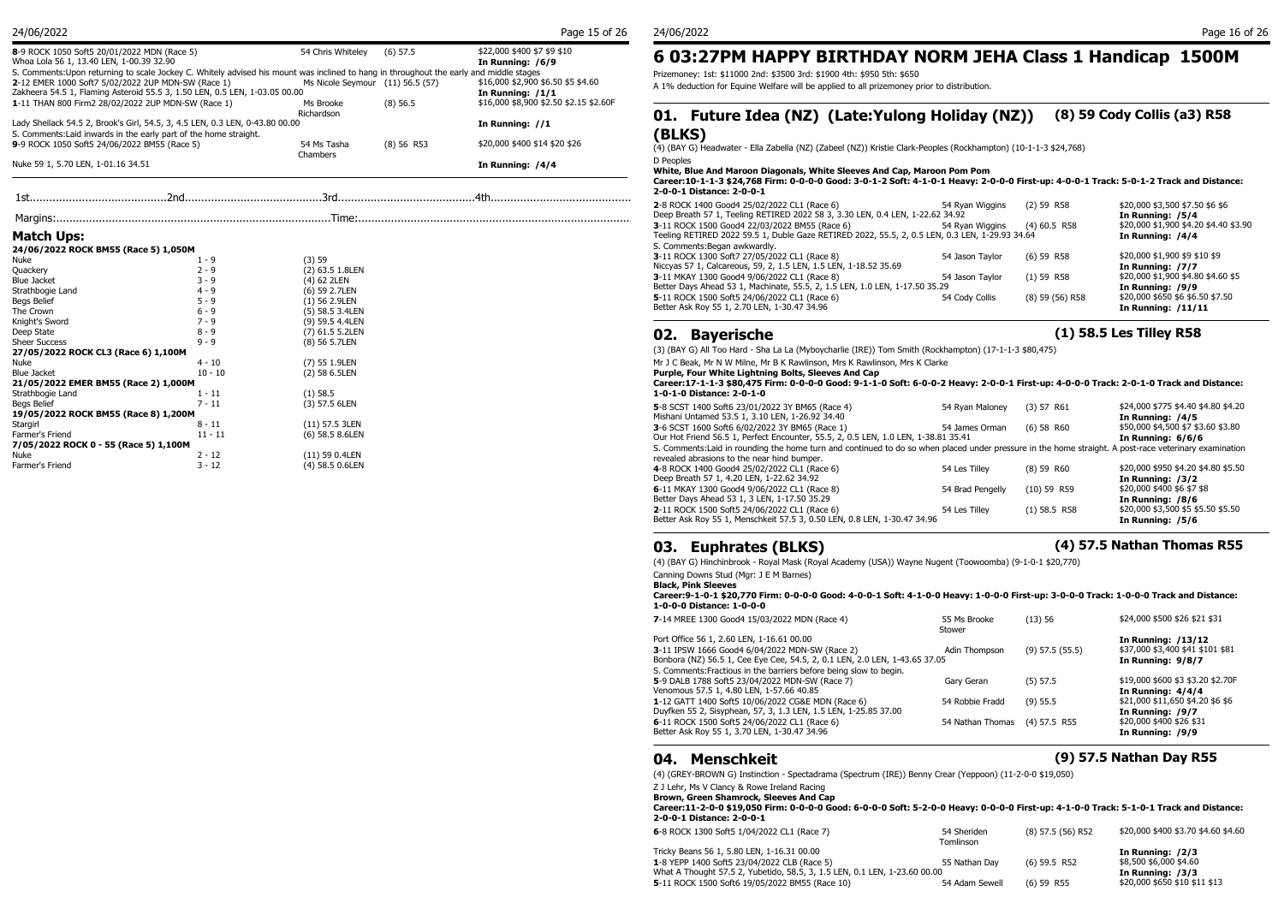| 8-9 ROCK 1050 Soft5 20/01/2022 MDN (Race 5)<br>Whoa Lola 56 1, 13.40 LEN, 1-00.39 32.90                                                | 54 Chris Whitelev                | $(6)$ 57.5   | \$22,000 \$400 \$7 \$9 \$10<br>In Running: /6/9 | 603:27PM               |
|----------------------------------------------------------------------------------------------------------------------------------------|----------------------------------|--------------|-------------------------------------------------|------------------------|
| S. Comments:Upon returning to scale Jockey C. Whitely advised his mount was inclined to hang in throughout the early and middle stages |                                  |              |                                                 | Prizemoney: 1st: \$110 |
| 2-12 EMER 1000 Soft7 5/02/2022 2UP MDN-SW (Race 1)                                                                                     | Ms Nicole Seymour (11) 56.5 (57) |              | \$16,000 \$2,900 \$6.50 \$5 \$4.60              | A 1% deduction for Eq  |
| Zakheera 54.5 1, Flaming Asteroid 55.5 3, 1.50 LEN, 0.5 LEN, 1-03.05 00.00                                                             |                                  |              | In Running: /1/1                                |                        |
| 1-11 THAN 800 Firm2 28/02/2022 2UP MDN-SW (Race 1)                                                                                     | Ms Brooke                        | $(8)$ 56.5   | \$16,000 \$8,900 \$2.50 \$2.15 \$2.60F          |                        |
|                                                                                                                                        | Richardson                       |              |                                                 | 01. Future             |
| Lady Sheilack 54.5 2, Brook's Girl, 54.5, 3, 4.5 LEN, 0.3 LEN, 0-43.80 00.00                                                           |                                  |              | In Running: //1                                 |                        |
| S. Comments: Laid inwards in the early part of the home straight.                                                                      |                                  |              |                                                 | (BLKS)                 |
| 9-9 ROCK 1050 Soft5 24/06/2022 BM55 (Race 5)                                                                                           | 54 Ms Tasha                      | $(8)$ 56 R53 | \$20,000 \$400 \$14 \$20 \$26                   | (4) (BAY G) Headwate   |
|                                                                                                                                        | Chambers                         |              |                                                 |                        |
| Nuke 59 1, 5.70 LEN, 1-01.16 34.51                                                                                                     |                                  |              | In Running: /4/4                                | D Peoples<br>          |

1st..........................................2nd..........................................3rd..........................................4th............................................

### **Match Ups:**

| 24/06/2022 ROCK BM55 (Race 5) 1,050M |  |  |
|--------------------------------------|--|--|

| Nuke                                  | $1 - 9$   | (3)59           |
|---------------------------------------|-----------|-----------------|
| Quackery                              | $2 - 9$   | (2) 63.5 1.8LEN |
| Blue Jacket                           | $3 - 9$   | (4) 62 2LEN     |
| Strathbogie Land                      | $4 - 9$   | (6) 59 2.7LEN   |
| Begs Belief                           | $5 - 9$   | $(1)$ 56 2.9LEN |
| The Crown                             | $6 - 9$   | (5) 58.5 3.4LEN |
| Knight's Sword                        | $7 - 9$   | (9) 59.5 4.4LEN |
| Deep State                            | $8 - 9$   | (7) 61.5 5.2LEN |
| <b>Sheer Success</b>                  | $9 - 9$   | (8) 56 5.7LEN   |
| 27/05/2022 ROCK CL3 (Race 6) 1,100M   |           |                 |
| Nuke                                  | 4 - 10    | (7) 55 1.9LEN   |
| Blue Jacket                           | $10 - 10$ | (2) 58 6.5LEN   |
| 21/05/2022 EMER BM55 (Race 2) 1,000M  |           |                 |
| Strathbogie Land                      | 1 - 11    | $(1)$ 58.5      |
| Begs Belief                           | 7 - 11    | (3) 57.5 6LEN   |
| 19/05/2022 ROCK BM55 (Race 8) 1,200M  |           |                 |
| Stargirl                              | $8 - 11$  | (11) 57.5 3LEN  |
| Farmer's Friend                       | $11 - 11$ | (6) 58.5 8.6LEN |
| 7/05/2022 ROCK 0 - 55 (Race 5) 1,100M |           |                 |
| Nuke                                  | 2 - 12    | (11) 59 0.4LEN  |
| Farmer's Friend                       | 3 - 12    | (4) 58.5 0.6LEN |
|                                       |           |                 |

## **6 03:27PM HAPPY BIRTHDAY NORM JEHA Class 1 Handicap 1500M**

Prizemoney: 1st: \$11000 2nd: \$3500 3rd: \$1900 4th: \$950 5th: \$650

A 1% deduction for Equine Welfare will be applied to all prizemoney prior to distribution.

## **01. Future Idea (NZ) (Late:Yulong Holiday (NZ)) (8) 59 Cody Collis (a3) R58 (BLKS)**

## (8) 56 R53 \$20,000 \$400 \$14 \$20 \$26 (4) (BAY G) Headwater - Ella Zabella (NZ) (Zabeel (NZ)) Kristie Clark-Peoples (Rockhampton) (10-1-1-3 \$24,768)

D Peoples

**White, Blue And Maroon Diagonals, White Sleeves And Cap, Maroon Pom Pom**

#### **Career:10-1-1-3 \$24,768 Firm: 0-0-0-0 Good: 3-0-1-2 Soft: 4-1-0-1 Heavy: 2-0-0-0 First-up: 4-0-0-1 Track: 5-0-1-2 Track and Distance: 2-0-0-1 Distance: 2-0-0-1**

|                                      |       |                 | 2-8 ROCK 1400 Good4 25/02/2022 CL1 (Race 6)                                                    | 54 Rvan Wiggins | $(2)$ 59 R58    | \$20,000 \$3,500 \$7.50 \$6 \$6       |
|--------------------------------------|-------|-----------------|------------------------------------------------------------------------------------------------|-----------------|-----------------|---------------------------------------|
|                                      |       |                 | Deep Breath 57 1, Teeling RETIRED 2022 58 3, 3.30 LEN, 0.4 LEN, 1-22.62 34.92                  |                 |                 | In Running: /5/4                      |
|                                      |       |                 | 3-11 ROCK 1500 Good4 22/03/2022 BM55 (Race 6)                                                  | 54 Rvan Wiggins | $(4)$ 60.5 R58  | \$20,000 \$1,900 \$4.20 \$4.40 \$3.90 |
| Match Ups:                           |       |                 | Teeling RETIRED 2022 59.5 1, Duble Gaze RETIRED 2022, 55.5, 2, 0.5 LEN, 0.3 LEN, 1-29.93 34.64 |                 |                 | In Running: /4/4                      |
| 24/06/2022 ROCK BM55 (Race 5) 1,050M |       |                 | S. Comments: Began awkwardly.                                                                  |                 |                 |                                       |
|                                      |       | (3) 59          | 3-11 ROCK 1300 Soft7 27/05/2022 CL1 (Race 8)                                                   | 54 Jason Tavlor | $(6)$ 59 R58    | \$20,000 \$1,900 \$9 \$10 \$9         |
| Quackery                             |       | (2) 63.5 1.8LEN | Niccyas 57 1, Calcareous, 59, 2, 1.5 LEN, 1.5 LEN, 1-18.52 35.69                               |                 |                 | In Running: /7/7                      |
| <b>Slue Jacket</b>                   | ∢ – Q | (4) 62 2LEN     | 3-11 MKAY 1300 Good4 9/06/2022 CL1 (Race 8)                                                    | 54 Jason Tavlor | $(1)$ 59 R58    | \$20,000 \$1,900 \$4.80 \$4.60 \$5    |
| strathbogie Land                     | 4 - 9 | (6) 59 2.7LEN   | Better Days Ahead 53 1, Machinate, 55.5, 2, 1.5 LEN, 1.0 LEN, 1-17.50 35.29                    |                 |                 | In Running: /9/9                      |
| Begs Belief                          | 5 - 9 | $(1)$ 56 2.9LEN | 5-11 ROCK 1500 Soft5 24/06/2022 CL1 (Race 6)                                                   | 54 Cody Collis  | (8) 59 (56) R58 | \$20,000 \$650 \$6 \$6.50 \$7.50      |
| he Crown                             | 6 - 9 | (5) 58.5 3.4LEN | Better Ask Roy 55 1, 2.70 LEN, 1-30.47 34.96                                                   |                 |                 | In Running: $/11/11$                  |
|                                      |       |                 |                                                                                                |                 |                 |                                       |

## **02. Bayerische (1) 58.5 Les Tilley R58**

(3) (BAY G) All Too Hard - Sha La La (Myboycharlie (IRE)) Tom Smith (Rockhampton) (17-1-1-3 \$80,475)

Mr J C Beak, Mr N W Milne, Mr B K Rawlinson, Mrs K Rawlinson, Mrs K Clarke

**Purple, Four White Lightning Bolts, Sleeves And Cap**

#### **Career:17-1-1-3 \$80,475 Firm: 0-0-0-0 Good: 9-1-1-0 Soft: 6-0-0-2 Heavy: 2-0-0-1 First-up: 4-0-0-0 Track: 2-0-1-0 Track and Distance: 1-0-1-0 Distance: 2-0-1-0**

| 5-8 SCST 1400 Soft6 23/01/2022 3Y BM65 (Race 4)<br>Mishani Untamed 53.5 1, 3.10 LEN, 1-26.92 34.40                                                     | 54 Ryan Maloney  | (3) 57 R61     | \$24,000 \$775 \$4.40 \$4.80 \$4.20<br>In Running: /4/5 |
|--------------------------------------------------------------------------------------------------------------------------------------------------------|------------------|----------------|---------------------------------------------------------|
| 3-6 SCST 1600 Soft6 6/02/2022 3Y BM65 (Race 1)                                                                                                         | 54 James Orman   | $(6)$ 58 R60   | \$50,000 \$4,500 \$7 \$3.60 \$3.80                      |
| Our Hot Friend 56.5 1, Perfect Encounter, 55.5, 2, 0.5 LEN, 1.0 LEN, 1-38.81 35.41                                                                     |                  |                | In Running: 6/6/6                                       |
| S. Comments: Laid in rounding the home turn and continued to do so when placed under pressure in the home straight. A post-race veterinary examination |                  |                |                                                         |
| revealed abrasions to the near hind bumper.                                                                                                            |                  |                |                                                         |
| 4-8 ROCK 1400 Good4 25/02/2022 CL1 (Race 6)                                                                                                            | 54 Les Tillev    | $(8)$ 59 R60   | \$20,000 \$950 \$4.20 \$4.80 \$5.50                     |
| Deep Breath 57 1, 4.20 LEN, 1-22.62 34.92                                                                                                              |                  |                | In Running: /3/2                                        |
| 6-11 MKAY 1300 Good4 9/06/2022 CL1 (Race 8)                                                                                                            | 54 Brad Pengelly | $(10)$ 59 R59  | \$20,000 \$400 \$6 \$7 \$8                              |
| Better Days Ahead 53 1, 3 LEN, 1-17.50 35.29                                                                                                           |                  |                | In Running: /8/6                                        |
| 2-11 ROCK 1500 Soft5 24/06/2022 CL1 (Race 6)                                                                                                           | 54 Les Tillev    | $(1)$ 58.5 R58 | \$20,000 \$3,500 \$5 \$5.50 \$5.50                      |
| Better Ask Roy 55 1, Menschkeit 57.5 3, 0.50 LEN, 0.8 LEN, 1-30.47 34.96                                                                               |                  |                | In Running: /5/6                                        |

## **03. Euphrates (BLKS) (4) 57.5 Nathan Thomas R55**

(4) (BAY G) Hinchinbrook - Royal Mask (Royal Academy (USA)) Wayne Nugent (Toowoomba) (9-1-0-1 \$20,770)

Canning Downs Stud (Mgr: J E M Barnes)

**Black, Pink Sleeves**

#### **Career:9-1-0-1 \$20,770 Firm: 0-0-0-0 Good: 4-0-0-1 Soft: 4-1-0-0 Heavy: 1-0-0-0 First-up: 3-0-0-0 Track: 1-0-0-0 Track and Distance: 1-0-0-0 Distance: 1-0-0-0**

| 7-14 MREE 1300 Good4 15/03/2022 MDN (Race 4)                               | 55 Ms Brooke<br>Stower | (13)56              | \$24,000 \$500 \$26 \$21 \$31     |
|----------------------------------------------------------------------------|------------------------|---------------------|-----------------------------------|
| Port Office 56 1, 2.60 LEN, 1-16.61 00.00                                  |                        |                     | In Running: /13/12                |
| 3-11 IPSW 1666 Good4 6/04/2022 MDN-SW (Race 2)                             | Adin Thompson          | $(9)$ 57.5 $(55.5)$ | \$37,000 \$3,400 \$41 \$101 \$81  |
| Bonbora (NZ) 56.5 1, Cee Eye Cee, 54.5, 2, 0.1 LEN, 2.0 LEN, 1-43.65 37.05 |                        |                     | In Running: 9/8/7                 |
| S. Comments: Fractious in the barriers before being slow to begin.         |                        |                     |                                   |
| 5-9 DALB 1788 Soft5 23/04/2022 MDN-SW (Race 7)                             | Gary Geran             | $(5)$ 57.5          | \$19,000 \$600 \$3 \$3.20 \$2.70F |
| Venomous 57.5 1, 4.80 LEN, 1-57.66 40.85                                   |                        |                     | In Running: 4/4/4                 |
| 1-12 GATT 1400 Soft5 10/06/2022 CG&E MDN (Race 6)                          | 54 Robbie Fradd        | $(9)$ 55.5          | \$21,000 \$11,650 \$4.20 \$6 \$6  |
| Duyfken 55 2, Sisyphean, 57, 3, 1.3 LEN, 1.5 LEN, 1-25.85 37.00            |                        |                     | In Running: /9/7                  |
| 6-11 ROCK 1500 Soft5 24/06/2022 CL1 (Race 6)                               | 54 Nathan Thomas       | $(4)$ 57.5 R55      | \$20,000 \$400 \$26 \$31          |
| Better Ask Roy 55 1, 3.70 LEN, 1-30.47 34.96                               |                        |                     | In Running: /9/9                  |

## **04. Menschkeit (9) 57.5 Nathan Day R55**

(4) (GREY-BROWN G) Instinction - Spectadrama (Spectrum (IRE)) Benny Crear (Yeppoon) (11-2-0-0 \$19,050)

Z J Lehr, Ms V Clancy & Rowe Ireland Racing **Brown, Green Shamrock, Sleeves And Cap**

**Career:11-2-0-0 \$19,050 Firm: 0-0-0-0 Good: 6-0-0-0 Soft: 5-2-0-0 Heavy: 0-0-0-0 First-up: 4-1-0-0 Track: 5-1-0-1 Track and Distance: 2-0-0-1 Distance: 2-0-0-1**

| 6-8 ROCK 1300 Soft5 1/04/2022 CL1 (Race 7)                                                | 54 Sheriden<br>Tomlinson | (8) 57.5 (56) R52 | \$20,000 \$400 \$3.70 \$4.60 \$4.60        |
|-------------------------------------------------------------------------------------------|--------------------------|-------------------|--------------------------------------------|
| Tricky Beans 56 1, 5.80 LEN, 1-16.31 00.00<br>1-8 YEPP 1400 Soft5 23/04/2022 CLB (Race 5) | 55 Nathan Dav            | $(6)$ 59.5 R52    | In Running: /2/3<br>\$8,500 \$6,000 \$4.60 |
| What A Thought 57.5 2, Yubetido, 58.5, 3, 1.5 LEN, 0.1 LEN, 1-23.60 00.00                 |                          |                   | In Running: /3/3                           |
| 5-11 ROCK 1500 Soft6 19/05/2022 BM55 (Race 10)                                            | 54 Adam Sewell           | $(6)$ 59 R55      | \$20,000 \$650 \$10 \$11 \$13              |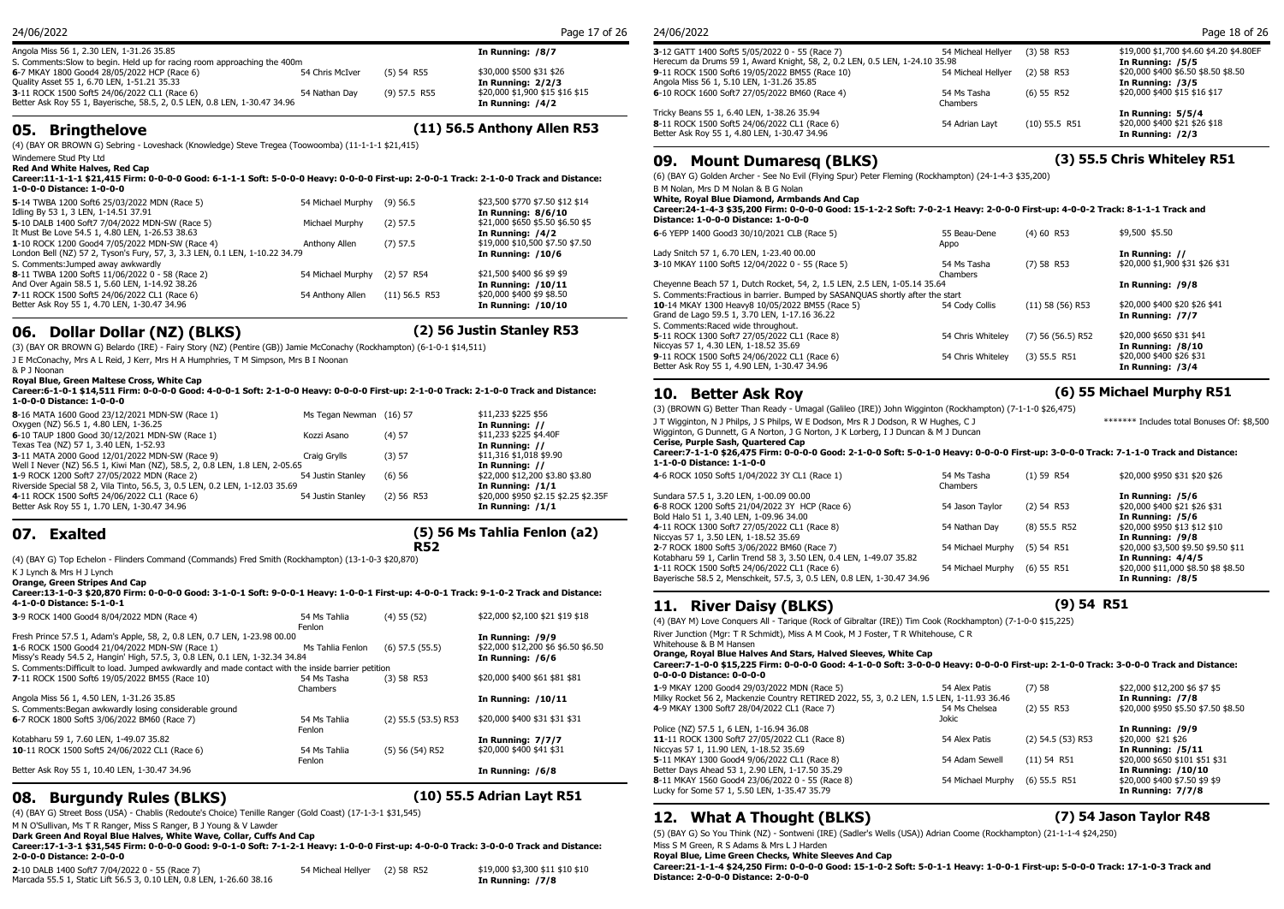| 24/06/2022 |  |
|------------|--|
|            |  |
|            |  |

| Angola Miss 56 1, 2.30 LEN, 1-31.26 35.85                                 |                 |                | In Running: /8/7                | 3-12 GATT 1400   |
|---------------------------------------------------------------------------|-----------------|----------------|---------------------------------|------------------|
| S. Comments: Slow to begin. Held up for racing room approaching the 400m  |                 |                |                                 | Herecum da Dru   |
| 6-7 MKAY 1800 Good4 28/05/2022 HCP (Race 6)                               | 54 Chris McIver | $(5)$ 54 R55   | \$30,000 \$500 \$31 \$26        | 9-11 ROCK 1500   |
| Quality Asset 55 1, 6.70 LEN, 1-51.21 35.33                               |                 |                | In Running: 2/2/3               | Angola Miss 56 1 |
| 3-11 ROCK 1500 Soft5 24/06/2022 CL1 (Race 6)                              | 54 Nathan Dav   | $(9)$ 57.5 R55 | \$20,000 \$1,900 \$15 \$16 \$15 | 6-10 ROCK 1600   |
| Better Ask Roy 55 1, Bayerische, 58.5, 2, 0.5 LEN, 0.8 LEN, 1-30.47 34.96 |                 |                | In Running: /4/2                |                  |
|                                                                           |                 |                |                                 | アンシオー・ロー・エー・ロワー  |

**05. Bringthelove (11) 56.5 Anthony Allen R53**

(4) (BAY OR BROWN G) Sebring - Loveshack (Knowledge) Steve Tregea (Toowoomba) (11-1-1-1 \$21,415)

Windemere Stud Pty Ltd

**Red And White Halves, Red Cap Career:11-1-1-1 \$21,415 Firm: 0-0-0-0 Good: 6-1-1-1 Soft: 5-0-0-0 Heavy: 0-0-0-0 First-up: 2-0-0-1 Track: 2-1-0-0 Track and Distance: 1-0-0-0 Distance: 1-0-0-0**

| 5-14 TWBA 1200 Soft6 25/03/2022 MDN (Race 5)                                | 54 Michael Murphy (9) 56.5   |                 | \$23,500 \$770 \$7.50 \$12 \$14  | <b>White, Royal Bl</b> |
|-----------------------------------------------------------------------------|------------------------------|-----------------|----------------------------------|------------------------|
| Idling By 53 1, 3 LEN, 1-14.51 37.91                                        |                              |                 | In Running: 8/6/10               | Career: 24-1-4-        |
| 5-10 DALB 1400 Soft7 7/04/2022 MDN-SW (Race 5)                              | Michael Murphy               | $(2)$ 57.5      | \$21,000 \$650 \$5.50 \$6.50 \$5 | Distance: 1-0-0        |
| It Must Be Love 54.5 1, 4.80 LEN, 1-26.53 38.63                             |                              |                 | In Running: /4/2                 | 6-6 YEPP 1400 G        |
| 1-10 ROCK 1200 Good4 7/05/2022 MDN-SW (Race 4)                              | Anthony Allen                | $(7)$ 57.5      | \$19,000 \$10,500 \$7.50 \$7.50  |                        |
| London Bell (NZ) 57 2, Tyson's Fury, 57, 3, 3.3 LEN, 0.1 LEN, 1-10.22 34.79 |                              |                 | <b>In Running: /10/6</b>         | Lady Snitch 57 1,      |
| S. Comments: Jumped away awkwardly                                          |                              |                 |                                  | 3-10 MKAY 1100         |
| 8-11 TWBA 1200 Soft5 11/06/2022 0 - 58 (Race 2)                             | 54 Michael Murphy (2) 57 R54 |                 | \$21,500 \$400 \$6 \$9 \$9       |                        |
| And Over Again 58.5 1, 5.60 LEN, 1-14.92 38.26                              |                              |                 | In Running: /10/11               | Cheyenne Beach         |
| 7-11 ROCK 1500 Soft5 24/06/2022 CL1 (Race 6)                                | 54 Anthony Allen             | $(11)$ 56.5 R53 | \$20,000 \$400 \$9 \$8.50        | S. Comments: Fra       |
| Better Ask Roy 55 1, 4.70 LEN, 1-30.47 34.96                                |                              |                 | In Running: /10/10               | 10-14 MKAY 130         |
|                                                                             |                              |                 |                                  | Crand do Lago EQ       |

## **06. Dollar Dollar (NZ) (BLKS) (2) 56 Justin Stanley R53**

(3) (BAY OR BROWN G) Belardo (IRE) - Fairy Story (NZ) (Pentire (GB)) Jamie McConachy (Rockhampton) (6-1-0-1 \$14,511)

J E McConachy, Mrs A L Reid, J Kerr, Mrs H A Humphries, T M Simpson, Mrs B I Noonan

& P J Noonan

#### **Royal Blue, Green Maltese Cross, White Cap**

**Career:6-1-0-1 \$14,511 Firm: 0-0-0-0 Good: 4-0-0-1 Soft: 2-1-0-0 Heavy: 0-0-0-0 First-up: 2-1-0-0 Track: 2-1-0-0 Track and Distance: 1-0-0-0 Distance: 1-0-0-0**

|                   |                                                                                                                                                                                  | \$11,233 \$225 \$56<br>In Running: //   | (3) (BROWN G) Bett<br>J T Wigginton, N J F                               |
|-------------------|----------------------------------------------------------------------------------------------------------------------------------------------------------------------------------|-----------------------------------------|--------------------------------------------------------------------------|
| Kozzi Asano       | $(4)$ 57                                                                                                                                                                         | \$11,233 \$225 \$4.40F                  | Wigginton, G Dunne<br><b>Cerise, Purple Sas</b>                          |
| Craig Grylls      | (3) 57                                                                                                                                                                           | \$11,316 \$1,018 \$9.90                 | Career: 7-1-1-0 \$2<br>1-1-0-0 Distance:                                 |
| 54 Justin Stanley | (6)56                                                                                                                                                                            | \$22,000 \$12,200 \$3.80 \$3.80         | 4-6 ROCK 1050 Soft                                                       |
|                   |                                                                                                                                                                                  | In Running: /1/1                        |                                                                          |
|                   |                                                                                                                                                                                  | In Running: /1/1                        | Sundara 57.5 1, 3.2<br>6-8 ROCK 1200 Soft                                |
|                   | Well I Never (NZ) 56.5 1, Kiwi Man (NZ), 58.5, 2, 0.8 LEN, 1.8 LEN, 2-05.65<br>Riverside Special 58 2, Vila Tinto, 56.5, 3, 0.5 LEN, 0.2 LEN, 1-12.03 35.69<br>54 Justin Stanley | Ms Tegan Newman (16) 57<br>$(2)$ 56 R53 | In Running: //<br>In Running: //<br>\$20,000 \$950 \$2.15 \$2.25 \$2.35F |

## **07. Exalted**

## **(5) 56 Ms Tahlia Fenlon (a2)**

(4) (BAY G) Top Echelon - Flinders Command (Commands) Fred Smith (Rockhampton) (13-1-0-3 \$20,870)

K J Lynch & Mrs H J Lynch **Orange, Green Stripes And Cap**

| Career:13-1-0-3 \$20.870 Firm: 0-0-0-0 Good: 3-1-0-1 Soft: 9-0-0-1 Heavy: 1-0-0-1 First-up: 4-0-0-1 Track: 9-1-0-2 Track and Distance: |                        |                         |                                     |                        |
|----------------------------------------------------------------------------------------------------------------------------------------|------------------------|-------------------------|-------------------------------------|------------------------|
| 4-1-0-0 Distance: 5-1-0-1                                                                                                              |                        |                         |                                     | <b>River</b><br>11.    |
| 3-9 ROCK 1400 Good4 8/04/2022 MDN (Race 4)                                                                                             | 54 Ms Tahlia<br>Fenlon | $(4)$ 55 $(52)$         | \$22,000 \$2,100 \$21 \$19 \$18     | (4) (BAY M) Love Co    |
| Fresh Prince 57.5 1, Adam's Apple, 58, 2, 0.8 LEN, 0.7 LEN, 1-23.98 00.00                                                              |                        |                         | In Running: /9/9                    | River Junction (Mar:   |
| 1-6 ROCK 1500 Good4 21/04/2022 MDN-SW (Race 1)                                                                                         | Ms Tahlia Fenlon       | $(6)$ 57.5 $(55.5)$     | \$22,000 \$12,200 \$6 \$6.50 \$6.50 | Whitehouse & B M H     |
| Missy's Ready 54.5 2, Hangin' High, 57.5, 3, 0.8 LEN, 0.1 LEN, 1-32.34 34.84                                                           |                        |                         | In Running: /6/6                    | Orange, Royal Blu      |
| S. Comments: Difficult to load. Jumped awkwardly and made contact with the inside barrier petition                                     |                        |                         |                                     | Career: 7-1-0-0 \$1    |
| 7-11 ROCK 1500 Soft6 19/05/2022 BM55 (Race 10)                                                                                         | 54 Ms Tasha            | $(3)$ 58 R53            | \$20,000 \$400 \$61 \$81 \$81       | 0-0-0-0 Distance:      |
|                                                                                                                                        | Chambers               |                         |                                     | 1-9 MKAY 1200 Goo      |
| Angola Miss 56 1, 4.50 LEN, 1-31.26 35.85                                                                                              |                        |                         | In Running: /10/11                  | Milky Rocket 56 2, M   |
| S. Comments: Began awkwardly losing considerable ground                                                                                |                        |                         |                                     | 4-9 MKAY 1300 Soft     |
| 6-7 ROCK 1800 Soft5 3/06/2022 BM60 (Race 7)                                                                                            | 54 Ms Tahlia           | $(2)$ 55.5 $(53.5)$ R53 | \$20,000 \$400 \$31 \$31 \$31       |                        |
|                                                                                                                                        | Fenlon                 |                         |                                     | Police (NZ) 57.5 1, 6  |
| Kotabharu 59 1, 7.60 LEN, 1-49.07 35.82                                                                                                |                        |                         | In Running: 7/7/7                   | 11-11 ROCK 1300 S      |
| 10-11 ROCK 1500 Soft5 24/06/2022 CL1 (Race 6)                                                                                          | 54 Ms Tahlia           | $(5)$ 56 (54) R52       | \$20,000 \$400 \$41 \$31            | Niccyas 57 1, 11.90    |
|                                                                                                                                        | Fenlon                 |                         |                                     | 5-11 MKAY 1300 Go      |
| Better Ask Roy 55 1, 10.40 LEN, 1-30.47 34.96                                                                                          |                        |                         | In Running: /6/8                    | Better Days Ahead 5    |
|                                                                                                                                        |                        |                         |                                     | $0.11$ MI/AV 1ECO $Co$ |

## **08. Burgundy Rules (BLKS) (10) 55.5 Adrian Layt R51**

(4) (BAY G) Street Boss (USA) - Chablis (Redoute's Choice) Tenille Ranger (Gold Coast) (17-1-3-1 \$31,545) M N O'Sullivan, Ms T R Ranger, Miss S Ranger, B J Young & V Lawder

**Dark Green And Royal Blue Halves, White Wave, Collar, Cuffs And Cap**

#### **Career:17-1-3-1 \$31,545 Firm: 0-0-0-0 Good: 9-0-1-0 Soft: 7-1-2-1 Heavy: 1-0-0-0 First-up: 4-0-0-0 Track: 3-0-0-0 Track and Distance: 2-0-0-0 Distance: 2-0-0-0**

**2**-10 DALB 1400 Soft7 7/04/2022 0 - 55 (Race 7) 54 Micheal Hellyer (2) 58 R52 \$19,000 \$3,300 \$11 \$10 \$10 Marcada 55.5 1, Static Lift 56.5 3, 0.10 LEN, 0.8 LEN, 1-26.60 38.16 **In Running: /7/8**

|  | 24/06/202 |  |
|--|-----------|--|
|--|-----------|--|

| 24/06/2022                                                                                                                    |                         |                 | Page 18 of 26                                               |
|-------------------------------------------------------------------------------------------------------------------------------|-------------------------|-----------------|-------------------------------------------------------------|
| 3-12 GATT 1400 Soft5 5/05/2022 0 - 55 (Race 7)<br>Herecum da Drums 59 1, Award Knight, 58, 2, 0.2 LEN, 0.5 LEN, 1-24.10 35.98 | 54 Micheal Hellver      | $(3)$ 58 R53    | \$19,000 \$1,700 \$4.60 \$4.20 \$4.80EF<br>In Running: /5/5 |
| 9-11 ROCK 1500 Soft6 19/05/2022 BM55 (Race 10)<br>Angola Miss 56 1, 5.10 LEN, 1-31.26 35.85                                   | 54 Micheal Hellver      | $(2)$ 58 R53    | \$20,000 \$400 \$6.50 \$8.50 \$8.50<br>In Running: /3/5     |
| 6-10 ROCK 1600 Soft7 27/05/2022 BM60 (Race 4)                                                                                 | 54 Ms Tasha<br>Chambers | $(6)$ 55 R52    | \$20,000 \$400 \$15 \$16 \$17                               |
| Tricky Beans 55 1, 6.40 LEN, 1-38.26 35.94                                                                                    |                         |                 | In Running: 5/5/4                                           |
| 8-11 ROCK 1500 Soft5 24/06/2022 CL1 (Race 6)                                                                                  | 54 Adrian Lavt          | $(10)$ 55.5 R51 | \$20,000 \$400 \$21 \$26 \$18                               |
| Better Ask Roy 55 1, 4.80 LEN, 1-30.47 34.96                                                                                  |                         |                 | In Running: /2/3                                            |

## **09. Mount Dumaresq (BLKS) (3) 55.5 Chris Whiteley R51**

(6) (BAY G) Golden Archer - See No Evil (Flying Spur) Peter Fleming (Rockhampton) (24-1-4-3 \$35,200)

B M Nolan, Mrs D M Nolan & B G Nolan

**White, Royal Blue Diamond, Armbands And Cap**

#### **Career:24-1-4-3 \$35,200 Firm: 0-0-0-0 Good: 15-1-2-2 Soft: 7-0-2-1 Heavy: 2-0-0-0 First-up: 4-0-0-2 Track: 8-1-1-1 Track and Distance: 1-0-0-0 Distance: 1-0-0-0**

| 6-6 YEPP 1400 Good3 30/10/2021 CLB (Race 5)                                    | 55 Beau-Dene<br>Appo    | $(4)$ 60 R53        | \$9,500 \$5.50                  |
|--------------------------------------------------------------------------------|-------------------------|---------------------|---------------------------------|
| Lady Snitch 57 1, 6.70 LEN, 1-23.40 00.00                                      |                         |                     | In Running: //                  |
| 3-10 MKAY 1100 Soft5 12/04/2022 0 - 55 (Race 5)                                | 54 Ms Tasha<br>Chambers | $(7)$ 58 R53        | \$20,000 \$1,900 \$31 \$26 \$31 |
| Cheyenne Beach 57 1, Dutch Rocket, 54, 2, 1.5 LEN, 2.5 LEN, 1-05.14 35.64      |                         |                     | In Running: /9/8                |
| S. Comments: Fractious in barrier. Bumped by SASANQUAS shortly after the start |                         |                     |                                 |
| 10-14 MKAY 1300 Heavy8 10/05/2022 BM55 (Race 5)                                | 54 Cody Collis          | $(11)$ 58 (56) R53  | \$20,000 \$400 \$20 \$26 \$41   |
| Grand de Lago 59.5 1, 3.70 LEN, 1-17.16 36.22                                  |                         |                     | In Running: /7/7                |
| S. Comments: Raced wide throughout.                                            |                         |                     |                                 |
| 5-11 ROCK 1300 Soft7 27/05/2022 CL1 (Race 8)                                   | 54 Chris Whitelev       | $(7)$ 56 (56.5) R52 | \$20,000 \$650 \$31 \$41        |
| Niccyas 57 1, 4.30 LEN, 1-18.52 35.69                                          |                         |                     | <b>In Running: /8/10</b>        |
| 9-11 ROCK 1500 Soft5 24/06/2022 CL1 (Race 6)                                   | 54 Chris Whitelev       | $(3)$ 55.5 R51      | \$20,000 \$400 \$26 \$31        |
| Better Ask Roy 55 1, 4.90 LEN, 1-30.47 34.96                                   |                         |                     | In Running: /3/4                |
|                                                                                |                         |                     |                                 |

#### (3) (BROWN G) Better Than Ready - Umagal (Galileo (IRE)) John Wigginton (Rockhampton) (7-1-1-0 \$26,475)

J T Wigginton, N J Philps, J S Philps, W E Dodson, Mrs R J Dodson, R W Hughes, C J

Wigginton, G Dunnett, G A Norton, J G Norton, J K Lorberg, I J Duncan & M J Duncan

**Cerise, Purple Sash, Quartered Cap**

#### **Career:7-1-1-0 \$26,475 Firm: 0-0-0-0 Good: 2-1-0-0 Soft: 5-0-1-0 Heavy: 0-0-0-0 First-up: 3-0-0-0 Track: 7-1-1-0 Track and Distance: 1-1-0-0 Distance: 1-1-0-0**

|     | In Running: //                       | 1-1-0-0 Distance: 1-1-0-0                                               |                              |                |                                     |
|-----|--------------------------------------|-------------------------------------------------------------------------|------------------------------|----------------|-------------------------------------|
|     | \$22,000 \$12,200 \$3.80 \$3.80      | 4-6 ROCK 1050 Soft5 1/04/2022 3Y CL1 (Race 1)                           | 54 Ms Tasha                  | $(1)$ 59 R54   | \$20,000 \$950 \$31 \$20 \$26       |
|     | In Running: $/1/1$                   |                                                                         | Chambers                     |                |                                     |
| R53 | \$20,000 \$950 \$2.15 \$2.25 \$2.35F | Sundara 57.5 1, 3.20 LEN, 1-00.09 00.00                                 |                              |                | In Running: /5/6                    |
|     | In Running: $/1/1$                   | 6-8 ROCK 1200 Soft5 21/04/2022 3Y HCP (Race 6)                          | 54 Jason Tavlor              | $(2)$ 54 R53   | \$20,000 \$400 \$21 \$26 \$31       |
|     |                                      | Bold Halo 51 1, 3.40 LEN, 1-09.96 34.00                                 |                              |                | In Running: /5/6                    |
|     | (5) 56 Ms Tahlia Fenlon (a2)         | 4-11 ROCK 1300 Soft7 27/05/2022 CL1 (Race 8)                            | 54 Nathan Dav                | $(8)$ 55.5 R52 | \$20,000 \$950 \$13 \$12 \$10       |
|     |                                      | Niccyas 57 1, 3.50 LEN, 1-18.52 35.69                                   |                              |                | In Running: /9/8                    |
| R52 |                                      | 2-7 ROCK 1800 Soft5 3/06/2022 BM60 (Race 7)                             | 54 Michael Murphy (5) 54 R51 |                | \$20,000 \$3,500 \$9.50 \$9.50 \$11 |
|     |                                      | Kotabharu 59 1, Carlin Trend 58 3, 3.50 LEN, 0.4 LEN, 1-49.07 35.82     |                              |                | In Running: $4/4/5$                 |
|     |                                      | 1-11 ROCK 1500 Soft5 24/06/2022 CL1 (Race 6)                            | 54 Michael Murphy            | (6) 55 R51     | \$20,000 \$11,000 \$8.50 \$8 \$8.50 |
|     |                                      | Bayerische 58.5 2, Menschkeit, 57.5, 3, 0.5 LEN, 0.8 LEN, 1-30.47 34.96 |                              |                | In Running: /8/5                    |
|     |                                      |                                                                         |                              |                |                                     |

## **11. River Daisy (BLKS) (9) 54 R51**

(4) 55 (52) \$22,000 \$2,100 \$21 \$19 \$18 (4) (BAY M) Love Conquers All - Tarique (Rock of Gibraltar (IRE)) Tim Cook (Rockhampton) (7-1-0-0 \$15,225)

River Junction (Mgr: T R Schmidt), Miss A M Cook, M J Foster, T R Whitehouse, C R

Whitehouse & B M Hansen **Orange, Royal Blue Halves And Stars, Halved Sleeves, White Cap**

(3) 58 R53 \$20,000 \$400 \$61 \$81 \$81 **0-0-0-0 Distance: 0-0-0-0 Career:7-1-0-0 \$15,225 Firm: 0-0-0-0 Good: 4-1-0-0 Soft: 3-0-0-0 Heavy: 0-0-0-0 First-up: 2-1-0-0 Track: 3-0-0-0 Track and Distance: 1**-9 MKAY 1200 Good4 29/03/2022 MDN (Race 5) 54 Alex Patis (7) 58 \$22,000 \$12,200 \$6 \$7 \$5 Milky Rocket 56 2, Mackenzie Country RETIRED 2022, 55, 3, 0.2 LEN, 1.5 LEN, 1-11.93 36.46 **In Running: /7/8**<br>4.9 MKAY 1300 Soft7 28/04/2022 C11 (Race 7) 54 Ms Chelsea (2) 55 R53 \$20,000 \$950 \$5.50 **4-9 MKAY 1300 Soft7 28/04/2022 CL1 (Race 7)**  $$20,000$   $$950$   $$50$   $$750$   $$8.50$ 

| $\frac{1}{2}$ , $\frac{1}{2}$ , $\frac{1}{2}$ , $\frac{1}{2}$ , $\frac{1}{2}$ , $\frac{1}{2}$ , $\frac{1}{2}$ , $\frac{1}{2}$ , $\frac{1}{2}$ , $\frac{1}{2}$ , $\frac{1}{2}$ , $\frac{1}{2}$ , $\frac{1}{2}$ |                   | .                     | \$50,000 \$350 \$9.50 \$1.50 \$0.50 |
|---------------------------------------------------------------------------------------------------------------------------------------------------------------------------------------------------------------|-------------------|-----------------------|-------------------------------------|
|                                                                                                                                                                                                               | Jokic             |                       |                                     |
| Police (NZ) 57.5 1, 6 LEN, 1-16.94 36.08                                                                                                                                                                      |                   |                       | In Running: /9/9                    |
| 11-11 ROCK 1300 Soft7 27/05/2022 CL1 (Race 8)                                                                                                                                                                 | 54 Alex Patis     | $(2)$ 54.5 $(53)$ R53 | \$20,000 \$21 \$26                  |
| Niccyas 57 1, 11.90 LEN, 1-18.52 35.69                                                                                                                                                                        |                   |                       | In Running: /5/11                   |
| 5-11 MKAY 1300 Good4 9/06/2022 CL1 (Race 8)                                                                                                                                                                   | 54 Adam Sewell    | $(11)$ 54 R51         | \$20,000 \$650 \$101 \$51 \$31      |
| Better Days Ahead 53 1, 2.90 LEN, 1-17.50 35.29                                                                                                                                                               |                   |                       | In Running: /10/10                  |
| 8-11 MKAY 1560 Good4 23/06/2022 0 - 55 (Race 8)                                                                                                                                                               | 54 Michael Murphy | (6) 55.5 R51          | \$20,000 \$400 \$7.50 \$9 \$9       |
| Lucky for Some 57 1, 5.50 LEN, 1-35.47 35.79                                                                                                                                                                  |                   |                       | In Running: 7/7/8                   |
|                                                                                                                                                                                                               |                   |                       |                                     |

## **12. What A Thought (BLKS) (7) 54 Jason Taylor R48**

**10. Better Ask Roy (6) 55 Michael Murphy R51**

\*\*\*\*\*\*\* Includes total Bonuses Of: \$8,500

(5) (BAY G) So You Think (NZ) - Sontweni (IRE) (Sadler's Wells (USA)) Adrian Coome (Rockhampton) (21-1-1-4 \$24,250)

Miss S M Green, R S Adams & Mrs L J Harden

**Royal Blue, Lime Green Checks, White Sleeves And Cap**

**Career:21-1-1-4 \$24,250 Firm: 0-0-0-0 Good: 15-1-0-2 Soft: 5-0-1-1 Heavy: 1-0-0-1 First-up: 5-0-0-0 Track: 17-1-0-3 Track and Distance: 2-0-0-0 Distance: 2-0-0-0**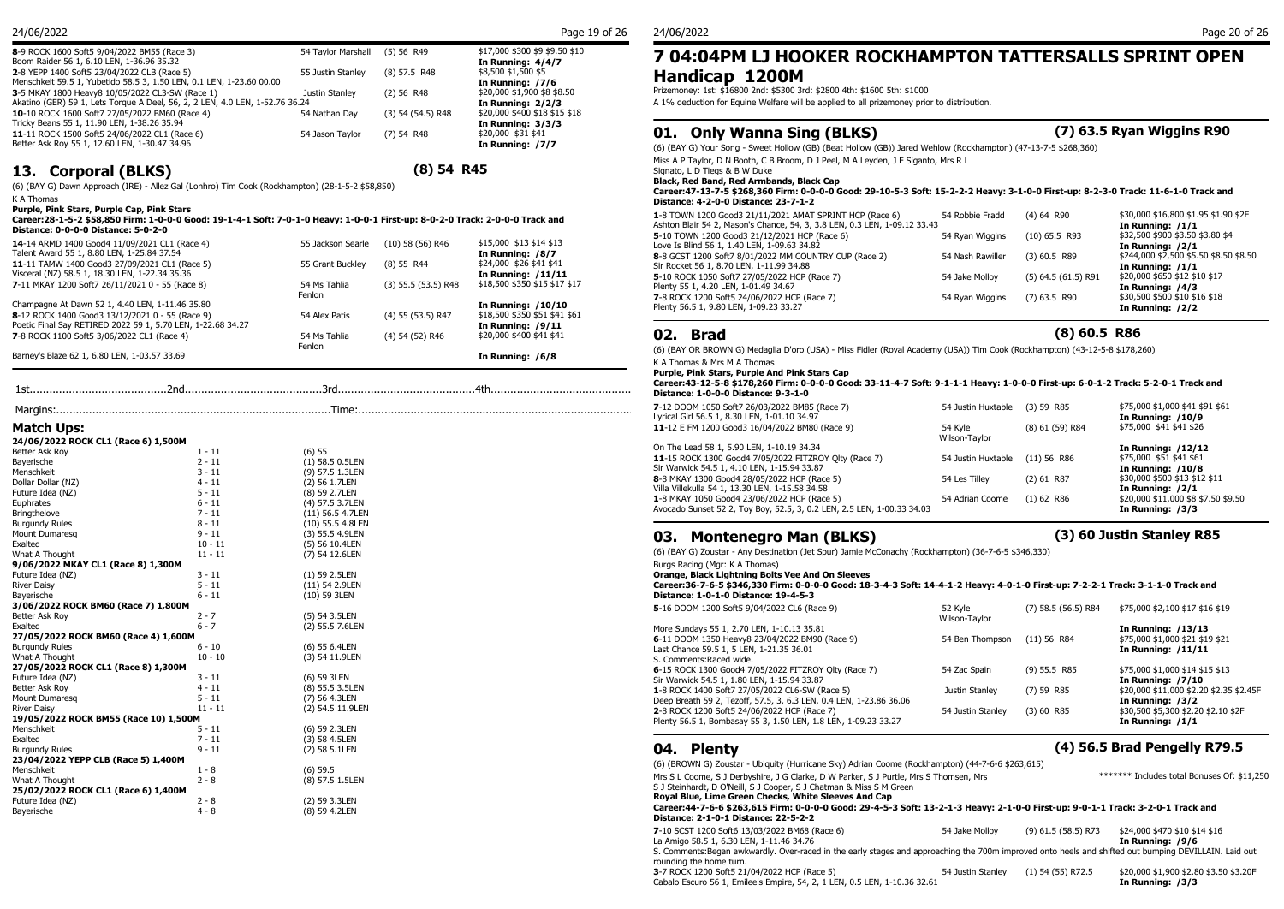| 8-9 ROCK 1600 Soft5 9/04/2022 BM55 (Race 3)                                                                         | 54 Tavlor Marshall | $(5)$ 56 R49          | \$17,000 \$300 \$9 \$9.50 \$10          | 7 04:04           |
|---------------------------------------------------------------------------------------------------------------------|--------------------|-----------------------|-----------------------------------------|-------------------|
| Boom Raider 56 1, 6.10 LEN, 1-36.96 35.32                                                                           |                    |                       | In Running: 4/4/7                       |                   |
| 2-8 YEPP 1400 Soft5 23/04/2022 CLB (Race 5)<br>Menschkeit 59.5 1, Yubetido 58.5 3, 1.50 LEN, 0.1 LEN, 1-23.60 00.00 | 55 Justin Stanley  | $(8)$ 57.5 R48        | \$8,500 \$1,500 \$5<br>In Running: /7/6 | <b>Handic</b>     |
| 3-5 MKAY 1800 Heavy8 10/05/2022 CL3-SW (Race 1)                                                                     | Justin Stanley     | $(2)$ 56 R48          | \$20,000 \$1,900 \$8 \$8.50             | Prizemoney: 1s    |
| Akatino (GER) 59 1, Lets Torque A Deel, 56, 2, 2 LEN, 4.0 LEN, 1-52.76 36.24                                        |                    |                       | In Running: 2/2/3                       | A 1% deduction    |
| 10-10 ROCK 1600 Soft7 27/05/2022 BM60 (Race 4)                                                                      | 54 Nathan Dav      | $(3)$ 54 $(54.5)$ R48 | \$20,000 \$400 \$18 \$15 \$18           |                   |
| Tricky Beans 55 1, 11.90 LEN, 1-38.26 35.94                                                                         |                    |                       | In Running: 3/3/3                       |                   |
| 11-11 ROCK 1500 Soft5 24/06/2022 CL1 (Race 6)                                                                       | 54 Jason Taylor    | $(7)$ 54 R48          | \$20,000 \$31 \$41                      | 01. On            |
| Better Ask Rov 55 1, 12.60 LEN, 1-30.47 34.96                                                                       |                    |                       | In Running: /7/7                        | $(6)$ (BAY G) You |

## **13. Corporal (BLKS) (8) 54 R45**

(6) (BAY G) Dawn Approach (IRE) - Allez Gal (Lonhro) Tim Cook (Rockhampton) (28-1-5-2 \$58,850)

K A Thomas

**Purple, Pink Stars, Purple Cap, Pink Stars**

**Career:28-1-5-2 \$58,850 Firm: 1-0-0-0 Good: 19-1-4-1 Soft: 7-0-1-0 Heavy: 1-0-0-1 First-up: 8-0-2-0 Track: 2-0-0-0 Track and Distance: 0-0-0-0 Distance: 5-0-2-0**

| 14-14 ARMD 1400 Good4 11/09/2021 CL1 (Race 4)<br>Talent Award 55 1, 8.80 LEN, 1-25.84 37.54     | 55 Jackson Searle      | $(10)$ 58 $(56)$ R46    | \$15,000 \$13 \$14 \$13<br>In Running: /8/7          | J IV I VIII LAV<br>Love Is Blind 56<br>8-8 GCST 1200 9 |
|-------------------------------------------------------------------------------------------------|------------------------|-------------------------|------------------------------------------------------|--------------------------------------------------------|
| 11-11 TAMW 1400 Good3 27/09/2021 CL1 (Race 5)<br>Visceral (NZ) 58.5 1, 18.30 LEN, 1-22.34 35.36 | 55 Grant Buckley       | $(8)$ 55 R44            | \$24,000 \$26 \$41 \$41<br><b>In Running: /11/11</b> | Sir Rocket 56 1,<br>5-10 ROCK 1050                     |
| 7-11 MKAY 1200 Soft7 26/11/2021 0 - 55 (Race 8)                                                 | 54 Ms Tahlia<br>Fenlon | $(3)$ 55.5 $(53.5)$ R48 | \$18,500 \$350 \$15 \$17 \$17                        | Plenty 55 1, 4.20<br><b>7-8 ROCK 1200</b>              |
| Champagne At Dawn 52 1, 4.40 LEN, 1-11.46 35.80                                                 |                        |                         | In Running: /10/10                                   | Plenty 56.5 1, 9.                                      |
| 8-12 ROCK 1400 Good3 13/12/2021 0 - 55 (Race 9)                                                 | 54 Alex Patis          | (4) 55 (53.5) R47       | \$18,500 \$350 \$51 \$41 \$61                        |                                                        |
| Poetic Final Say RETIRED 2022 59 1, 5.70 LEN, 1-22.68 34.27                                     |                        |                         | In Running: $/9/11$                                  |                                                        |
| 7-8 ROCK 1100 Soft5 3/06/2022 CL1 (Race 4)                                                      | 54 Ms Tahlia           | (4) 54 (52) R46         | \$20,000 \$400 \$41 \$41                             | <b>Bra</b><br>02.                                      |
| Barney's Blaze 62 1, 6.80 LEN, 1-03.57 33.69                                                    | Fenlon                 |                         | In Running: /6/8                                     | $(6)$ (BAY OR BRO)<br>$V_A$ There a 0 $M$              |

| Match Ups: |  |
|------------|--|
|------------|--|

| 24/06/2022 ROCK CL1 (Race 6) 1,500M   |           |                   |
|---------------------------------------|-----------|-------------------|
| Better Ask Roy                        | $1 - 11$  | (6) 55            |
| Bayerische                            | $2 - 11$  | $(1)$ 58.5 0.5LEN |
| Menschkeit                            | $3 - 11$  | (9) 57.5 1.3LEN   |
| Dollar Dollar (NZ)                    | $4 - 11$  | (2) 56 1.7LEN     |
| Future Idea (NZ)                      | $5 - 11$  | (8) 59 2.7LEN     |
| Euphrates                             | $6 - 11$  | (4) 57.5 3.7LEN   |
| <b>Bringthelove</b>                   | $7 - 11$  | (11) 56.5 4.7LEN  |
| <b>Burgundy Rules</b>                 | $8 - 11$  | (10) 55.5 4.8LEN  |
| Mount Dumaresa                        | $9 - 11$  | (3) 55.5 4.9LEN   |
| Exalted                               | $10 - 11$ | (5) 56 10.4LEN    |
| What A Thought                        | $11 - 11$ | (7) 54 12.6LEN    |
| 9/06/2022 MKAY CL1 (Race 8) 1,300M    |           |                   |
| Future Idea (NZ)                      | $3 - 11$  | (1) 59 2.5LEN     |
| <b>River Daisy</b>                    | $5 - 11$  | (11) 54 2.9LEN    |
| Bayerische                            | $6 - 11$  | (10) 59 3LEN      |
| 3/06/2022 ROCK BM60 (Race 7) 1,800M   |           |                   |
| Better Ask Roy                        | $2 - 7$   | (5) 54 3.5LEN     |
| Exalted                               | $6 - 7$   | (2) 55.5 7.6LEN   |
| 27/05/2022 ROCK BM60 (Race 4) 1,600M  |           |                   |
| <b>Burgundy Rules</b>                 | $6 - 10$  | (6) 55 6.4LEN     |
| What A Thought                        | $10 - 10$ | (3) 54 11.9LEN    |
| 27/05/2022 ROCK CL1 (Race 8) 1,300M   |           |                   |
| Future Idea (NZ)                      | $3 - 11$  | (6) 59 3LEN       |
| Better Ask Roy                        | $4 - 11$  | (8) 55.5 3.5LEN   |
| Mount Dumaresq                        | $5 - 11$  | (7) 56 4.3LEN     |
| <b>River Daisy</b>                    | $11 - 11$ | (2) 54.5 11.9LEN  |
| 19/05/2022 ROCK BM55 (Race 10) 1,500M |           |                   |
| Menschkeit                            | $5 - 11$  | (6) 59 2.3LEN     |
| Exalted                               | $7 - 11$  | (3) 58 4.5LEN     |
| <b>Burgundy Rules</b>                 | $9 - 11$  | (2) 58 5.1LEN     |
| 23/04/2022 YEPP CLB (Race 5) 1,400M   |           |                   |
| Menschkeit                            | $1 - 8$   | $(6)$ 59.5        |
| What A Thought                        | $2 - 8$   | (8) 57.5 1.5LEN   |
| 25/02/2022 ROCK CL1 (Race 6) 1,400M   |           |                   |
| Future Idea (NZ)                      | $2 - 8$   | (2) 59 3.3LEN     |
| Bayerische                            | $4 - 8$   | (8) 59 4.2LEN     |
|                                       |           |                   |

## **7 04:04PM LJ HOOKER ROCKHAMPTON TATTERSALLS SPRINT OPEN Handicap 1200M**<br>Prizemoney: 1st: \$16800 2nd: \$5300 3rd: \$2800 4th: \$1600 5th: \$1000

A 1% deduction for Equine Welfare will be applied to all prizemoney prior to distribution.

## **01. Only Wanna Sing (BLKS)**

|  |  |  | (7) 63.5 Ryan Wiggins R90 |  |
|--|--|--|---------------------------|--|
|--|--|--|---------------------------|--|

(6) (BAY G) Your Song - Sweet Hollow (GB) (Beat Hollow (GB)) Jared Wehlow (Rockhampton) (47-13-7-5 \$268,360)

Miss A P Taylor, D N Booth, C B Broom, D J Peel, M A Leyden, J F Siganto, Mrs R L

Signato, L D Tiegs & B W Duke

**Black, Red Band, Red Armbands, Black Cap**

**Career:47-13-7-5 \$268,360 Firm: 0-0-0-0 Good: 29-10-5-3 Soft: 15-2-2-2 Heavy: 3-1-0-0 First-up: 8-2-3-0 Track: 11-6-1-0 Track and Distance: 4-2-0-0 Distance: 23-7-1-2**

| 1-8 TOWN 1200 Good3 21/11/2021 AMAT SPRINT HCP (Race 6)                   | 54 Robbie Fradd  | $(4)$ 64 R90            | \$30,000 \$16,800 \$1.95 \$1.90 \$2F   |
|---------------------------------------------------------------------------|------------------|-------------------------|----------------------------------------|
| Ashton Blair 54 2, Mason's Chance, 54, 3, 3.8 LEN, 0.3 LEN, 1-09.12 33.43 |                  |                         | In Running: $/1/1$                     |
| 5-10 TOWN 1200 Good3 21/12/2021 HCP (Race 6)                              | 54 Ryan Wiggins  | $(10)$ 65.5 R93         | \$32,500 \$900 \$3.50 \$3.80 \$4       |
| Love Is Blind 56 1, 1.40 LEN, 1-09.63 34.82                               |                  |                         | In Running: /2/1                       |
| 8-8 GCST 1200 Soft7 8/01/2022 MM COUNTRY CUP (Race 2)                     | 54 Nash Rawiller | $(3)$ 60.5 R89          | \$244,000 \$2,500 \$5.50 \$8.50 \$8.50 |
| Sir Rocket 56 1, 8.70 LEN, 1-11.99 34.88                                  |                  |                         | In Running: $/1/1$                     |
| 5-10 ROCK 1050 Soft7 27/05/2022 HCP (Race 7)                              | 54 Jake Mollov   | $(5)$ 64.5 $(61.5)$ R91 | \$20,000 \$650 \$12 \$10 \$17          |
| Plenty 55 1, 4.20 LEN, 1-01.49 34.67                                      |                  |                         | In Running: /4/3                       |
| 7-8 ROCK 1200 Soft5 24/06/2022 HCP (Race 7)                               | 54 Ryan Wiggins  | $(7)$ 63.5 R90          | \$30,500 \$500 \$10 \$16 \$18          |
| Plenty 56.5 1, 9.80 LEN, 1-09.23 33.27                                    |                  |                         | In Running: /2/2                       |
|                                                                           |                  |                         |                                        |

### 02. Brad

## **02. Brad (8) 60.5 R86**

(6) (BAY OR BROWN G) Medaglia D'oro (USA) - Miss Fidler (Royal Academy (USA)) Tim Cook (Rockhampton) (43-12-5-8 \$178,260) K A Thomas & Mrs M A Thomas

**Purple, Pink Stars, Purple And Pink Stars Cap**

1st..........................................2nd..........................................3rd..........................................4th............................................ **Career:43-12-5-8 \$178,260 Firm: 0-0-0-0 Good: 33-11-4-7 Soft: 9-1-1-1 Heavy: 1-0-0-0 First-up: 6-0-1-2 Track: 5-2-0-1 Track and Distance: 1-0-0-0 Distance: 9-3-1-0**

|                                     |          |                   | 7-12 DOOM 1050 Soft7 26/03/2022 BM85 (Race 7)                          | 54 Justin Huxtable (3) 59 R85  |                 | \$75,000 \$1,000 \$41 \$91 \$61     |
|-------------------------------------|----------|-------------------|------------------------------------------------------------------------|--------------------------------|-----------------|-------------------------------------|
|                                     |          |                   | Lyrical Girl 56.5 1, 8.30 LEN, 1-01.10 34.97                           |                                |                 | In Running: /10/9                   |
| Match Ups:                          |          |                   | 11-12 E FM 1200 Good3 16/04/2022 BM80 (Race 9)                         | 54 Kyle                        | (8) 61 (59) R84 | \$75,000 \$41 \$41 \$26             |
| 24/06/2022 ROCK CL1 (Race 6) 1,500M |          |                   |                                                                        | Wilson-Taylor                  |                 |                                     |
| Better Ask Roy                      | 1 - 11   | (6) 55            | On The Lead 58 1, 5.90 LEN, 1-10.19 34.34                              |                                |                 | In Running: /12/12                  |
| Bayerische                          | $2 - 11$ |                   | 11-15 ROCK 1300 Good4 7/05/2022 FITZROY Olty (Race 7)                  | 54 Justin Huxtable (11) 56 R86 |                 | \$75,000 \$51 \$41 \$61             |
|                                     | 3 - 11   | $(1)$ 58.5 0.5LEN | Sir Warwick 54.5 1, 4.10 LEN, 1-15.94 33.87                            |                                |                 | In Running: /10/8                   |
| 1enschkeit                          |          | (9) 57.5 1.3LEN   | 8-8 MKAY 1300 Good4 28/05/2022 HCP (Race 5)                            | 54 Les Tillev                  | $(2)$ 61 R87    | \$30,000 \$500 \$13 \$12 \$11       |
| Oollar Dollar (NZ)                  | $4 - 11$ | (2) 56 1.7LEN     | Villa Villekulla 54 1, 13.30 LEN, 1-15.58 34.58                        |                                |                 | In Running: /2/1                    |
| uture Idea (NZ)                     | $5 - 11$ | (8) 59 2.7LEN     | 1-8 MKAY 1050 Good4 23/06/2022 HCP (Race 5)                            | 54 Adrian Coome                | $(1)$ 62 R86    | \$20,000 \$11,000 \$8 \$7.50 \$9.50 |
| uphrates:                           | $6 - 11$ | (4) 57.5 3.7LEN   | Avocado Sunset 52 2, Toy Boy, 52.5, 3, 0.2 LEN, 2.5 LEN, 1-00.33 34.03 |                                |                 | In Running: /3/3                    |
| Bringthelove                        | 7 - 11   | (11) 56.5 4.7LEN  |                                                                        |                                |                 |                                     |

## **03. Montenegro Man (BLKS) (3) 60 Justin Stanley R85**

(6) (BAY G) Zoustar - Any Destination (Jet Spur) Jamie McConachy (Rockhampton) (36-7-6-5 \$346,330)

Burgs Racing (Mgr: K A Thomas)

**Orange, Black Lightning Bolts Vee And On Sleeves**

**Career:36-7-6-5 \$346,330 Firm: 0-0-0-0 Good: 18-3-4-3 Soft: 14-4-1-2 Heavy: 4-0-1-0 First-up: 7-2-2-1 Track: 3-1-1-0 Track and Distance: 1-0-1-0 Distance: 19-4-5-3**

| 5-16 DOOM 1200 Soft5 9/04/2022 CL6 (Race 9)                        | 52 Kyle<br>Wilson-Tavlor | $(7)$ 58.5 (56.5) R84 | \$75,000 \$2,100 \$17 \$16 \$19         |
|--------------------------------------------------------------------|--------------------------|-----------------------|-----------------------------------------|
| More Sundays 55 1, 2.70 LEN, 1-10.13 35.81                         |                          |                       | In Running: /13/13                      |
| 6-11 DOOM 1350 Heavy8 23/04/2022 BM90 (Race 9)                     | 54 Ben Thompson          | $(11)$ 56 R84         | \$75,000 \$1,000 \$21 \$19 \$21         |
| Last Chance 59.5 1, 5 LEN, 1-21.35 36.01                           |                          |                       | In Running: /11/11                      |
| S. Comments: Raced wide.                                           |                          |                       |                                         |
| 6-15 ROCK 1300 Good4 7/05/2022 FITZROY Olty (Race 7)               | 54 Zac Spain             | $(9)$ 55.5 R85        | \$75,000 \$1,000 \$14 \$15 \$13         |
| Sir Warwick 54.5 1, 1.80 LEN, 1-15.94 33.87                        |                          |                       | <b>In Running: /7/10</b>                |
| 1-8 ROCK 1400 Soft7 27/05/2022 CL6-SW (Race 5)                     | Justin Stanley           | $(7)$ 59 R85          | \$20,000 \$11,000 \$2.20 \$2.35 \$2.45F |
| Deep Breath 59 2, Tezoff, 57.5, 3, 6.3 LEN, 0.4 LEN, 1-23.86 36.06 |                          |                       | In Running: /3/2                        |
| 2-8 ROCK 1200 Soft5 24/06/2022 HCP (Race 7)                        | 54 Justin Stanley        | $(3)$ 60 R85          | \$30,500 \$5,300 \$2.20 \$2.10 \$2F     |
| Plenty 56.5 1, Bombasay 55 3, 1.50 LEN, 1.8 LEN, 1-09.23 33.27     |                          |                       | In Running: $/1/1$                      |

## **04. Plenty (4) 56.5 Brad Pengelly R79.5**

| (6) (BROWN G) Zoustar - Ubiquity (Hurricane Sky) Adrian Coome (Rockhampton) (44-7-6-6 \$263,615)                                                                                                                                                                                                                                                                                                |                |                       |                                                   |
|-------------------------------------------------------------------------------------------------------------------------------------------------------------------------------------------------------------------------------------------------------------------------------------------------------------------------------------------------------------------------------------------------|----------------|-----------------------|---------------------------------------------------|
| Mrs S L Coome, S J Derbyshire, J G Clarke, D W Parker, S J Purtle, Mrs S Thomsen, Mrs<br>S J Steinhardt, D O'Neill, S J Cooper, S J Chatman & Miss S M Green<br>Royal Blue, Lime Green Checks, White Sleeves And Cap<br>Career:44-7-6-6 \$263.615 Firm: 0-0-0-0 Good: 29-4-5-3 Soft: 13-2-1-3 Heavy: 2-1-0-0 First-up: 9-0-1-1 Track: 3-2-0-1 Track and<br>Distance: 2-1-0-1 Distance: 22-5-2-2 |                |                       | ******* Includes total Bonuses Of: \$11,250       |
| 7-10 SCST 1200 Soft6 13/03/2022 BM68 (Race 6)<br>La Amigo 58.5 1, 6.30 LEN, 1-11.46 34.76                                                                                                                                                                                                                                                                                                       | 54 Jake Mollov | $(9)$ 61.5 (58.5) R73 | \$24,000 \$470 \$10 \$14 \$16<br>In Running: /9/6 |
| S. Comments: Began awkwardly. Over-raced in the early stages and approaching the 700m improved onto heels and shifted out bumping DEVILLAIN. Laid out<br>rounding the home turn.                                                                                                                                                                                                                |                |                       |                                                   |

**3**-7 ROCK 1200 Soft5 21/04/2022 HCP (Race 5) 54 Justin Stanley (1) 54 (55) R72.5 \$20,000 \$1,900 \$2.80 \$3.50 \$3.20F<br>Cabalo Escuro 56 1, Emilee's Empire, 54, 2, 1 LEN, 0.5 LEN, 1-10.36 32.61 **10 Cabalo Escuro 56 1, Emilee's** Cabalo Escuro 56 1, Emilee's Empire, 54, 2, 1 LEN, 0.5 LEN, 1-10.36 32.61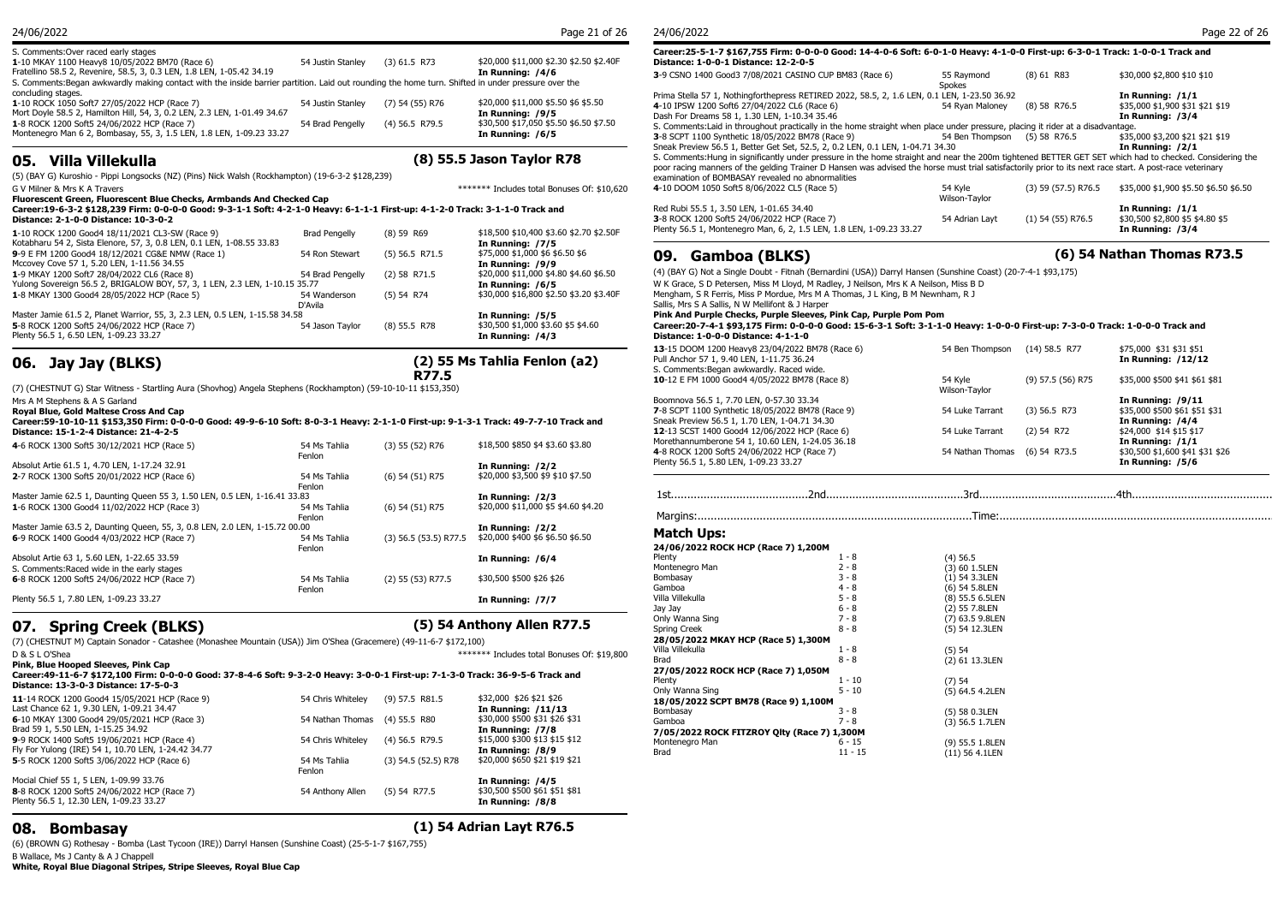| S. Comments: Over raced early stages<br>1-10 MKAY 1100 Heavy8 10/05/2022 BM70 (Race 6)<br>Fratellino 58.5 2, Revenire, 58.5, 3, 0.3 LEN, 1.8 LEN, 1-05.42 34.19                                                                                                                                      | 54 Justin Stanley | $(3)$ 61.5 R73  | \$20,000 \$11,000 \$2.30 \$2.50 \$2.40F<br>In Running: /4/6 | Career: 25-5-1-7 \$16<br>Distance: 1-0-0-1 Dis<br>3-9 CSNO 1400 Good3     |
|------------------------------------------------------------------------------------------------------------------------------------------------------------------------------------------------------------------------------------------------------------------------------------------------------|-------------------|-----------------|-------------------------------------------------------------|---------------------------------------------------------------------------|
| S. Comments: Began awkwardly making contact with the inside barrier partition. Laid out rounding the home turn. Shifted in under pressure over the<br>concluding stages.<br>1-10 ROCK 1050 Soft7 27/05/2022 HCP (Race 7)<br>Mort Doyle 58.5 2, Hamilton Hill, 54, 3, 0.2 LEN, 2.3 LEN, 1-01.49 34.67 | 54 Justin Stanley | (7) 54 (55) R76 | \$20,000 \$11,000 \$5.50 \$6 \$5.50<br>In Running: /9/5     | Prima Stella 57 1, Nothi<br>4-10 IPSW 1200 Soft6 2                        |
| 1-8 ROCK 1200 Soft5 24/06/2022 HCP (Race 7)<br>Montenegro Man 6 2, Bombasay, 55, 3, 1.5 LEN, 1.8 LEN, 1-09.23 33.27                                                                                                                                                                                  | 54 Brad Pengelly  | (4) 56.5 R79.5  | \$30,500 \$17,050 \$5.50 \$6.50 \$7.50<br>In Running: /6/5  | Dash For Dreams 58 1.<br>S. Comments: Laid in th<br>3-8 SCPT 1100 Synthet |
|                                                                                                                                                                                                                                                                                                      |                   |                 | __                                                          | Sneak Preview 56.5 1, B                                                   |

**05. Villa Villekulla (8) 55.5 Jason Taylor R78**

(5) (BAY G) Kuroshio - Pippi Longsocks (NZ) (Pins) Nick Walsh (Rockhampton) (19-6-3-2 \$128,239)

G V Milner & Mrs K A Travers \*\*\*\*\*\*\* Includes total Bonuses Of: \$10.620 4-10 D

**Fluorescent Green, Fluorescent Blue Checks, Armbands And Checked Cap Career:19-6-3-2 \$128,239 Firm: 0-0-0-0 Good: 9-3-1-1 Soft: 4-2-1-0 Heavy: 6-1-1-1 First-up: 4-1-2-0 Track: 3-1-1-0 Track and Distance: 2-1-0-0 Distance: 10-3-0-2**

| 1-10 ROCK 1200 Good4 18/11/2021 CL3-SW (Race 9)                             | <b>Brad Pengelly</b> | $(8)$ 59 R69           | \$18,500 \$10,400 \$3.60 \$2.70 \$2.50F | PIETILY 30.3 1, MUTTELIER    |
|-----------------------------------------------------------------------------|----------------------|------------------------|-----------------------------------------|------------------------------|
| Kotabharu 54 2, Sista Elenore, 57, 3, 0.8 LEN, 0.1 LEN, 1-08.55 33.83       |                      |                        | In Running: /7/5                        |                              |
| 9-9 E FM 1200 Good4 18/12/2021 CG&E NMW (Race 1)                            | 54 Ron Stewart       | $(5)$ 56.5 R71.5       | \$75,000 \$1,000 \$6 \$6.50 \$6         | 09. Gambo                    |
| Mccovey Cove 57 1, 5.20 LEN, 1-11.56 34.55                                  |                      |                        | In Running: /9/9                        |                              |
| 1-9 MKAY 1200 Soft7 28/04/2022 CL6 (Race 8)                                 | 54 Brad Pengelly     | $(2)$ 58 R71.5         | \$20,000 \$11,000 \$4.80 \$4.60 \$6.50  | (4) (BAY G) Not a Single     |
| Yulong Sovereign 56.5 2, BRIGALOW BOY, 57, 3, 1 LEN, 2.3 LEN, 1-10.15 35.77 | In Running: /6/5     | W K Grace, S D Peterse |                                         |                              |
| 1-8 MKAY 1300 Good4 28/05/2022 HCP (Race 5)                                 | 54 Wanderson         | $(5)$ 54 R74           | \$30,000 \$16,800 \$2,50 \$3,20 \$3,40F | Mengham, S R Ferris, M       |
|                                                                             | D'Avila              |                        |                                         | Sallis, Mrs S A Sallis, N    |
| Master Jamie 61.5 2, Planet Warrior, 55, 3, 2.3 LEN, 0.5 LEN, 1-15.58 34.58 |                      |                        | In Running: /5/5                        | <b>Pink And Purple Chee</b>  |
| 5-8 ROCK 1200 Soft5 24/06/2022 HCP (Race 7)                                 | 54 Jason Tavlor      | $(8)$ 55.5 R78         | \$30,500 \$1,000 \$3.60 \$5 \$4.60      | Career: 20-7-4-1 \$93        |
| Plenty 56.5 1, 6.50 LEN, 1-09.23 33.27                                      |                      |                        | In Running: /4/3                        | <b>Distance: 1-0-0-0 Dis</b> |

## **06. Jay Jay (BLKS)**

## **(2) 55 Ms Tahlia Fenlon (a2) R77.5**

(7) (CHESTNUT G) Star Witness - Startling Aura (Shovhog) Angela Stephens (Rockhampton) (59-10-10-11 \$153,350)

Mrs A M Stephens & A S Garland

| Royal Blue, Gold Maltese Cross And Cap<br>Career:59-10-10-11 \$153,350 Firm: 0-0-0-0 Good: 49-9-6-10 Soft: 8-0-3-1 Heavy: 2-1-1-0 First-up: 9-1-3-1 Track: 49-7-7-10 Track and<br>Distance: 15-1-2-4 Distance: 21-4-2-5 |                        |                         |                                     | 7-8 SCPT 1100 Synthetic 18/05/2022 BM78 (Race 9)<br>Sneak Preview 56.5 1, 1.70 LEN, 1-04.71 34.30<br>12-13 SCST 1400 Good4 12/06/2022 HCP (Race 6) |                    |
|-------------------------------------------------------------------------------------------------------------------------------------------------------------------------------------------------------------------------|------------------------|-------------------------|-------------------------------------|----------------------------------------------------------------------------------------------------------------------------------------------------|--------------------|
| 4-6 ROCK 1300 Soft5 30/12/2021 HCP (Race 5)                                                                                                                                                                             | 54 Ms Tahlia<br>Fenlon | $(3)$ 55 $(52)$ R76     | \$18,500 \$850 \$4 \$3.60 \$3.80    | Morethannumberone 54 1, 10.60 LEN, 1-24.05 36.18<br>4-8 ROCK 1200 Soft5 24/06/2022 HCP (Race 7)                                                    |                    |
| Absolut Artie 61.5 1, 4.70 LEN, 1-17.24 32.91                                                                                                                                                                           |                        |                         | In Running: /2/2                    | Plenty 56.5 1, 5.80 LEN, 1-09.23 33.27                                                                                                             |                    |
| 2-7 ROCK 1300 Soft5 20/01/2022 HCP (Race 6)                                                                                                                                                                             | 54 Ms Tahlia<br>Fenlon | $(6)$ 54 $(51)$ R75     | \$20,000 \$3,500 \$9 \$10 \$7.50    |                                                                                                                                                    |                    |
| Master Jamie 62.5 1, Daunting Queen 55 3, 1.50 LEN, 0.5 LEN, 1-16.41 33.83                                                                                                                                              |                        |                         | In Running: /2/3                    |                                                                                                                                                    |                    |
| 1-6 ROCK 1300 Good4 11/02/2022 HCP (Race 3)                                                                                                                                                                             | 54 Ms Tahlia<br>Fenlon | $(6)$ 54 $(51)$ R75     | \$20,000 \$11,000 \$5 \$4.60 \$4.20 |                                                                                                                                                    |                    |
| Master Jamie 63.5 2, Daunting Queen, 55, 3, 0.8 LEN, 2.0 LEN, 1-15.72 00.00                                                                                                                                             |                        |                         | In Running: /2/2                    |                                                                                                                                                    |                    |
| 6-9 ROCK 1400 Good4 4/03/2022 HCP (Race 7)                                                                                                                                                                              | 54 Ms Tahlia<br>Fenlon | $(3)$ 56.5 (53.5) R77.5 | \$20,000 \$400 \$6 \$6.50 \$6.50    | Match Ups:<br>24/06/2022 ROCK HCP (Race 7) 1,200M                                                                                                  |                    |
| Absolut Artie 63 1, 5.60 LEN, 1-22.65 33.59                                                                                                                                                                             |                        |                         | In Running: /6/4                    | Plenty                                                                                                                                             | 1 - 8              |
| S. Comments: Raced wide in the early stages                                                                                                                                                                             |                        |                         |                                     | Montenegro Man                                                                                                                                     | $2 - 8$            |
| 6-8 ROCK 1200 Soft5 24/06/2022 HCP (Race 7)                                                                                                                                                                             | 54 Ms Tahlia<br>Fenlon | $(2)$ 55 $(53)$ R77.5   | \$30,500 \$500 \$26 \$26            | Bombasav<br>Gamboa                                                                                                                                 | $3 - 8$<br>$4 - 8$ |
| Plenty 56.5 1, 7.80 LEN, 1-09.23 33.27                                                                                                                                                                                  |                        |                         | In Running: /7/7                    | Villa Villekulla<br>Jav Jav                                                                                                                        | $5 - 8$<br>$6 - 8$ |

## **07. Spring Creek (BLKS) (5) 54 Anthony Allen R77.5**

(7) (CHESTNUT M) Captain Sonador - Catashee (Monashee Mountain (USA)) Jim O'Shea (Gracemere) (49-11-6-7 \$172,100) D & S L O'Shea \*\*\*\*\*\*\* Includes total Bonuses Of: \$19,800 Will all the state of the state of the state of the state of the state of the state of the state of the state of the state of the state of the state of the state of

**Pink, Blue Hooped Sleeves, Pink Cap**

#### **Career:49-11-6-7 \$172,100 Firm: 0-0-0-0 Good: 37-8-4-6 Soft: 9-3-2-0 Heavy: 3-0-0-1 First-up: 7-1-3-0 Track: 36-9-5-6 Track and Distance: 13-3-0-3 Distance: 17-5-0-3**

| Distance: 13-3-0-3 Distance: 17-5-0-3               |                   |                         |                               | Only Wanna Sino |
|-----------------------------------------------------|-------------------|-------------------------|-------------------------------|-----------------|
| 11-14 ROCK 1200 Good4 15/05/2021 HCP (Race 9)       | 54 Chris Whitelev | $(9)$ 57.5 R81.5        | \$32,000 \$26 \$21 \$26       | 18/05/2022 S    |
| Last Chance 62 1, 9.30 LEN, 1-09.21 34.47           |                   |                         | In Running: /11/13            | Bombasav        |
| 6-10 MKAY 1300 Good4 29/05/2021 HCP (Race 3)        | 54 Nathan Thomas  | (4) 55.5 R80            | \$30,000 \$500 \$31 \$26 \$31 | Gamboa          |
| Brad 59 1, 5.50 LEN, 1-15.25 34.92                  |                   |                         | In Running: /7/8              | 7/05/2022 RO    |
| 9-9 ROCK 1400 Soft5 19/06/2021 HCP (Race 4)         | 54 Chris Whitelev | $(4)$ 56.5 R79.5        | \$15,000 \$300 \$13 \$15 \$12 | Montenegro Mar  |
| Fly For Yulong (IRE) 54 1, 10.70 LEN, 1-24.42 34.77 |                   |                         | In Running: /8/9              | Brad            |
| 5-5 ROCK 1200 Soft5 3/06/2022 HCP (Race 6)          | 54 Ms Tahlia      | $(3)$ 54.5 $(52.5)$ R78 | \$20,000 \$650 \$21 \$19 \$21 |                 |
|                                                     | Fenlon            |                         |                               |                 |
| Mocial Chief 55 1, 5 LEN, 1-09.99 33.76             |                   |                         | In Running: /4/5              |                 |
| 8-8 ROCK 1200 Soft5 24/06/2022 HCP (Race 7)         | 54 Anthony Allen  | $(5)$ 54 R77.5          | \$30,500 \$500 \$61 \$51 \$81 |                 |
| Plenty 56.5 1, 12.30 LEN, 1-09.23 33.27             |                   |                         | In Running: /8/8              |                 |
|                                                     |                   |                         |                               |                 |

## **08. Bombasay (1) 54 Adrian Layt R76.5**

(6) (BROWN G) Rothesay - Bomba (Last Tycoon (IRE)) Darryl Hansen (Sunshine Coast) (25-5-1-7 \$167,755) B Wallace, Ms J Canty & A J Chappell

## **White, Royal Blue Diagonal Stripes, Stripe Sleeves, Royal Blue Cap**

| Page 22 of 26<br>24/06/2022                                                                                                                                                                                                                                                                                                                                             |                          |                         |                                       |  |  |
|-------------------------------------------------------------------------------------------------------------------------------------------------------------------------------------------------------------------------------------------------------------------------------------------------------------------------------------------------------------------------|--------------------------|-------------------------|---------------------------------------|--|--|
| Career:25-5-1-7 \$167,755 Firm: 0-0-0-0 Good: 14-4-0-6 Soft: 6-0-1-0 Heavy: 4-1-0-0 First-up: 6-3-0-1 Track: 1-0-0-1 Track and<br>Distance: 1-0-0-1 Distance: 12-2-0-5                                                                                                                                                                                                  |                          |                         |                                       |  |  |
| 3-9 CSNO 1400 Good3 7/08/2021 CASINO CUP BM83 (Race 6)                                                                                                                                                                                                                                                                                                                  | 55 Raymond<br>Spokes     | $(8)$ 61 R83            | \$30,000 \$2,800 \$10 \$10            |  |  |
| Prima Stella 57 1, Nothingforthepress RETIRED 2022, 58.5, 2, 1.6 LEN, 0.1 LEN, 1-23.50 36.92                                                                                                                                                                                                                                                                            |                          |                         | In Running: /1/1                      |  |  |
| 4-10 IPSW 1200 Soft6 27/04/2022 CL6 (Race 6)                                                                                                                                                                                                                                                                                                                            | 54 Ryan Maloney          | $(8)$ 58 R76.5          | \$35,000 \$1,900 \$31 \$21 \$19       |  |  |
| Dash For Dreams 58 1, 1.30 LEN, 1-10.34 35.46                                                                                                                                                                                                                                                                                                                           |                          |                         | In Running: /3/4                      |  |  |
| S. Comments:Laid in throughout practically in the home straight when place under pressure, placing it rider at a disadvantage.                                                                                                                                                                                                                                          |                          |                         |                                       |  |  |
| 3-8 SCPT 1100 Synthetic 18/05/2022 BM78 (Race 9)                                                                                                                                                                                                                                                                                                                        | 54 Ben Thompson          | (5) 58 R76.5            | \$35,000 \$3,200 \$21 \$21 \$19       |  |  |
| Sneak Preview 56.5 1, Better Get Set, 52.5, 2, 0.2 LEN, 0.1 LEN, 1-04.71 34.30                                                                                                                                                                                                                                                                                          |                          |                         | In Running: /2/1                      |  |  |
| S. Comments:Hung in significantly under pressure in the home straight and near the 200m tightened BETTER GET SET which had to checked. Considering the<br>poor racing manners of the gelding Trainer D Hansen was advised the horse must trial satisfactorily prior to its next race start. A post-race veterinary<br>examination of BOMBASAY revealed no abnormalities |                          |                         |                                       |  |  |
| 4-10 DOOM 1050 Soft5 8/06/2022 CL5 (Race 5)                                                                                                                                                                                                                                                                                                                             | 54 Kyle<br>Wilson-Taylor | $(3)$ 59 $(57.5)$ R76.5 | \$35,000 \$1,900 \$5.50 \$6.50 \$6.50 |  |  |
| Red Rubi 55.5 1, 3.50 LEN, 1-01.65 34.40                                                                                                                                                                                                                                                                                                                                |                          |                         | In Running: /1/1                      |  |  |
| 3-8 ROCK 1200 Soft5 24/06/2022 HCP (Race 7)                                                                                                                                                                                                                                                                                                                             | 54 Adrian Layt           | $(1)$ 54 (55) R76.5     | \$30,500 \$2,800 \$5 \$4.80 \$5       |  |  |
| Plenty 56.5 1, Montenegro Man, 6, 2, 1.5 LEN, 1.8 LEN, 1-09.23 33.27                                                                                                                                                                                                                                                                                                    |                          |                         | In Running: /3/4                      |  |  |
| 09. Gamboa (BLKS)                                                                                                                                                                                                                                                                                                                                                       |                          |                         | (6) 54 Nathan Thomas R73.5            |  |  |
| (4) (BAY G) Not a Single Doubt - Fitnah (Bernardini (USA)) Darryl Hansen (Sunshine Coast) (20-7-4-1 \$93,175)                                                                                                                                                                                                                                                           |                          |                         |                                       |  |  |
|                                                                                                                                                                                                                                                                                                                                                                         |                          |                         |                                       |  |  |
| W K Grace, S D Petersen, Miss M Lloyd, M Radley, J Neilson, Mrs K A Neilson, Miss B D                                                                                                                                                                                                                                                                                   |                          |                         |                                       |  |  |
| Mengham, S R Ferris, Miss P Mordue, Mrs M A Thomas, J L King, B M Newnham, R J                                                                                                                                                                                                                                                                                          |                          |                         |                                       |  |  |
| Sallis, Mrs S A Sallis, N W Mellifont & J Harper                                                                                                                                                                                                                                                                                                                        |                          |                         |                                       |  |  |

**Pink And Purple Checks, Purple Sleeves, Pink Cap, Purple Pom Pom**

#### **Career:20-7-4-1 \$93,175 Firm: 0-0-0-0 Good: 15-6-3-1 Soft: 3-1-1-0 Heavy: 1-0-0-0 First-up: 7-3-0-0 Track: 1-0-0-0 Track and Distance: 1-0-0-0 Distance: 4-1-1-0**

| 13-15 DOOM 1200 Heavy8 23/04/2022 BM78 (Race 6)<br>Pull Anchor 57 1, 9.40 LEN, 1-11.75 36.24<br>S. Comments: Began awkwardly. Raced wide. | 54 Ben Thompson          | $(14)$ 58.5 R77       | \$75,000 \$31 \$31 \$51<br><b>In Running: /12/12</b> |
|-------------------------------------------------------------------------------------------------------------------------------------------|--------------------------|-----------------------|------------------------------------------------------|
| 10-12 E FM 1000 Good4 4/05/2022 BM78 (Race 8)                                                                                             | 54 Kvle<br>Wilson-Taylor | $(9)$ 57.5 $(56)$ R75 | \$35,000 \$500 \$41 \$61 \$81                        |
| Boomnova 56.5 1, 7.70 LEN, 0-57.30 33.34                                                                                                  |                          |                       | <b>In Running: /9/11</b>                             |
| 7-8 SCPT 1100 Synthetic 18/05/2022 BM78 (Race 9)<br>Sneak Preview 56.5 1, 1.70 LEN, 1-04.71 34.30                                         | 54 Luke Tarrant          | $(3)$ 56.5 R73        | \$35,000 \$500 \$61 \$51 \$31<br>In Running: /4/4    |
| 12-13 SCST 1400 Good4 12/06/2022 HCP (Race 6)<br>Morethannumberone 54 1, 10.60 LEN, 1-24.05 36.18                                         | 54 Luke Tarrant          | $(2)$ 54 R72          | \$24,000 \$14 \$15 \$17<br>In Running: /1/1          |
| 4-8 ROCK 1200 Soft5 24/06/2022 HCP (Race 7)<br>Plenty 56.5 1, 5.80 LEN, 1-09.23 33.27                                                     | 54 Nathan Thomas         | (6) 54 R73.5          | \$30,500 \$1,600 \$41 \$31 \$26<br>In Running: /5/6  |
|                                                                                                                                           |                          |                       |                                                      |

#### Bombasay<br>Gamboa 1st..........................................2nd..........................................3rd..........................................4th............................................ Margins:....................................................................................Time:.................................................................................... **24/06/2022 ROCK HCP (Race 7) 1,200M** Plenty (4) 56.5 Montenegro Man 2 - 8 (3) 60 1.5LEN<br>Bombasav 3 - 8 (1) 54 3.3LEN 3 - 8 (1) 54 3.3LEN<br>4 - 8 (6) 54 5.8LEN  $(6)$  54 5.8LEN Villa Villa Villa Villa Villa Villa Villa Villa Villa Villa Villa Villa Villa Villa Villa Villa Villa Villa Vi<br>Villa Villa Villa Villa Villa Villa Villa Villa Villa Villa Villa Villa Villa Villa Villa Villa Villa Villa Vi 6 - 8 (2) 55 7.8LEN<br>7 - 8 (7) 63.5 9.8LEN Only Wanna Sing 7 - 8<br>
Spring Creek 8 - 8 (5) 54 12.3LEN **28/05/2022 MKAY HCP (Race 5) 1,300M**<br>Villa Villekulla **1 - 8** Villa Villekulla 1 - 8 (5) 54  $(2)$  61 13.3LEN **27/05/2022 ROCK HCP (Race 7) 1,050M**<br>Plenty 1 - 10 (7) 54 Plenty 1 - 10 (7) 54 Only Wanna Sing 64.5 4.2LEN **18/05/2022 SCPT BM78 (Race 9) 1,100M** Bombasay 3 - 8 (5) 58 0.3LEN<br>Gamboa 7 - 8 (3) 56 5 1 7 F  $(3)$  56.5 1.7LEN **7/05/2022 ROCK FITZROY QIty (Race 7) 1,300M**<br>Montenegro Man **6 - 15** (9) 55.5 1.8LEN Montenegro Man Brad 11 - 15 (11) 56 4.1LEN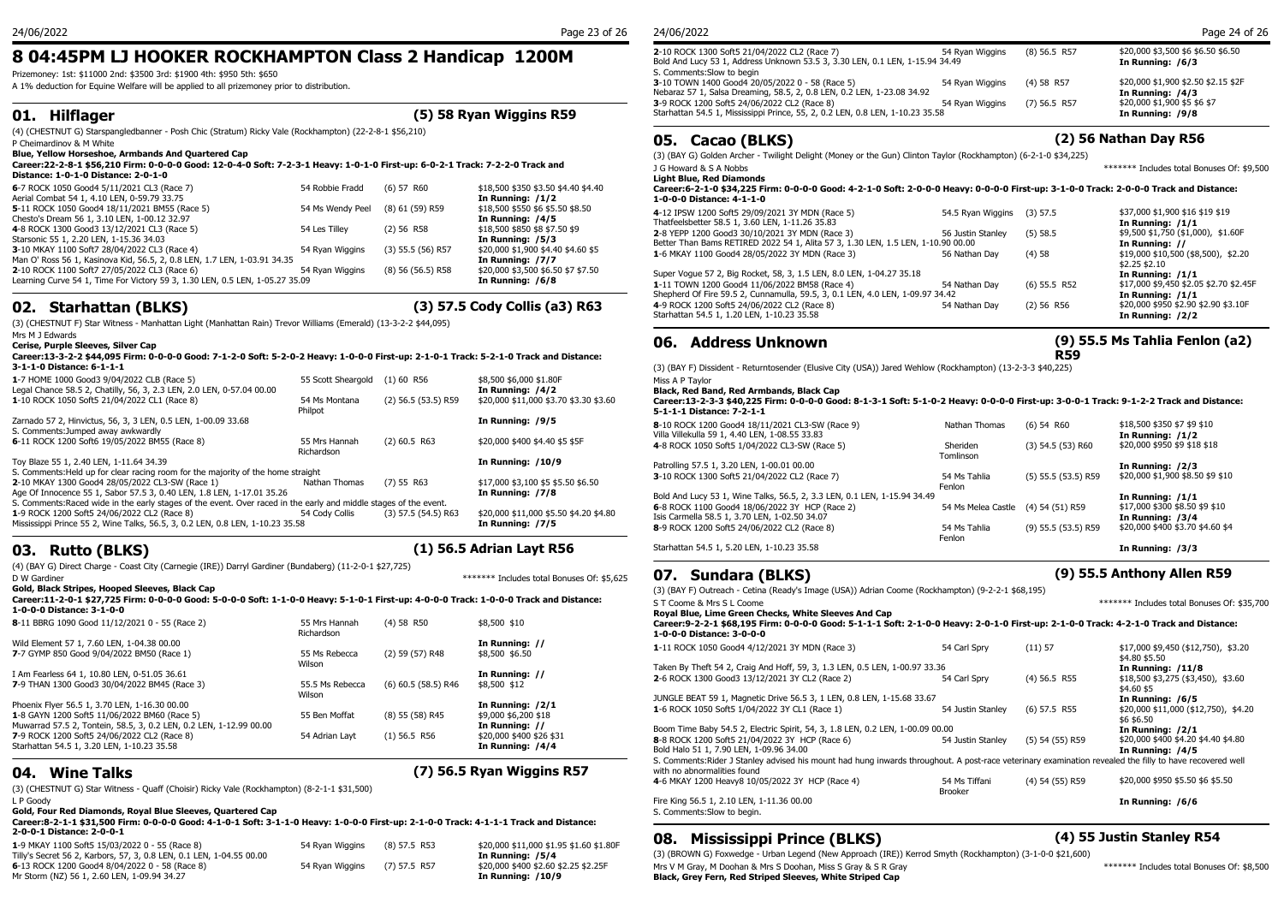## **8 04:45PM LJ HOOKER ROCKHAMPTON Class 2 Handicap 1200M**

Prizemoney: 1st: \$11000 2nd: \$3500 3rd: \$1900 4th: \$950 5th: \$650

A 1% deduction for Equine Welfare will be applied to all prizemoney prior to distribution.

### **01. Hilflager (5) 58 Ryan Wiggins R59**

(4) (CHESTNUT G) Starspangledbanner - Posh Chic (Stratum) Ricky Vale (Rockhampton) (22-2-8-1 \$56,210) P Cheimardinov & M White

**Blue, Yellow Horseshoe, Armbands And Quartered Cap Career:22-2-8-1 \$56,210 Firm: 0-0-0-0 Good: 12-0-4-0 Soft: 7-2-3-1 Heavy: 1-0-1-0 First-up: 6-0-2-1 Track: 7-2-2-0 Track and** 

| Distance: 1-0-1-0 Distance: 2-0-1-0                                                                                          |                  |                       |                                                         | Light Blue, Red Di                         |
|------------------------------------------------------------------------------------------------------------------------------|------------------|-----------------------|---------------------------------------------------------|--------------------------------------------|
| 6-7 ROCK 1050 Good4 5/11/2021 CL3 (Race 7)<br>Aerial Combat 54 1, 4.10 LEN, 0-59.79 33.75                                    | 54 Robbie Fradd  | $(6)$ 57 R60          | \$18,500 \$350 \$3.50 \$4.40 \$4.40<br>In Running: /1/2 | Career: 6-2-1-0 \$3<br>1-0-0-0 Distance:   |
| 5-11 ROCK 1050 Good4 18/11/2021 BM55 (Race 5)<br>Chesto's Dream 56 1, 3.10 LEN, 1-00.12 32.97                                | 54 Ms Wendy Peel | (8) 61 (59) R59       | \$18,500 \$550 \$6 \$5.50 \$8.50<br>In Running: /4/5    | 4-12 IPSW 1200 Sof<br>Thatfeelsbetter 58.5 |
| 4-8 ROCK 1300 Good3 13/12/2021 CL3 (Race 5)<br>Starsonic 55 1, 2.20 LEN, 1-15.36 34.03                                       | 54 Les Tillev    | $(2)$ 56 R58          | \$18,500 \$850 \$8 \$7.50 \$9<br>In Running: /5/3       | 2-8 YEPP 1200 Good<br>Better Than Bams RI  |
| 3-10 MKAY 1100 Soft7 28/04/2022 CL3 (Race 4)<br>Man O' Ross 56 1, Kasinova Kid, 56.5, 2, 0.8 LEN, 1.7 LEN, 1-03.91 34.35     | 54 Rvan Wiggins  | $(3)$ 55.5 (56) R57   | \$20,000 \$1,900 \$4.40 \$4.60 \$5<br>In Running: /7/7  | 1-6 MKAY 1100 Goo                          |
| 2-10 ROCK 1100 Soft7 27/05/2022 CL3 (Race 6)<br>Learning Curve 54 1, Time For Victory 59 3, 1.30 LEN, 0.5 LEN, 1-05.27 35.09 | 54 Rvan Wiggins  | $(8)$ 56 $(56.5)$ R58 | \$20,000 \$3,500 \$6.50 \$7 \$7.50<br>In Running: /6/8  | Super Voque 57 2, B<br>1-11 TOWN 1200 Go   |

## **02. Starhattan (BLKS) (3) 57.5 Cody Collis (a3) R63**

(3) (CHESTNUT F) Star Witness - Manhattan Light (Manhattan Rain) Trevor Williams (Emerald) (13-3-2-2 \$44,095)

Mrs M J Edwards **Cerise, Purple Sleeves, Silver Cap**

#### **Career:13-3-2-2 \$44,095 Firm: 0-0-0-0 Good: 7-1-2-0 Soft: 5-2-0-2 Heavy: 1-0-0-0 First-up: 2-1-0-1 Track: 5-2-1-0 Track and Distance: 3-1-1-0 Distance: 6-1-1-1**

|                                                                                                                   |                    |                       |                                        | $(3)$ (DAII) DISSIGNIE                           |  |  |
|-------------------------------------------------------------------------------------------------------------------|--------------------|-----------------------|----------------------------------------|--------------------------------------------------|--|--|
| 1-7 HOME 1000 Good3 9/04/2022 CLB (Race 5)                                                                        | 55 Scott Sheargold | $(1)$ 60 R56          | \$8,500 \$6,000 \$1.80F                | Miss A P Tavlor                                  |  |  |
| Legal Chance 58.5 2, Chatilly, 56, 3, 2.3 LEN, 2.0 LEN, 0-57.04 00.00                                             |                    |                       | In Running: /4/2                       | <b>Black, Red Band, Red</b>                      |  |  |
| 1-10 ROCK 1050 Soft5 21/04/2022 CL1 (Race 8)                                                                      | 54 Ms Montana      | $(2)$ 56.5 (53.5) R59 | \$20,000 \$11,000 \$3.70 \$3.30 \$3.60 | Career: 13-2-3-3 \$40                            |  |  |
|                                                                                                                   | Philpot            |                       |                                        | 5-1-1-1 Distance: 7-2                            |  |  |
| Zarnado 57 2, Hinvictus, 56, 3, 3 LEN, 0.5 LEN, 1-00.09 33.68                                                     |                    |                       | In Running: /9/5                       | 8-10 ROCK 1200 Good4                             |  |  |
| S. Comments: Jumped away awkwardly                                                                                |                    |                       |                                        | Villa Villekulla 59 1, 4.4                       |  |  |
| 6-11 ROCK 1200 Soft6 19/05/2022 BM55 (Race 8)                                                                     | 55 Mrs Hannah      | $(2)$ 60.5 R63        | \$20,000 \$400 \$4.40 \$5 \$5F         | 4-8 ROCK 1050 Soft5 1                            |  |  |
|                                                                                                                   | Richardson         |                       |                                        |                                                  |  |  |
| Toy Blaze 55 1, 2.40 LEN, 1-11.64 34.39                                                                           |                    |                       | <b>In Running: /10/9</b>               | Patrolling 57.5 1, 3.20 L                        |  |  |
| S. Comments: Held up for clear racing room for the majority of the home straight                                  |                    |                       |                                        | 3-10 ROCK 1300 Soft5                             |  |  |
| 2-10 MKAY 1300 Good4 28/05/2022 CL3-SW (Race 1)                                                                   | Nathan Thomas      | $(7)$ 55 R63          | \$17,000 \$3,100 \$5 \$5.50 \$6.50     |                                                  |  |  |
| Age Of Innocence 55 1, Sabor 57.5 3, 0.40 LEN, 1.8 LEN, 1-17.01 35.26                                             |                    |                       | In Running: /7/8                       | Bold And Lucy 53 1, Wi                           |  |  |
| S. Comments: Raced wide in the early stages of the event. Over raced in the early and middle stages of the event. |                    |                       |                                        |                                                  |  |  |
| 1-9 ROCK 1200 Soft5 24/06/2022 CL2 (Race 8)                                                                       | 54 Cody Collis     | $(3)$ 57.5 (54.5) R63 | \$20,000 \$11,000 \$5.50 \$4.20 \$4.80 | 6-8 ROCK 1100 Good4<br>Isis Carmella 58.5 1, 3.7 |  |  |
| Mississippi Prince 55 2, Wine Talks, 56.5, 3, 0.2 LEN, 0.8 LEN, 1-10.23 35.58                                     |                    |                       | In Running: /7/5                       | 8-9 ROCK 1200 Soft5 2                            |  |  |
|                                                                                                                   |                    |                       |                                        |                                                  |  |  |

## **03. Rutto (BLKS) (1) 56.5 Adrian Layt R56**

(4) (BAY G) Direct Charge - Coast City (Carnegie (IRE)) Darryl Gardiner (Bundaberg) (11-2-0-1 \$27,725)  $\mathcal{O}_1$ . The contract District District District District District District District District District District District District District District District District District District District District District District

**Gold, Black Stripes, Hooped Sleeves, Black Cap**

#### **Career:11-2-0-1 \$27,725 Firm: 0-0-0-0 Good: 5-0-0-0 Soft: 1-1-0-0 Heavy: 5-1-0-1 First-up: 4-0-0-0 Track: 1-0-0-0 Track and Distance: 1-0-0-0 Distance: 3-1-0-0**

| 1-0-0-0 DISTANCE: 3-1-0-0                                          |                 |                       |                          | Royal Blue,          |
|--------------------------------------------------------------------|-----------------|-----------------------|--------------------------|----------------------|
| 8-11 BBRG 1090 Good 11/12/2021 0 - 55 (Race 2)                     | 55 Mrs Hannah   | $(4)$ 58 R50          | \$8,500 \$10             | Career: 9-2-2        |
|                                                                    | Richardson      |                       |                          | $1 - 0 - 0 - 0$ Dist |
| Wild Element 57 1, 7.60 LEN, 1-04.38 00.00                         |                 |                       | In Running: //           | 1-11 ROCK 10         |
| 7-7 GYMP 850 Good 9/04/2022 BM50 (Race 1)                          | 55 Ms Rebecca   | (2) 59 (57) R48       | \$8,500 \$6.50           |                      |
|                                                                    | Wilson          |                       |                          | Taken By The         |
| I Am Fearless 64 1, 10.80 LEN, 0-51.05 36.61                       |                 |                       | In Running: //           | 2-6 ROCK 130         |
| 7-9 THAN 1300 Good3 30/04/2022 BM45 (Race 3)                       | 55.5 Ms Rebecca | $(6)$ 60.5 (58.5) R46 | \$8,500 \$12             |                      |
|                                                                    | Wilson          |                       |                          | JUNGLE BEAT          |
| Phoenix Flyer 56.5 1, 3.70 LEN, 1-16.30 00.00                      |                 |                       | In Running: /2/1         | <b>1-6 ROCK 10!</b>  |
| 1-8 GAYN 1200 Soft5 11/06/2022 BM60 (Race 5)                       | 55 Ben Moffat   | (8) 55 (58) R45       | \$9,000 \$6,200 \$18     |                      |
| Muwarrad 57.5 2, Tontein, 58.5, 3, 0.2 LEN, 0.2 LEN, 1-12.99 00.00 |                 |                       | In Running: //           | Boom Time B          |
| 7-9 ROCK 1200 Soft5 24/06/2022 CL2 (Race 8)                        | 54 Adrian Lavt  | $(1)$ 56.5 R56        | \$20,000 \$400 \$26 \$31 | <b>8-8 ROCK 120</b>  |
| Starhattan 54.5 1, 3.20 LEN, 1-10.23 35.58                         |                 |                       | In Running: /4/4         | Bold Halo 51         |
|                                                                    |                 |                       |                          | .                    |

## **04. Wine Talks (7) 56.5 Ryan Wiggins R57**

(3) (CHESTNUT G) Star Witness - Quaff (Choisir) Ricky Vale (Rockhampton) (8-2-1-1 \$31,500)

L P Goody

### **Gold, Four Red Diamonds, Royal Blue Sleeves, Quartered Cap**

**Career:8-2-1-1 \$31,500 Firm: 0-0-0-0 Good: 4-1-0-1 Soft: 3-1-1-0 Heavy: 1-0-0-0 First-up: 2-1-0-0 Track: 4-1-1-1 Track and Distance: 2-0-0-1 Distance: 2-0-0-1**

| 2-0-0-1 Distance: 2-0-0-1                                            |                 |                |                                         | <b>08. Mississ</b>    |
|----------------------------------------------------------------------|-----------------|----------------|-----------------------------------------|-----------------------|
| 1-9 MKAY 1100 Soft5 15/03/2022 0 - 55 (Race 8)                       | 54 Rvan Wiggins | (8) 57.5 R53   | \$20,000 \$11,000 \$1.95 \$1.60 \$1.80F |                       |
| Tilly's Secret 56 2, Karbors, 57, 3, 0.8 LEN, 0.1 LEN, 1-04.55 00.00 |                 |                | In Running: /5/4                        | (3) (BROWN G) Foxwed  |
| 6-13 ROCK 1200 Good4 8/04/2022 0 - 58 (Race 8)                       | 54 Rvan Wiggins | $(7)$ 57.5 R57 | \$20,000 \$400 \$2.60 \$2.25 \$2.25F    | Mrs V M Gray, M Dooha |
| Mr Storm (NZ) 56 1, 2.60 LEN, 1-09.94 34.27                          |                 |                | In Running: /10/9                       | Black, Grey Fern, Re  |
|                                                                      |                 |                |                                         |                       |

### 24/06/2022 Page 23 of 26

| 24/06/2022                                                                    |                 |                | Page 24 of 26                       |
|-------------------------------------------------------------------------------|-----------------|----------------|-------------------------------------|
| 2-10 ROCK 1300 Soft5 21/04/2022 CL2 (Race 7)                                  | 54 Rvan Wiggins | $(8)$ 56.5 R57 | \$20,000 \$3,500 \$6 \$6.50 \$6.50  |
| Bold And Lucy 53 1, Address Unknown 53.5 3, 3.30 LEN, 0.1 LEN, 1-15.94 34.49  |                 |                | In Running: /6/3                    |
| S. Comments: Slow to begin                                                    |                 |                |                                     |
| 3-10 TOWN 1400 Good4 20/05/2022 0 - 58 (Race 5)                               | 54 Ryan Wiggins | $(4)$ 58 R57   | \$20,000 \$1,900 \$2.50 \$2.15 \$2F |
| Nebaraz 57 1, Salsa Dreaming, 58.5, 2, 0.8 LEN, 0.2 LEN, 1-23.08 34.92        |                 |                | In Running: /4/3                    |
| 3-9 ROCK 1200 Soft5 24/06/2022 CL2 (Race 8)                                   | 54 Rvan Wiggins | $(7)$ 56.5 R57 | \$20,000 \$1,900 \$5 \$6 \$7        |
| Starhattan 54.5 1, Mississippi Prince, 55, 2, 0.2 LEN, 0.8 LEN, 1-10.23 35.58 |                 |                | In Running: /9/8                    |

## **05. Cacao (BLKS) (2) 56 Nathan Day R56**

(3) (BAY G) Golden Archer - Twilight Delight (Money or the Gun) Clinton Taylor (Rockhampton) (6-2-1-0 \$34,225)

| J G Howard & S A Nobbs<br><b>Light Blue, Red Diamonds</b>                                                                                                          |                   |                | ******* Includes total Bonuses Of: \$9.500               |
|--------------------------------------------------------------------------------------------------------------------------------------------------------------------|-------------------|----------------|----------------------------------------------------------|
| Career:6-2-1-0 \$34,225 Firm: 0-0-0-0 Good: 4-2-1-0 Soft: 2-0-0-0 Heavy: 0-0-0-0 First-up: 3-1-0-0 Track: 2-0-0-0 Track and Distance:<br>1-0-0-0 Distance: 4-1-1-0 |                   |                |                                                          |
| 4-12 IPSW 1200 Soft5 29/09/2021 3Y MDN (Race 5)<br>Thatfeelsbetter 58.5 1, 3.60 LEN, 1-11.26 35.83                                                                 | 54.5 Rvan Wiggins | $(3)$ 57.5     | \$37,000 \$1,900 \$16 \$19 \$19<br>In Running: /1/1      |
| 2-8 YEPP 1200 Good3 30/10/2021 3Y MDN (Race 3)<br>Better Than Bams RETIRED 2022 54 1, Alita 57 3, 1.30 LEN, 1.5 LEN, 1-10.90 00.00                                 | 56 Justin Stanley | (5) 58.5       | \$9,500 \$1,750 (\$1,000), \$1.60F<br>In Running: //     |
| 1-6 MKAY 1100 Good4 28/05/2022 3Y MDN (Race 3)                                                                                                                     | 56 Nathan Dav     | (4)58          | \$19,000 \$10,500 (\$8,500), \$2.20<br>\$2.25 \$2.10     |
| Super Voque 57 2, Big Rocket, 58, 3, 1.5 LEN, 8.0 LEN, 1-04.27 35.18                                                                                               |                   |                | In Running: /1/1                                         |
| 1-11 TOWN 1200 Good4 11/06/2022 BM58 (Race 4)                                                                                                                      | 54 Nathan Dav     | $(6)$ 55.5 R52 | \$17,000 \$9,450 \$2.05 \$2.70 \$2.45F                   |
| Shepherd Of Fire 59.5 2, Cunnamulla, 59.5, 3, 0.1 LEN, 4.0 LEN, 1-09.97 34.42                                                                                      |                   |                | In Running: /1/1                                         |
| 4-9 ROCK 1200 Soft5 24/06/2022 CL2 (Race 8)<br>Starhattan 54.5 1, 1.20 LEN, 1-10.23 35.58                                                                          | 54 Nathan Dav     | $(2)$ 56 R56   | \$20,000 \$950 \$2.90 \$2.90 \$3.10F<br>In Running: /2/2 |
|                                                                                                                                                                    |                   |                |                                                          |

### **06. Address Unknown**

### **(9) 55.5 Ms Tahlia Fenlon (a2) R59**

(3) (BAY F) Dissident - Returntosender (Elusive City (USA)) Jared Wehlow (Rockhampton) (13-2-3-3 \$40,225) Miss A P Taylor

**Black, Red Band, Red Armbands, Black Cap**

(2) 56.5 (53.5) R59 \$20,000 \$11,000 \$3.70 \$3.30 \$3.60 **Career:13-2-3-3 \$40,225 Firm: 0-0-0-0 Good: 8-1-3-1 Soft: 5-1-0-2 Heavy: 0-0-0-0 First-up: 3-0-0-1 Track: 9-1-2-2 Track and Distance: 5-1-1-1 Distance: 7-2-1-1**

| Starhattan 54.5 1, 5.20 LEN, 1-10.23 35.58                               | Fenlon             |                       | In Running: /3/3                 |
|--------------------------------------------------------------------------|--------------------|-----------------------|----------------------------------|
| 8-9 ROCK 1200 Soft5 24/06/2022 CL2 (Race 8)                              | 54 Ms Tahlia       | $(9)$ 55.5 (53.5) R59 | \$20,000 \$400 \$3.70 \$4.60 \$4 |
| Isis Carmella 58.5 1, 3.70 LEN, 1-02.50 34.07                            |                    |                       | In Running: /3/4                 |
| 6-8 ROCK 1100 Good4 18/06/2022 3Y HCP (Race 2)                           | 54 Ms Melea Castle | (4) 54 (51) R59       | \$17,000 \$300 \$8.50 \$9 \$10   |
| Bold And Lucy 53 1, Wine Talks, 56.5, 2, 3.3 LEN, 0.1 LEN, 1-15.94 34.49 | Fenlon             |                       | In Running: $/1/1$               |
| 3-10 ROCK 1300 Soft5 21/04/2022 CL2 (Race 7)                             | 54 Ms Tahlia       | $(5)$ 55.5 (53.5) R59 | \$20,000 \$1,900 \$8.50 \$9 \$10 |
|                                                                          |                    |                       | In Running: /2/3                 |
| Patrolling 57.5 1, 3.20 LEN, 1-00.01 00.00                               | Tomlinson          |                       |                                  |
| 4-8 ROCK 1050 Soft5 1/04/2022 CL3-SW (Race 5)                            | Sheriden           | $(3)$ 54.5 $(53)$ R60 | \$20,000 \$950 \$9 \$18 \$18     |
| Villa Villekulla 59 1, 4.40 LEN, 1-08.55 33.83                           |                    |                       | In Running: $/1/2$               |
| 8-10 ROCK 1200 Good4 18/11/2021 CL3-SW (Race 9)                          | Nathan Thomas      | $(6)$ 54 R60          | \$18,500 \$350 \$7 \$9 \$10      |
|                                                                          |                    |                       |                                  |

## **07. Sundara (BLKS) (9) 55.5 Anthony Allen R59**

(3) (BAY F) Outreach - Cetina (Ready's Image (USA)) Adrian Coome (Rockhampton) (9-2-2-1 \$68,195) \*\*\*\*\*\*\* Includes total Bonuses Of: \$35,700 **Royal Blue, Lime Green Checks, White Sleeves And Cap Career:9-2-2-1 \$68,195 Firm: 0-0-0-0 Good: 5-1-1-1 Soft: 2-1-0-0 Heavy: 2-0-1-0 First-up: 2-1-0-0 Track: 4-2-1-0 Track and Distance: 1-0-0-0 Distance: 3-0-0-0 1**-11 ROCK 1050 Good4 4/12/2021 3Y MDN (Race 3) 54 Carl Spry (11) 57 \$17,000 \$9,450 (\$12,750), \$3.20 \$4.80 \$5.50 Taken By Theft 54 2, Craig And Hoff, 59, 3, 1.3 LEN, 0.5 LEN, 1-00.97 33.36 **In Running: /11/8 2**-6 ROCK 1300 Good3 13/12/2021 3Y CL2 (Race 2) 54 Carl Spry (4) 56.5 R55 \$18,500 \$3,275 (\$3,450), \$3.60 \$4.60 \$5 JUNGLE BEAT 59 1, Magnetic Drive 56.5 3, 1 LEN, 0.8 LEN, 1-15.68 33.67 **In Running: /6/5 1**-6 ROCK 1050 Soft5 1/04/2022 3Y CL1 (Race 1) 54 Justin Stanley (6) 57.5 R55 \$20,000 \$11,000 (\$12,750), \$4.20 \$6 \$6.50<br>**In Running: /2/1** Boom Time Baby 54.5 2, Electric Spirit, 54, 3, 1.8 LEN, 0.2 LEN, 1-00.09 00.00<br>
8-8 ROCK 1200 Soft5 21/04/2022 3Y HCP (Race 6) 54 00.00 b 54 Justin Stanley (5) 54 (55) R59 \$20,000 \$400 \$4.20 \$4.40 \$4.80 **8**-8 ROCK 1200 Soft5 21/04/2022 3Y HCP (Race 6) Bold Halo 51 1, 7.90 LEN, 1-09.96 34.00<br>S. Comments:Rider J Stanley advised his mount had hung inwards throughout. A post-race veterinary examination revealed the filly to have recovered well S. Comments:Rider J Stanley advised his mount had hung inwards throughout. A post-race veterinary examination rev with no abnormalities found **4**-6 MKAY 1200 Heavy8 10/05/2022 3Y HCP (Race 4) 54 Ms Tiffani (4) 54 (55) R59 Brooker \$20,000 \$950 \$5.50 \$6 \$5.50

Fire King 56.5 1, 2.10 LEN, 1-11.36 00.00 **In Running: /6/6** S. Comments:Slow to begin.

## **08. Mississippi Prince (BLKS) (4) 55 Justin Stanley R54**

(3) (BROWN G) Foxwedge - Urban Legend (New Approach (IRE)) Kerrod Smyth (Rockhampton) (3-1-0-0 \$21,600) Mrs V M Gray, M Doohan & Mrs S Doohan, Miss S Gray & S R Gray \*\*\*\*\*\*\* Includes total Bonuses Of: \$8,500 **Black, Grey Fern, Red Striped Sleeves, White Striped Cap**